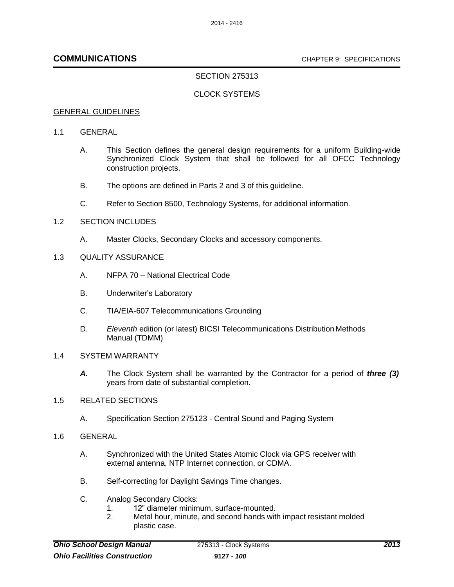## SECTION 275313

## CLOCK SYSTEMS

#### GENERAL GUIDELINES

#### 1.1 GENERAL

- A. This Section defines the general design requirements for a uniform Building-wide Synchronized Clock System that shall be followed for all OFCC Technology construction projects.
- B. The options are defined in Parts 2 and 3 of this guideline.
- C. Refer to Section 8500, Technology Systems, for additional information.

#### 1.2 SECTION INCLUDES

- A. Master Clocks, Secondary Clocks and accessory components.
- 1.3 QUALITY ASSURANCE
	- A. NFPA 70 National Electrical Code
	- B. Underwriter's Laboratory
	- C. TIA/EIA-607 Telecommunications Grounding
	- D. *Eleventh* edition (or latest) BICSI Telecommunications Distribution Methods Manual (TDMM)
- 1.4 SYSTEM WARRANTY
	- *A.* The Clock System shall be warranted by the Contractor for a period of *three (3)* years from date of substantial completion.

#### 1.5 RELATED SECTIONS

A. Specification Section 275123 - Central Sound and Paging System

#### 1.6 GENERAL

- A. Synchronized with the United States Atomic Clock via GPS receiver with external antenna, NTP Internet connection, or CDMA.
- B. Self-correcting for Daylight Savings Time changes.
- C. Analog Secondary Clocks:
	- 1. 12" diameter minimum, surface-mounted.
	- 2. Metal hour, minute, and second hands with impact resistant molded plastic case.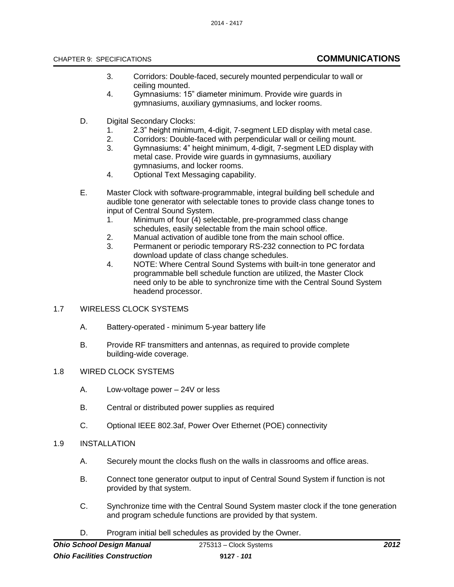- 3. Corridors: Double-faced, securely mounted perpendicular to wall or ceiling mounted.
- 4. Gymnasiums: 15" diameter minimum. Provide wire guards in gymnasiums, auxiliary gymnasiums, and locker rooms.
- D. Digital Secondary Clocks:
	- 1. 2.3" height minimum, 4-digit, 7-segment LED display with metal case.
	- 2. Corridors: Double-faced with perpendicular wall or ceiling mount.
	- 3. Gymnasiums: 4" height minimum, 4-digit, 7-segment LED display with metal case. Provide wire guards in gymnasiums, auxiliary gymnasiums, and locker rooms.
	- 4. Optional Text Messaging capability.
- E. Master Clock with software-programmable, integral building bell schedule and audible tone generator with selectable tones to provide class change tones to input of Central Sound System.
	- 1. Minimum of four (4) selectable, pre-programmed class change schedules, easily selectable from the main school office.
	- 2. Manual activation of audible tone from the main school office.
	- 3. Permanent or periodic temporary RS-232 connection to PC fordata download update of class change schedules.
	- 4. NOTE: Where Central Sound Systems with built-in tone generator and programmable bell schedule function are utilized, the Master Clock need only to be able to synchronize time with the Central Sound System headend processor.
- 1.7 WIRELESS CLOCK SYSTEMS
	- A. Battery-operated minimum 5-year battery life
	- B. Provide RF transmitters and antennas, as required to provide complete building-wide coverage.
- 1.8 WIRED CLOCK SYSTEMS
	- A. Low-voltage power 24V or less
	- B. Central or distributed power supplies as required
	- C. Optional IEEE 802.3af, Power Over Ethernet (POE) connectivity
- 1.9 INSTALLATION
	- A. Securely mount the clocks flush on the walls in classrooms and office areas.
	- B. Connect tone generator output to input of Central Sound System if function is not provided by that system.
	- C. Synchronize time with the Central Sound System master clock if the tone generation and program schedule functions are provided by that system.
	- D. Program initial bell schedules as provided by the Owner.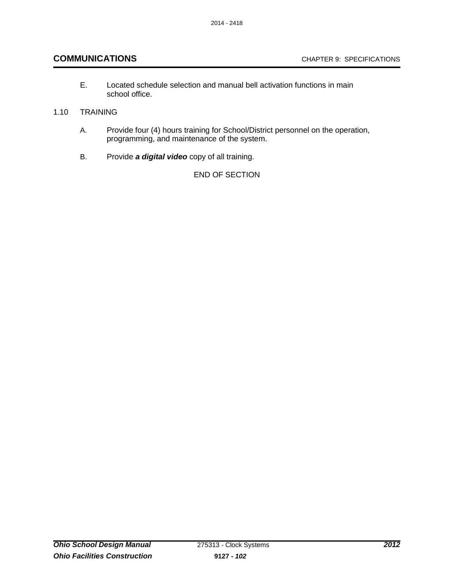E. Located schedule selection and manual bell activation functions in main school office.

## 1.10 TRAINING

- A. Provide four (4) hours training for School/District personnel on the operation, programming, and maintenance of the system.
- B. Provide *a digital video* copy of all training.

END OF SECTION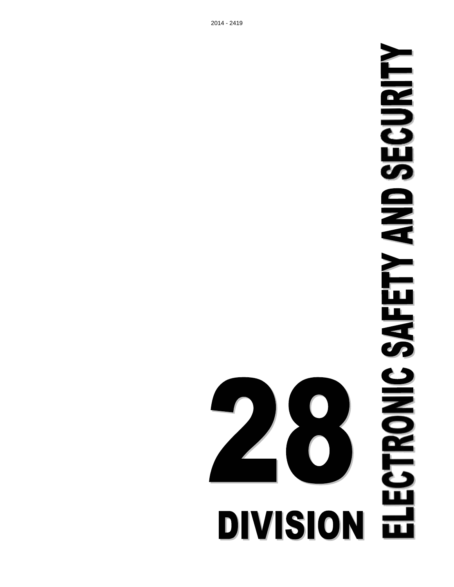# ELECTRONIC SAFETY AND SECURIT

**DIVISION**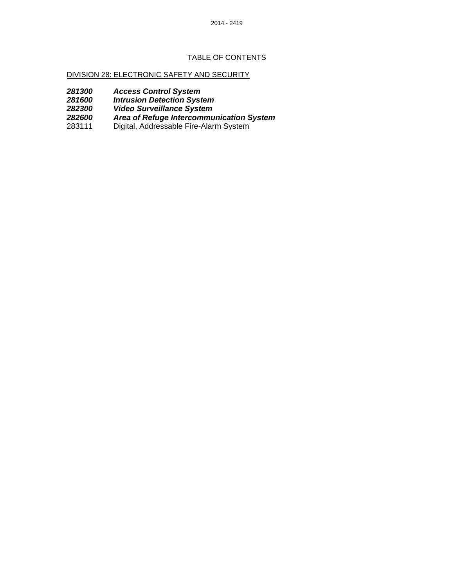#### TABLE OF CONTENTS

#### DIVISION 28: ELECTRONIC SAFETY AND SECURITY

- *Access Control System*
- *Intrusion Detection System*
- *Video Surveillance System*
- *Area of Refuge Intercommunication System*
- Digital, Addressable Fire-Alarm System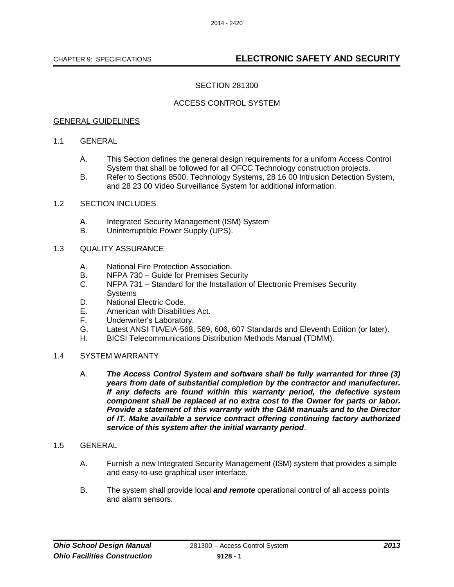#### SECTION 281300

#### ACCESS CONTROL SYSTEM

#### GENERAL GUIDELINES

#### 1.1 GENERAL

- A. This Section defines the general design requirements for a uniform Access Control System that shall be followed for all OFCC Technology construction projects.
- B. Refer to Sections 8500, Technology Systems, 28 16 00 Intrusion Detection System, and 28 23 00 Video Surveillance System for additional information.

#### 1.2 SECTION INCLUDES

- A. Integrated Security Management (ISM) System
- B. Uninterruptible Power Supply (UPS).

#### 1.3 QUALITY ASSURANCE

- A. National Fire Protection Association.
- B. NFPA 730 Guide for Premises Security
- C. NFPA 731 Standard for the Installation of Electronic Premises Security **Systems**
- D. National Electric Code.
- E. American with Disabilities Act.
- F. Underwriter's Laboratory.
- G. Latest ANSI TIA/EIA-568, 569, 606, 607 Standards and Eleventh Edition (or later).
- H. BICSI Telecommunications Distribution Methods Manual (TDMM).
- 1.4 SYSTEM WARRANTY
	- A. *The Access Control System and software shall be fully warranted for three (3) years from date of substantial completion by the contractor and manufacturer. If any defects are found within this warranty period, the defective system component shall be replaced at no extra cost to the Owner for parts or labor. Provide a statement of this warranty with the O&M manuals and to the Director of IT. Make available a service contract offering continuing factory authorized service of this system after the initial warranty period*.

#### 1.5 GENERAL

- A. Furnish a new Integrated Security Management (ISM) system that provides a simple and easy-to-use graphical user interface.
- B. The system shall provide local *and remote* operational control of all access points and alarm sensors.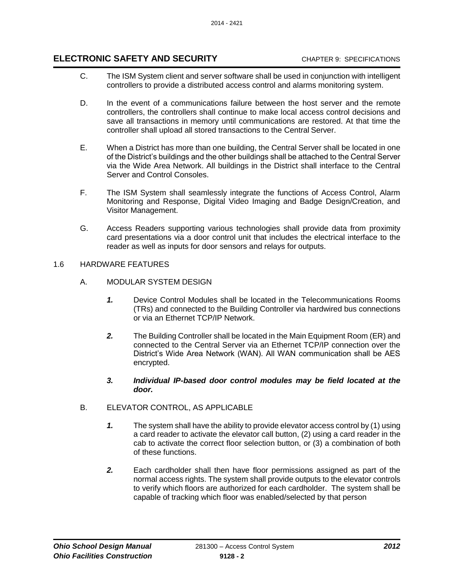- C. The ISM System client and server software shall be used in conjunction with intelligent controllers to provide a distributed access control and alarms monitoring system.
- D. In the event of a communications failure between the host server and the remote controllers, the controllers shall continue to make local access control decisions and save all transactions in memory until communications are restored. At that time the controller shall upload all stored transactions to the Central Server.
- E. When a District has more than one building, the Central Server shall be located in one of the District's buildings and the other buildings shall be attached to the Central Server via the Wide Area Network. All buildings in the District shall interface to the Central Server and Control Consoles.
- F. The ISM System shall seamlessly integrate the functions of Access Control, Alarm Monitoring and Response, Digital Video Imaging and Badge Design/Creation, and Visitor Management.
- G. Access Readers supporting various technologies shall provide data from proximity card presentations via a door control unit that includes the electrical interface to the reader as well as inputs for door sensors and relays for outputs.

#### 1.6 HARDWARE FEATURES

- A. MODULAR SYSTEM DESIGN
	- *1.* Device Control Modules shall be located in the Telecommunications Rooms (TRs) and connected to the Building Controller via hardwired bus connections or via an Ethernet TCP/IP Network.
	- *2.* The Building Controller shall be located in the Main Equipment Room (ER) and connected to the Central Server via an Ethernet TCP/IP connection over the District's Wide Area Network (WAN). All WAN communication shall be AES encrypted.
	- *3. Individual IP-based door control modules may be field located at the door.*
- B. ELEVATOR CONTROL, AS APPLICABLE
	- *1.* The system shall have the ability to provide elevator access control by (1) using a card reader to activate the elevator call button, (2) using a card reader in the cab to activate the correct floor selection button, or (3) a combination of both of these functions.
	- *2.* Each cardholder shall then have floor permissions assigned as part of the normal access rights. The system shall provide outputs to the elevator controls to verify which floors are authorized for each cardholder. The system shall be capable of tracking which floor was enabled/selected by that person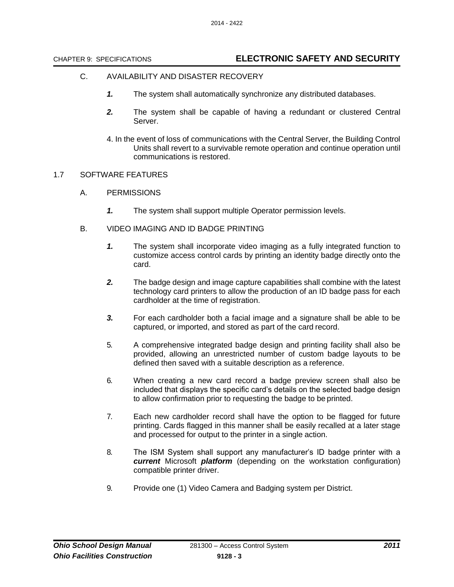- C. AVAILABILITY AND DISASTER RECOVERY
	- *1.* The system shall automatically synchronize any distributed databases.
	- *2.* The system shall be capable of having a redundant or clustered Central Server.
	- 4. In the event of loss of communications with the Central Server, the Building Control Units shall revert to a survivable remote operation and continue operation until communications is restored.

#### 1.7 SOFTWARE FEATURES

- A. PERMISSIONS
	- *1.* The system shall support multiple Operator permission levels.
- B. VIDEO IMAGING AND ID BADGE PRINTING
	- *1.* The system shall incorporate video imaging as a fully integrated function to customize access control cards by printing an identity badge directly onto the card.
	- *2.* The badge design and image capture capabilities shall combine with the latest technology card printers to allow the production of an ID badge pass for each cardholder at the time of registration.
	- *3.* For each cardholder both a facial image and a signature shall be able to be captured, or imported, and stored as part of the card record.
	- 5. A comprehensive integrated badge design and printing facility shall also be provided, allowing an unrestricted number of custom badge layouts to be defined then saved with a suitable description as a reference.
	- 6. When creating a new card record a badge preview screen shall also be included that displays the specific card's details on the selected badge design to allow confirmation prior to requesting the badge to be printed.
	- 7. Each new cardholder record shall have the option to be flagged for future printing. Cards flagged in this manner shall be easily recalled at a later stage and processed for output to the printer in a single action.
	- 8. The ISM System shall support any manufacturer's ID badge printer with a *current* Microsoft *platform* (depending on the workstation configuration) compatible printer driver.
	- 9. Provide one (1) Video Camera and Badging system per District.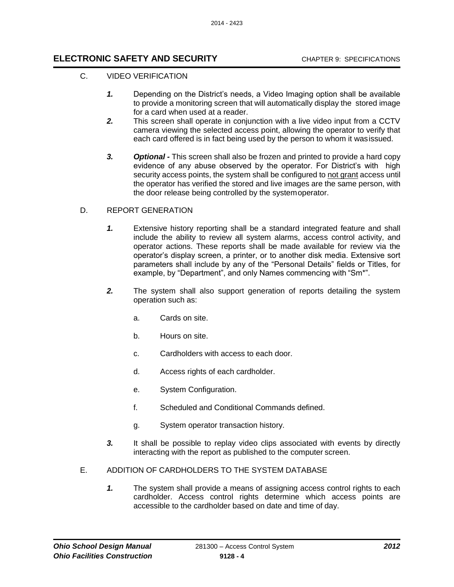## C. VIDEO VERIFICATION

- *1.* Depending on the District's needs, a Video Imaging option shall be available to provide a monitoring screen that will automatically display the stored image for a card when used at a reader.
- *2.* This screen shall operate in conjunction with a live video input from a CCTV camera viewing the selected access point, allowing the operator to verify that each card offered is in fact being used by the person to whom it wasissued.
- *3. Optional -* This screen shall also be frozen and printed to provide a hard copy evidence of any abuse observed by the operator. For District's with high security access points, the system shall be configured to not grant access until the operator has verified the stored and live images are the same person, with the door release being controlled by the systemoperator.

#### D. REPORT GENERATION

- *1.* Extensive history reporting shall be a standard integrated feature and shall include the ability to review all system alarms, access control activity, and operator actions. These reports shall be made available for review via the operator's display screen, a printer, or to another disk media. Extensive sort parameters shall include by any of the "Personal Details" fields or Titles, for example, by "Department", and only Names commencing with "Sm\*".
- *2.* The system shall also support generation of reports detailing the system operation such as:
	- a. Cards on site.
	- b. Hours on site.
	- c. Cardholders with access to each door.
	- d. Access rights of each cardholder.
	- e. System Configuration.
	- f. Scheduled and Conditional Commands defined.
	- g. System operator transaction history.
- *3.* It shall be possible to replay video clips associated with events by directly interacting with the report as published to the computer screen.
- E. ADDITION OF CARDHOLDERS TO THE SYSTEM DATABASE
	- *1.* The system shall provide a means of assigning access control rights to each cardholder. Access control rights determine which access points are accessible to the cardholder based on date and time of day.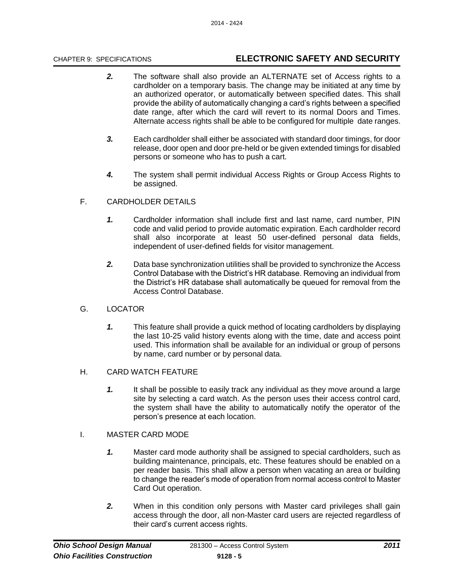- *2.* The software shall also provide an ALTERNATE set of Access rights to a cardholder on a temporary basis. The change may be initiated at any time by an authorized operator, or automatically between specified dates. This shall provide the ability of automatically changing a card's rights between a specified date range, after which the card will revert to its normal Doors and Times. Alternate access rights shall be able to be configured for multiple date ranges.
- *3.* Each cardholder shall either be associated with standard door timings, for door release, door open and door pre-held or be given extended timings for disabled persons or someone who has to push a cart.
- *4.* The system shall permit individual Access Rights or Group Access Rights to be assigned.
- F. CARDHOLDER DETAILS
	- *1.* Cardholder information shall include first and last name, card number, PIN code and valid period to provide automatic expiration. Each cardholder record shall also incorporate at least 50 user-defined personal data fields, independent of user-defined fields for visitor management.
	- *2.* Data base synchronization utilities shall be provided to synchronize the Access Control Database with the District's HR database. Removing an individual from the District's HR database shall automatically be queued for removal from the Access Control Database.
- G. LOCATOR
	- *1.* This feature shall provide a quick method of locating cardholders by displaying the last 10-25 valid history events along with the time, date and access point used. This information shall be available for an individual or group of persons by name, card number or by personal data.
- H. CARD WATCH FEATURE
	- *1.* It shall be possible to easily track any individual as they move around a large site by selecting a card watch. As the person uses their access control card, the system shall have the ability to automatically notify the operator of the person's presence at each location.
- I. MASTER CARD MODE
	- *1.* Master card mode authority shall be assigned to special cardholders, such as building maintenance, principals, etc. These features should be enabled on a per reader basis. This shall allow a person when vacating an area or building to change the reader's mode of operation from normal access control to Master Card Out operation.
	- *2.* When in this condition only persons with Master card privileges shall gain access through the door, all non-Master card users are rejected regardless of their card's current access rights.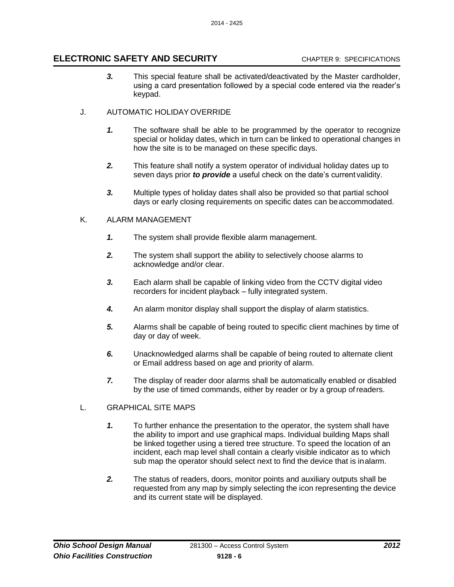*3.* This special feature shall be activated/deactivated by the Master cardholder, using a card presentation followed by a special code entered via the reader's keypad.

#### J. AUTOMATIC HOLIDAY OVERRIDE

- *1.* The software shall be able to be programmed by the operator to recognize special or holiday dates, which in turn can be linked to operational changes in how the site is to be managed on these specific days.
- *2.* This feature shall notify a system operator of individual holiday dates up to seven days prior *to provide* a useful check on the date's current validity.
- *3.* Multiple types of holiday dates shall also be provided so that partial school days or early closing requirements on specific dates can beaccommodated.

#### K. ALARM MANAGEMENT

- *1.* The system shall provide flexible alarm management.
- *2.* The system shall support the ability to selectively choose alarms to acknowledge and/or clear.
- *3.* Each alarm shall be capable of linking video from the CCTV digital video recorders for incident playback – fully integrated system.
- *4.* An alarm monitor display shall support the display of alarm statistics.
- *5.* Alarms shall be capable of being routed to specific client machines by time of day or day of week.
- *6.* Unacknowledged alarms shall be capable of being routed to alternate client or Email address based on age and priority of alarm.
- *7.* The display of reader door alarms shall be automatically enabled or disabled by the use of timed commands, either by reader or by a group ofreaders.
- L. GRAPHICAL SITE MAPS
	- *1.* To further enhance the presentation to the operator, the system shall have the ability to import and use graphical maps. Individual building Maps shall be linked together using a tiered tree structure. To speed the location of an incident, each map level shall contain a clearly visible indicator as to which sub map the operator should select next to find the device that is inalarm.
	- *2.* The status of readers, doors, monitor points and auxiliary outputs shall be requested from any map by simply selecting the icon representing the device and its current state will be displayed.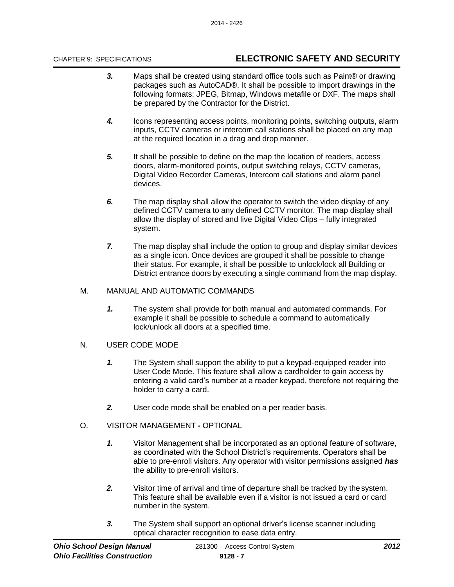- *3.* Maps shall be created using standard office tools such as Paint® or drawing packages such as AutoCAD®. It shall be possible to import drawings in the following formats: JPEG, Bitmap, Windows metafile or DXF. The maps shall be prepared by the Contractor for the District.
- *4.* Icons representing access points, monitoring points, switching outputs, alarm inputs, CCTV cameras or intercom call stations shall be placed on any map at the required location in a drag and drop manner.
- *5.* It shall be possible to define on the map the location of readers, access doors, alarm-monitored points, output switching relays, CCTV cameras, Digital Video Recorder Cameras, Intercom call stations and alarm panel devices.
- *6.* The map display shall allow the operator to switch the video display of any defined CCTV camera to any defined CCTV monitor. The map display shall allow the display of stored and live Digital Video Clips – fully integrated system.
- *7.* The map display shall include the option to group and display similar devices as a single icon. Once devices are grouped it shall be possible to change their status. For example, it shall be possible to unlock/lock all Building or District entrance doors by executing a single command from the map display.

#### M. MANUAL AND AUTOMATIC COMMANDS

- *1.* The system shall provide for both manual and automated commands. For example it shall be possible to schedule a command to automatically lock/unlock all doors at a specified time.
- N. USER CODE MODE
	- *1.* The System shall support the ability to put a keypad-equipped reader into User Code Mode. This feature shall allow a cardholder to gain access by entering a valid card's number at a reader keypad, therefore not requiring the holder to carry a card.
	- *2.* User code mode shall be enabled on a per reader basis.
- O. VISITOR MANAGEMENT *-* OPTIONAL
	- *1.* Visitor Management shall be incorporated as an optional feature of software, as coordinated with the School District's requirements. Operators shall be able to pre-enroll visitors. Any operator with visitor permissions assigned *has*  the ability to pre-enroll visitors.
	- *2.* Visitor time of arrival and time of departure shall be tracked by the system. This feature shall be available even if a visitor is not issued a card or card number in the system.
	- *3.* The System shall support an optional driver's license scanner including optical character recognition to ease data entry.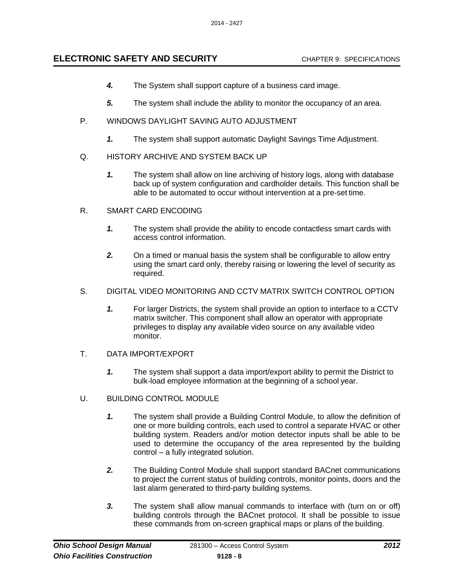- *4.* The System shall support capture of a business card image.
- *5.* The system shall include the ability to monitor the occupancy of an area.
- P. WINDOWS DAYLIGHT SAVING AUTO ADJUSTMENT
	- *1.* The system shall support automatic Daylight Savings Time Adjustment.
- Q. HISTORY ARCHIVE AND SYSTEM BACK UP
	- *1.* The system shall allow on line archiving of history logs, along with database back up of system configuration and cardholder details. This function shall be able to be automated to occur without intervention at a pre-set time.
- R. SMART CARD ENCODING
	- *1.* The system shall provide the ability to encode contactless smart cards with access control information.
	- *2.* On a timed or manual basis the system shall be configurable to allow entry using the smart card only, thereby raising or lowering the level of security as required.
- S. DIGITAL VIDEO MONITORING AND CCTV MATRIX SWITCH CONTROL OPTION
	- *1.* For larger Districts, the system shall provide an option to interface to a CCTV matrix switcher. This component shall allow an operator with appropriate privileges to display any available video source on any available video monitor.
- T. DATA IMPORT/EXPORT
	- *1.* The system shall support a data import/export ability to permit the District to bulk-load employee information at the beginning of a school year.
- U. BUILDING CONTROL MODULE
	- *1.* The system shall provide a Building Control Module, to allow the definition of one or more building controls, each used to control a separate HVAC or other building system. Readers and/or motion detector inputs shall be able to be used to determine the occupancy of the area represented by the building control – a fully integrated solution.
	- *2.* The Building Control Module shall support standard BACnet communications to project the current status of building controls, monitor points, doors and the last alarm generated to third-party building systems.
	- *3.* The system shall allow manual commands to interface with (turn on or off) building controls through the BACnet protocol. It shall be possible to issue these commands from on-screen graphical maps or plans of the building.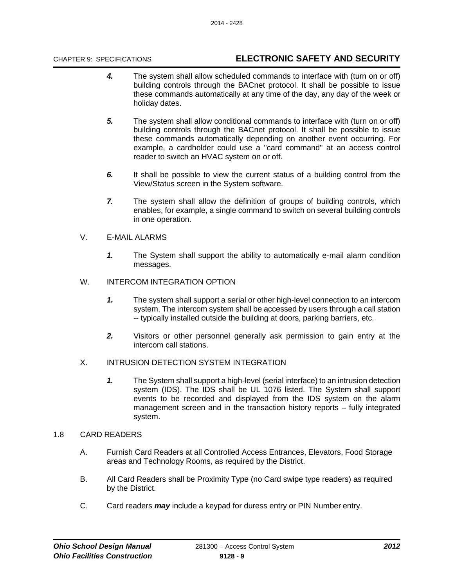- *4.* The system shall allow scheduled commands to interface with (turn on or off) building controls through the BACnet protocol. It shall be possible to issue these commands automatically at any time of the day, any day of the week or holiday dates.
- *5.* The system shall allow conditional commands to interface with (turn on or off) building controls through the BACnet protocol. It shall be possible to issue these commands automatically depending on another event occurring. For example, a cardholder could use a "card command" at an access control reader to switch an HVAC system on or off.
- *6.* It shall be possible to view the current status of a building control from the View/Status screen in the System software.
- *7.* The system shall allow the definition of groups of building controls, which enables, for example, a single command to switch on several building controls in one operation.
- V. E-MAIL ALARMS
	- *1.* The System shall support the ability to automatically e-mail alarm condition messages.
- W. INTERCOM INTEGRATION OPTION
	- *1.* The system shall support a serial or other high-level connection to an intercom system. The intercom system shall be accessed by users through a call station -- typically installed outside the building at doors, parking barriers, etc.
	- *2.* Visitors or other personnel generally ask permission to gain entry at the intercom call stations.
- X. INTRUSION DETECTION SYSTEM INTEGRATION
	- *1.* The System shall support a high-level (serial interface) to an intrusion detection system (IDS). The IDS shall be UL 1076 listed. The System shall support events to be recorded and displayed from the IDS system on the alarm management screen and in the transaction history reports – fully integrated system.

#### 1.8 CARD READERS

- A. Furnish Card Readers at all Controlled Access Entrances, Elevators, Food Storage areas and Technology Rooms, as required by the District.
- B. All Card Readers shall be Proximity Type (no Card swipe type readers) as required by the District.
- C. Card readers *may* include a keypad for duress entry or PIN Number entry.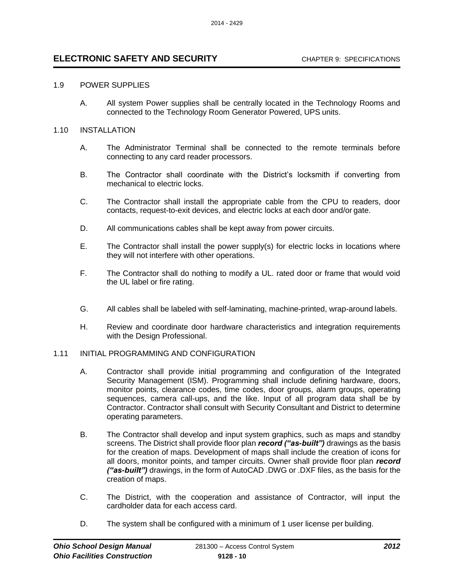#### 1.9 POWER SUPPLIES

A. All system Power supplies shall be centrally located in the Technology Rooms and connected to the Technology Room Generator Powered, UPS units.

#### 1.10 INSTALLATION

- A. The Administrator Terminal shall be connected to the remote terminals before connecting to any card reader processors.
- B. The Contractor shall coordinate with the District's locksmith if converting from mechanical to electric locks.
- C. The Contractor shall install the appropriate cable from the CPU to readers, door contacts, request-to-exit devices, and electric locks at each door and/or gate.
- D. All communications cables shall be kept away from power circuits.
- E. The Contractor shall install the power supply(s) for electric locks in locations where they will not interfere with other operations.
- F. The Contractor shall do nothing to modify a UL. rated door or frame that would void the UL label or fire rating.
- G. All cables shall be labeled with self-laminating, machine-printed, wrap-around labels.
- H. Review and coordinate door hardware characteristics and integration requirements with the Design Professional.

#### 1.11 INITIAL PROGRAMMING AND CONFIGURATION

- A. Contractor shall provide initial programming and configuration of the Integrated Security Management (ISM). Programming shall include defining hardware, doors, monitor points, clearance codes, time codes, door groups, alarm groups, operating sequences, camera call-ups, and the like. Input of all program data shall be by Contractor. Contractor shall consult with Security Consultant and District to determine operating parameters.
- B. The Contractor shall develop and input system graphics, such as maps and standby screens. The District shall provide floor plan *record ("as-built")* drawings as the basis for the creation of maps. Development of maps shall include the creation of icons for all doors, monitor points, and tamper circuits. Owner shall provide floor plan *record ("as-built")* drawings, in the form of AutoCAD .DWG or .DXF files, as the basis for the creation of maps.
- C. The District, with the cooperation and assistance of Contractor, will input the cardholder data for each access card.
- D. The system shall be configured with a minimum of 1 user license per building.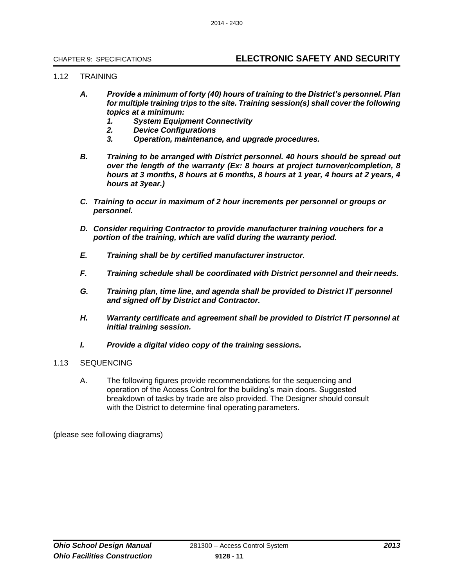#### 1.12 TRAINING

- *A. Provide a minimum of forty (40) hours of training to the District's personnel. Plan for multiple training trips to the site. Training session(s) shall cover the following topics at a minimum:*
	- *1. System Equipment Connectivity*
	- *2. Device Configurations*
	- *3. Operation, maintenance, and upgrade procedures.*
- *B. Training to be arranged with District personnel. 40 hours should be spread out over the length of the warranty (Ex: 8 hours at project turnover/completion, 8 hours at 3 months, 8 hours at 6 months, 8 hours at 1 year, 4 hours at 2 years, 4 hours at 3year.)*
- *C. Training to occur in maximum of 2 hour increments per personnel or groups or personnel.*
- *D. Consider requiring Contractor to provide manufacturer training vouchers for a portion of the training, which are valid during the warranty period.*
- *E. Training shall be by certified manufacturer instructor.*
- *F. Training schedule shall be coordinated with District personnel and their needs.*
- *G. Training plan, time line, and agenda shall be provided to District IT personnel and signed off by District and Contractor.*
- *H. Warranty certificate and agreement shall be provided to District IT personnel at initial training session.*
- *I. Provide a digital video copy of the training sessions.*

#### 1.13 SEQUENCING

A. The following figures provide recommendations for the sequencing and operation of the Access Control for the building's main doors. Suggested breakdown of tasks by trade are also provided. The Designer should consult with the District to determine final operating parameters.

(please see following diagrams)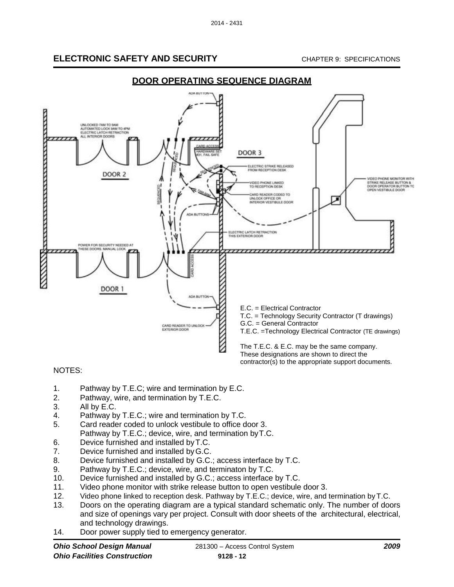

## NOTES:

- 1. Pathway by T.E.C; wire and termination by E.C.
- 2. Pathway, wire, and termination by T.E.C.
- 3. All by E.C.
- 4. Pathway by T.E.C.; wire and termination by T.C.
- 5. Card reader coded to unlock vestibule to office door 3. Pathway by T.E.C.; device, wire, and termination byT.C.
- 6. Device furnished and installed byT.C.
- 7. Device furnished and installed byG.C.
- 8. Device furnished and installed by G.C.; access interface by T.C.
- 9. Pathway by T.E.C.; device, wire, and terminaton by T.C.
- 10. Device furnished and installed by G.C.; access interface by T.C.
- 11. Video phone monitor with strike release button to open vestibule door 3.
- 12. Video phone linked to reception desk. Pathway by T.E.C.; device, wire, and termination byT.C.
- 13. Doors on the operating diagram are a typical standard schematic only. The number of doors and size of openings vary per project. Consult with door sheets of the architectural, electrical, and technology drawings.
- 14. Door power supply tied to emergency generator.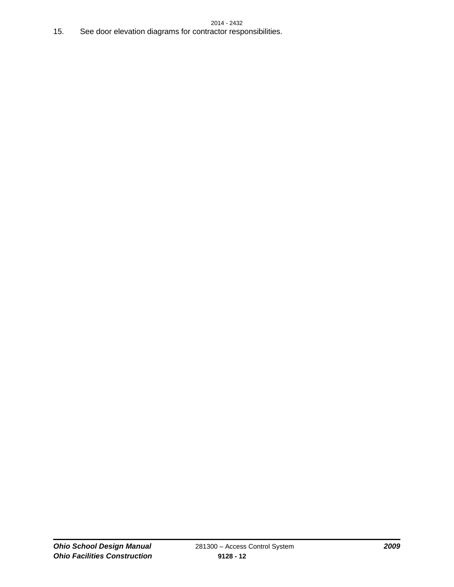2014 - 2432

15. See door elevation diagrams for contractor responsibilities.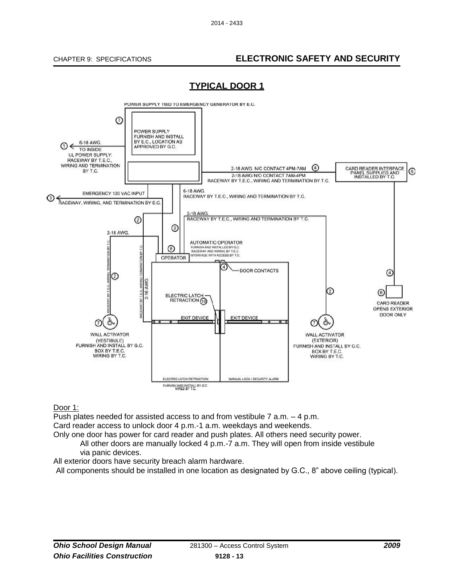

# **TYPICAL DOOR 1**

Door 1:

Push plates needed for assisted access to and from vestibule  $7$  a.m.  $-4$  p.m.

Card reader access to unlock door 4 p.m.-1 a.m. weekdays and weekends.

Only one door has power for card reader and push plates. All others need security power.

All other doors are manually locked 4 p.m.-7 a.m. They will open from inside vestibule via panic devices.

All exterior doors have security breach alarm hardware.

All components should be installed in one location as designated by G.C., 8" above ceiling (typical).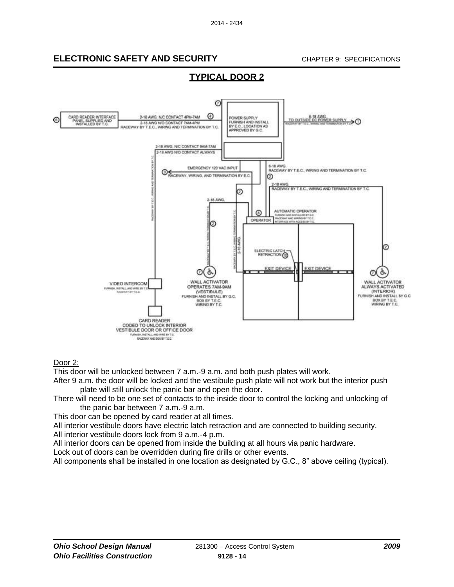

# **TYPICAL DOOR 2**

#### Door 2:

This door will be unlocked between 7 a.m.-9 a.m. and both push plates will work.

After 9 a.m. the door will be locked and the vestibule push plate will not work but the interior push plate will still unlock the panic bar and open the door.

There will need to be one set of contacts to the inside door to control the locking and unlocking of the panic bar between 7 a.m.-9 a.m.

This door can be opened by card reader at all times.

All interior vestibule doors have electric latch retraction and are connected to building security.

All interior vestibule doors lock from 9 a.m.-4 p.m.

All interior doors can be opened from inside the building at all hours via panic hardware.

Lock out of doors can be overridden during fire drills or other events.

All components shall be installed in one location as designated by G.C., 8" above ceiling (typical).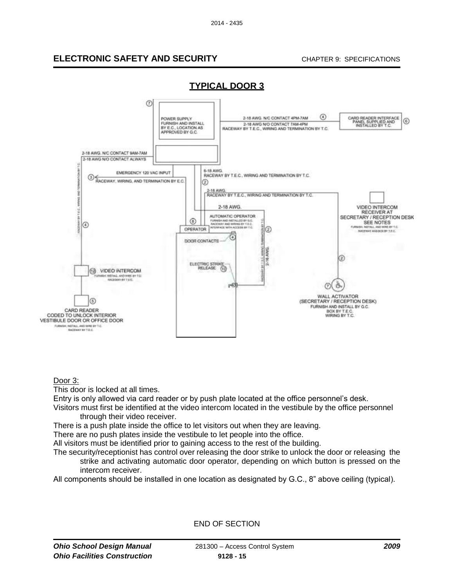

## **TYPICAL DOOR 3**

#### Door 3:

This door is locked at all times.

Entry is only allowed via card reader or by push plate located at the office personnel's desk.

Visitors must first be identified at the video intercom located in the vestibule by the office personnel through their video receiver.

There is a push plate inside the office to let visitors out when they are leaving.

There are no push plates inside the vestibule to let people into the office.

All visitors must be identified prior to gaining access to the rest of the building.

The security/receptionist has control over releasing the door strike to unlock the door or releasing the strike and activating automatic door operator, depending on which button is pressed on the intercom receiver.

All components should be installed in one location as designated by G.C., 8" above ceiling (typical).

END OF SECTION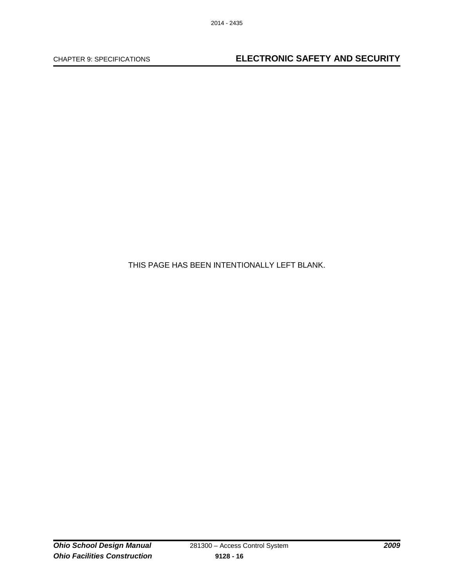THIS PAGE HAS BEEN INTENTIONALLY LEFT BLANK.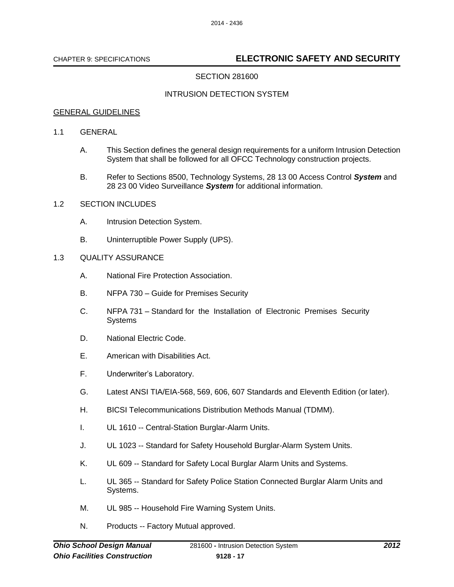#### SECTION 281600

#### INTRUSION DETECTION SYSTEM

#### GENERAL GUIDELINES

#### 1.1 GENERAL

- A. This Section defines the general design requirements for a uniform Intrusion Detection System that shall be followed for all OFCC Technology construction projects.
- B. Refer to Sections 8500, Technology Systems, 28 13 00 Access Control *System* and 28 23 00 Video Surveillance *System* for additional information.

#### 1.2 SECTION INCLUDES

- A. Intrusion Detection System.
- B. Uninterruptible Power Supply (UPS).

#### 1.3 QUALITY ASSURANCE

- A. National Fire Protection Association.
- B. NFPA 730 Guide for Premises Security
- C. NFPA 731 Standard for the Installation of Electronic Premises Security Systems
- D. National Electric Code.
- E. American with Disabilities Act.
- F. Underwriter's Laboratory.
- G. Latest ANSI TIA/EIA-568, 569, 606, 607 Standards and Eleventh Edition (or later).
- H. BICSI Telecommunications Distribution Methods Manual (TDMM).
- I. UL 1610 -- Central-Station Burglar-Alarm Units.
- J. UL 1023 -- Standard for Safety Household Burglar-Alarm System Units.
- K. UL 609 -- Standard for Safety Local Burglar Alarm Units and Systems.
- L. UL 365 -- Standard for Safety Police Station Connected Burglar Alarm Units and Systems.
- M. UL 985 -- Household Fire Warning System Units.
- N. Products -- Factory Mutual approved.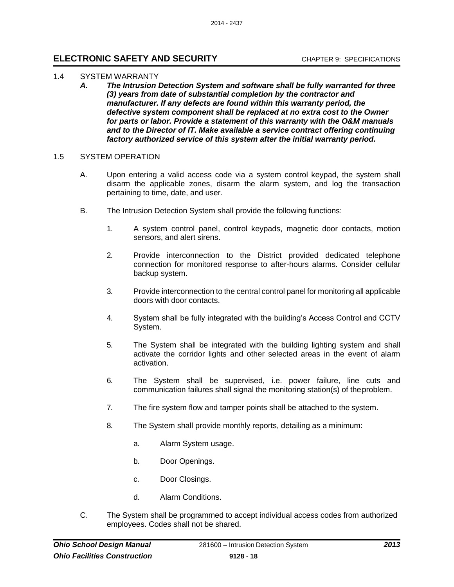# 1.4 SYSTEM WARRANTY<br>**A.** The Intrusion I

**The Intrusion Detection System and software shall be fully warranted for three** *(3) years from date of substantial completion by the contractor and manufacturer. If any defects are found within this warranty period, the defective system component shall be replaced at no extra cost to the Owner for parts or labor. Provide a statement of this warranty with the O&M manuals and to the Director of IT. Make available a service contract offering continuing factory authorized service of this system after the initial warranty period.*

#### 1.5 SYSTEM OPERATION

- A. Upon entering a valid access code via a system control keypad, the system shall disarm the applicable zones, disarm the alarm system, and log the transaction pertaining to time, date, and user.
- B. The Intrusion Detection System shall provide the following functions:
	- 1. A system control panel, control keypads, magnetic door contacts, motion sensors, and alert sirens.
	- 2. Provide interconnection to the District provided dedicated telephone connection for monitored response to after-hours alarms. Consider cellular backup system.
	- 3. Provide interconnection to the central control panel for monitoring all applicable doors with door contacts.
	- 4. System shall be fully integrated with the building's Access Control and CCTV System.
	- 5. The System shall be integrated with the building lighting system and shall activate the corridor lights and other selected areas in the event of alarm activation.
	- 6. The System shall be supervised, i.e. power failure, line cuts and communication failures shall signal the monitoring station(s) of theproblem.
	- 7. The fire system flow and tamper points shall be attached to the system.
	- 8. The System shall provide monthly reports, detailing as a minimum:
		- a. Alarm System usage.
		- b. Door Openings.
		- c. Door Closings.
		- d. Alarm Conditions.
- C. The System shall be programmed to accept individual access codes from authorized employees. Codes shall not be shared.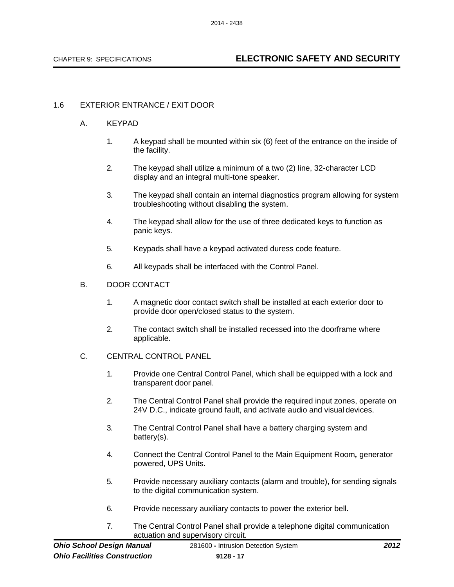#### 1.6 EXTERIOR ENTRANCE / EXIT DOOR

#### A. KEYPAD

- 1. A keypad shall be mounted within six (6) feet of the entrance on the inside of the facility.
- 2. The keypad shall utilize a minimum of a two (2) line, 32-character LCD display and an integral multi-tone speaker.
- 3. The keypad shall contain an internal diagnostics program allowing for system troubleshooting without disabling the system.
- 4. The keypad shall allow for the use of three dedicated keys to function as panic keys.
- 5. Keypads shall have a keypad activated duress code feature.
- 6. All keypads shall be interfaced with the Control Panel.
- B. DOOR CONTACT
	- 1. A magnetic door contact switch shall be installed at each exterior door to provide door open/closed status to the system.
	- 2. The contact switch shall be installed recessed into the doorframe where applicable.
- C. CENTRAL CONTROL PANEL
	- 1. Provide one Central Control Panel, which shall be equipped with a lock and transparent door panel.
	- 2. The Central Control Panel shall provide the required input zones, operate on 24V D.C., indicate ground fault, and activate audio and visual devices.
	- 3. The Central Control Panel shall have a battery charging system and battery(s).
	- 4. Connect the Central Control Panel to the Main Equipment Room*,* generator powered, UPS Units.
	- 5. Provide necessary auxiliary contacts (alarm and trouble), for sending signals to the digital communication system.
	- 6. Provide necessary auxiliary contacts to power the exterior bell.
	- 7. The Central Control Panel shall provide a telephone digital communication actuation and supervisory circuit.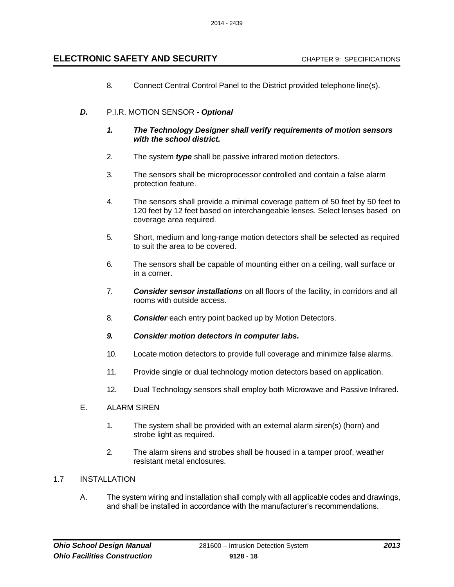8. Connect Central Control Panel to the District provided telephone line(s).

## *D.* P.I.R. MOTION SENSOR *- Optional*

- *1. The Technology Designer shall verify requirements of motion sensors with the school district.*
- 2. The system *type* shall be passive infrared motion detectors.
- 3. The sensors shall be microprocessor controlled and contain a false alarm protection feature.
- 4. The sensors shall provide a minimal coverage pattern of 50 feet by 50 feet to 120 feet by 12 feet based on interchangeable lenses. Select lenses based on coverage area required.
- 5. Short, medium and long-range motion detectors shall be selected as required to suit the area to be covered.
- 6. The sensors shall be capable of mounting either on a ceiling, wall surface or in a corner.
- 7. *Consider sensor installations* on all floors of the facility, in corridors and all rooms with outside access.
- 8. *Consider* each entry point backed up by Motion Detectors.
- *9. Consider motion detectors in computer labs.*
- 10. Locate motion detectors to provide full coverage and minimize false alarms.
- 11. Provide single or dual technology motion detectors based on application.
- 12. Dual Technology sensors shall employ both Microwave and Passive Infrared.

## E. ALARM SIREN

- 1. The system shall be provided with an external alarm siren(s) (horn) and strobe light as required.
- 2. The alarm sirens and strobes shall be housed in a tamper proof, weather resistant metal enclosures.

## 1.7 INSTALLATION

A. The system wiring and installation shall comply with all applicable codes and drawings, and shall be installed in accordance with the manufacturer's recommendations.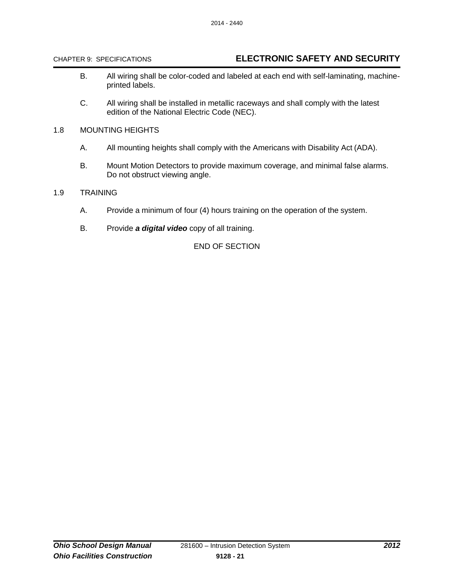- B. All wiring shall be color-coded and labeled at each end with self-laminating, machineprinted labels.
- C. All wiring shall be installed in metallic raceways and shall comply with the latest edition of the National Electric Code (NEC).

#### 1.8 MOUNTING HEIGHTS

- A. All mounting heights shall comply with the Americans with Disability Act (ADA).
- B. Mount Motion Detectors to provide maximum coverage, and minimal false alarms. Do not obstruct viewing angle.

## 1.9 TRAINING

- A. Provide a minimum of four (4) hours training on the operation of the system.
- B. Provide *a digital video* copy of all training.

END OF SECTION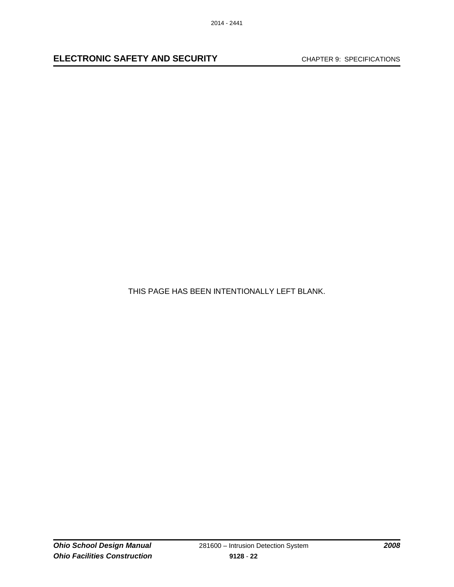THIS PAGE HAS BEEN INTENTIONALLY LEFT BLANK.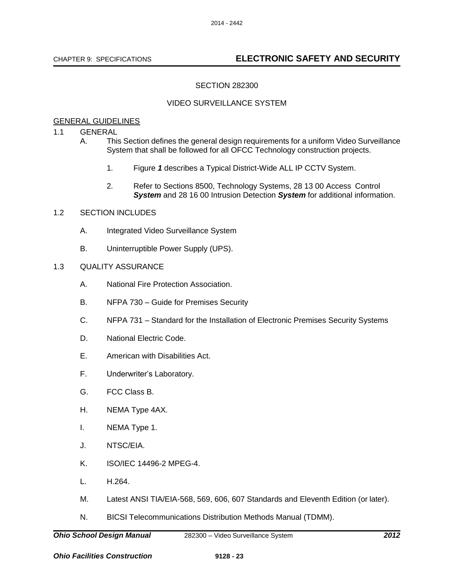#### SECTION 282300

#### VIDEO SURVEILLANCE SYSTEM

#### GENERAL GUIDELINES

#### 1.1 GENERAL

- A. This Section defines the general design requirements for a uniform Video Surveillance System that shall be followed for all OFCC Technology construction projects.
	- 1. Figure *1* describes a Typical District-Wide ALL IP CCTV System.
	- 2. Refer to Sections 8500, Technology Systems, 28 13 00 Access Control *System* and 28 16 00 Intrusion Detection *System* for additional information.

#### 1.2 SECTION INCLUDES

- A. Integrated Video Surveillance System
- B. Uninterruptible Power Supply (UPS).

#### 1.3 QUALITY ASSURANCE

- A. National Fire Protection Association.
- B. NFPA 730 Guide for Premises Security
- C. NFPA 731 Standard for the Installation of Electronic Premises Security Systems
- D. National Electric Code.
- E. American with Disabilities Act.
- F. Underwriter's Laboratory.
- G. FCC Class B.
- H. NEMA Type 4AX.
- I. NEMA Type 1.
- J. NTSC/EIA.
- K. ISO/IEC 14496-2 MPEG-4.
- L. H.264.
- M. Latest ANSI TIA/EIA-568, 569, 606, 607 Standards and Eleventh Edition (or later).
- N. BICSI Telecommunications Distribution Methods Manual (TDMM).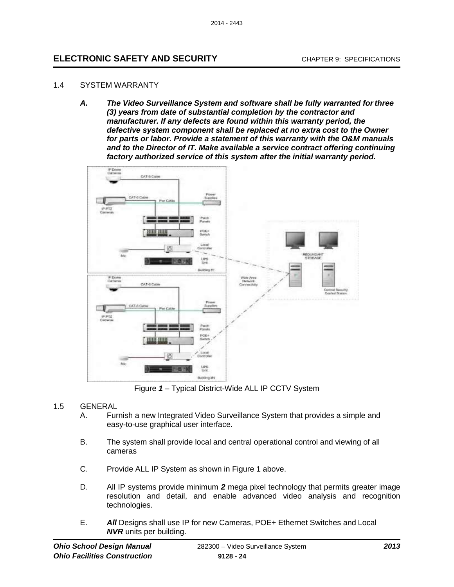#### 1.4 SYSTEM WARRANTY

*A. The Video Surveillance System and software shall be fully warranted forthree (3) years from date of substantial completion by the contractor and manufacturer. If any defects are found within this warranty period, the defective system component shall be replaced at no extra cost to the Owner for parts or labor. Provide a statement of this warranty with the O&M manuals and to the Director of IT. Make available a service contract offering continuing factory authorized service of this system after the initial warranty period.*



Figure *1* – Typical District-Wide ALL IP CCTV System

## 1.5 GENERAL

- A. Furnish a new Integrated Video Surveillance System that provides a simple and easy-to-use graphical user interface.
- B. The system shall provide local and central operational control and viewing of all cameras
- C. Provide ALL IP System as shown in Figure 1 above.
- D. All IP systems provide minimum *2* mega pixel technology that permits greater image resolution and detail, and enable advanced video analysis and recognition technologies.
- E. *All* Designs shall use IP for new Cameras, POE+ Ethernet Switches and Local *NVR* units per building.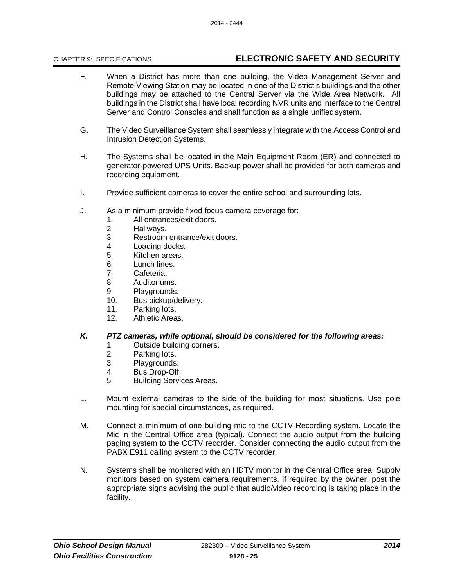- F. When a District has more than one building, the Video Management Server and Remote Viewing Station may be located in one of the District's buildings and the other buildings may be attached to the Central Server via the Wide Area Network. All buildings in the District shall have local recording NVR units and interface to the Central Server and Control Consoles and shall function as a single unifiedsystem.
- G. The Video Surveillance System shall seamlessly integrate with the Access Control and Intrusion Detection Systems.
- H. The Systems shall be located in the Main Equipment Room (ER) and connected to generator-powered UPS Units. Backup power shall be provided for both cameras and recording equipment.
- I. Provide sufficient cameras to cover the entire school and surrounding lots.
- J. As a minimum provide fixed focus camera coverage for:
	- 1. All entrances/exit doors.
	- 2. Hallways.
	- 3. Restroom entrance/exit doors.
	- 4. Loading docks.
	- 5. Kitchen areas.
	- 6. Lunch lines.
	- 7. Cafeteria.
	- 8. Auditoriums.
	- 9. Playgrounds.
	- 10. Bus pickup/delivery.
	- 11. Parking lots.
	- 12. Athletic Areas.

#### *K. PTZ cameras, while optional, should be considered for the following areas:*

- 1. Outside building corners.
- 2. Parking lots.
- 3. Playgrounds.
- 4. Bus Drop-Off.
- 5. Building Services Areas.
- L. Mount external cameras to the side of the building for most situations. Use pole mounting for special circumstances, as required.
- M. Connect a minimum of one building mic to the CCTV Recording system. Locate the Mic in the Central Office area (typical). Connect the audio output from the building paging system to the CCTV recorder. Consider connecting the audio output from the PABX E911 calling system to the CCTV recorder.
- N. Systems shall be monitored with an HDTV monitor in the Central Office area. Supply monitors based on system camera requirements. If required by the owner, post the appropriate signs advising the public that audio/video recording is taking place in the facility.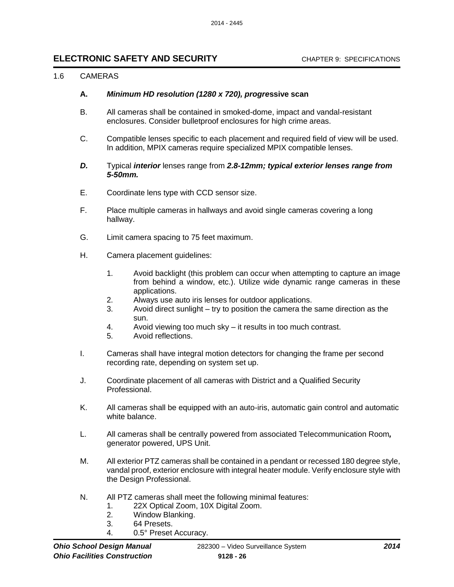#### 1.6 CAMERAS

#### **A.** *Minimum HD resolution (1280 x 720), progre***ssive scan**

- B. All cameras shall be contained in smoked-dome, impact and vandal-resistant enclosures. Consider bulletproof enclosures for high crime areas.
- C. Compatible lenses specific to each placement and required field of view will be used. In addition, MPIX cameras require specialized MPIX compatible lenses.
- *D.* Typical *interior* lenses range from *2.8-12mm; typical exterior lenses range from 5-50mm.*
- E. Coordinate lens type with CCD sensor size.
- F. Place multiple cameras in hallways and avoid single cameras covering a long hallway.
- G. Limit camera spacing to 75 feet maximum.
- H. Camera placement guidelines:
	- 1. Avoid backlight (this problem can occur when attempting to capture an image from behind a window, etc.). Utilize wide dynamic range cameras in these applications.
	- 2. Always use auto iris lenses for outdoor applications.
	- 3. Avoid direct sunlight try to position the camera the same direction as the sun.
	- 4. Avoid viewing too much sky it results in too much contrast.
	- 5. Avoid reflections.
- I. Cameras shall have integral motion detectors for changing the frame per second recording rate, depending on system set up.
- J. Coordinate placement of all cameras with District and a Qualified Security Professional.
- K. All cameras shall be equipped with an auto-iris, automatic gain control and automatic white balance.
- L. All cameras shall be centrally powered from associated Telecommunication Room*,*  generator powered, UPS Unit.
- M. All exterior PTZ cameras shall be contained in a pendant or recessed 180 degree style, vandal proof, exterior enclosure with integral heater module. Verify enclosure style with the Design Professional.
- N. All PTZ cameras shall meet the following minimal features:
	- 1. 22X Optical Zoom, 10X Digital Zoom.
	- 2. Window Blanking.
	- 3. 64 Presets.
	- 4. 0.5° Preset Accuracy.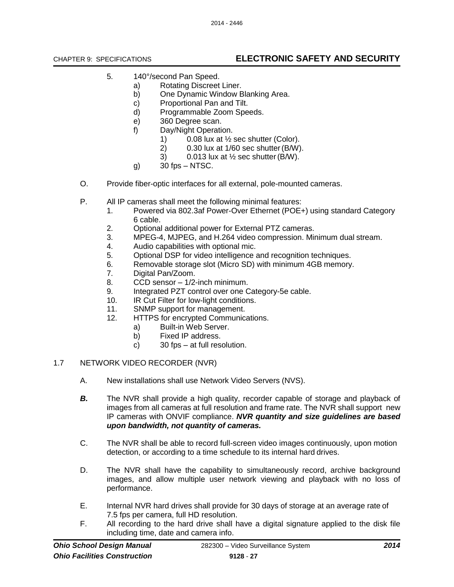- 5. 140°/second Pan Speed.
	- a) Rotating Discreet Liner.
	- b) One Dynamic Window Blanking Area.
	- c) Proportional Pan and Tilt.
	- d) Programmable Zoom Speeds.
	- e) 360 Degree scan.
	- f) Day/Night Operation.
		- 1)  $0.08$  lux at  $\frac{1}{2}$  sec shutter (Color).
		- 2) 0.30 lux at 1/60 sec shutter(B/W).
		- 3) 0.013 lux at  $\frac{1}{2}$  sec shutter (B/W).
	- $q)$  30 fps NTSC.
- O. Provide fiber-optic interfaces for all external, pole-mounted cameras.
- P. All IP cameras shall meet the following minimal features:
	- 1. Powered via 802.3af Power-Over Ethernet (POE+) using standard Category 6 cable.
	- 2. Optional additional power for External PTZ cameras.
	- 3. MPEG-4, MJPEG, and H.264 video compression. Minimum dual stream.
	- 4. Audio capabilities with optional mic.
	- 5. Optional DSP for video intelligence and recognition techniques.
	- 6. Removable storage slot (Micro SD) with minimum 4GB memory.
	- 7. Digital Pan/Zoom.
	- 8. CCD sensor 1/2-inch minimum.
	- 9. Integrated PZT control over one Category-5e cable.
	- 10. IR Cut Filter for low-light conditions.
	- 11. SNMP support for management.
	- 12. HTTPS for encrypted Communications.
		- a) Built-in Web Server.
			- b) Fixed IP address.
			- c) 30 fps at full resolution.
- 1.7 NETWORK VIDEO RECORDER (NVR)
	- A. New installations shall use Network Video Servers (NVS).
	- **B.** The NVR shall provide a high quality, recorder capable of storage and playback of images from all cameras at full resolution and frame rate. The NVR shall support new IP cameras with ONVIF compliance. *NVR quantity and size guidelines are based upon bandwidth, not quantity of cameras.*
	- C. The NVR shall be able to record full-screen video images continuously, upon motion detection, or according to a time schedule to its internal hard drives.
	- D. The NVR shall have the capability to simultaneously record, archive background images, and allow multiple user network viewing and playback with no loss of performance.
	- E. Internal NVR hard drives shall provide for 30 days of storage at an average rate of 7.5 fps per camera, full HD resolution.
	- F. All recording to the hard drive shall have a digital signature applied to the disk file including time, date and camera info.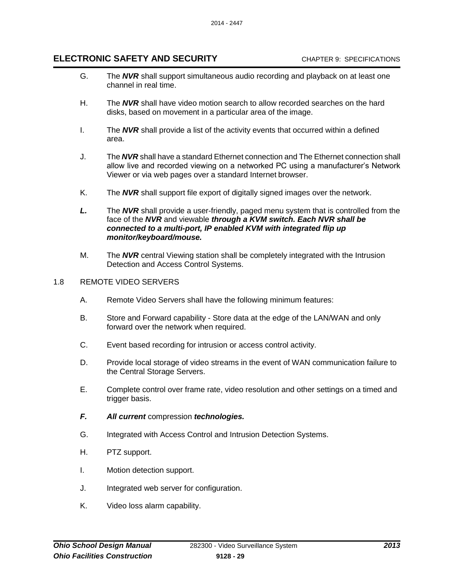- G. The *NVR* shall support simultaneous audio recording and playback on at least one channel in real time.
- H. The *NVR* shall have video motion search to allow recorded searches on the hard disks, based on movement in a particular area of the image.
- I. The *NVR* shall provide a list of the activity events that occurred within a defined area.
- J. The *NVR* shall have a standard Ethernet connection and The Ethernet connection shall allow live and recorded viewing on a networked PC using a manufacturer's Network Viewer or via web pages over a standard Internet browser.
- K. The *NVR* shall support file export of digitally signed images over the network.
- *L.* The *NVR* shall provide a user-friendly, paged menu system that is controlled from the face of the *NVR* and viewable *through a KVM switch. Each NVR shall be connected to a multi-port, IP enabled KVM with integrated flip up monitor/keyboard/mouse.*
- M. The *NVR* central Viewing station shall be completely integrated with the Intrusion Detection and Access Control Systems.

#### 1.8 REMOTE VIDEO SERVERS

- A. Remote Video Servers shall have the following minimum features:
- B. Store and Forward capability Store data at the edge of the LAN/WAN and only forward over the network when required.
- C. Event based recording for intrusion or access control activity.
- D. Provide local storage of video streams in the event of WAN communication failure to the Central Storage Servers.
- E. Complete control over frame rate, video resolution and other settings on a timed and trigger basis.
- *F. All current* compression *technologies.*
- G. Integrated with Access Control and Intrusion Detection Systems.
- H. PTZ support.
- I. Motion detection support.
- J. Integrated web server for configuration.
- K. Video loss alarm capability.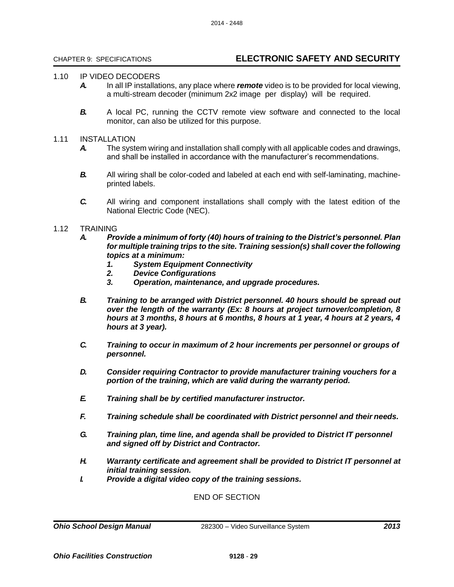#### 1.10 IP VIDEO DECODERS

- *A.* In all IP installations, any place where *remote* video is to be provided for local viewing, a multi-stream decoder (minimum 2x2 image per display) will be required.
- **B.** A local PC, running the CCTV remote view software and connected to the local monitor, can also be utilized for this purpose.

#### 1.11 INSTALLATION

- *A.* The system wiring and installation shall comply with all applicable codes and drawings, and shall be installed in accordance with the manufacturer's recommendations.
- **B.** All wiring shall be color-coded and labeled at each end with self-laminating, machineprinted labels.
- *C.* All wiring and component installations shall comply with the latest edition of the National Electric Code (NEC).

#### 1.12 TRAINING

- *A. Provide a minimum of forty (40) hours of training to the District's personnel. Plan for multiple training trips to the site. Training session(s) shall cover the following topics at a minimum:*
	- *1. System Equipment Connectivity*
	- *2. Device Configurations*
	- *3. Operation, maintenance, and upgrade procedures.*
- *B. Training to be arranged with District personnel. 40 hours should be spread out over the length of the warranty (Ex: 8 hours at project turnover/completion, 8 hours at 3 months, 8 hours at 6 months, 8 hours at 1 year, 4 hours at 2 years, 4 hours at 3 year).*
- *C. Training to occur in maximum of 2 hour increments per personnel or groups of personnel.*
- *D. Consider requiring Contractor to provide manufacturer training vouchers for a portion of the training, which are valid during the warranty period.*
- *E. Training shall be by certified manufacturer instructor.*
- *F. Training schedule shall be coordinated with District personnel and their needs.*
- *G. Training plan, time line, and agenda shall be provided to District IT personnel and signed off by District and Contractor.*
- *H. Warranty certificate and agreement shall be provided to District IT personnel at initial training session.*
- *I. Provide a digital video copy of the training sessions.*

## END OF SECTION

*Ohio School Design Manual* 282300 – Video Surveillance System *2013*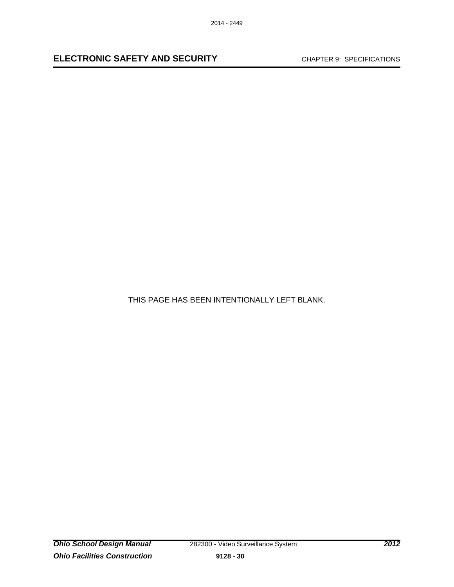THIS PAGE HAS BEEN INTENTIONALLY LEFT BLANK.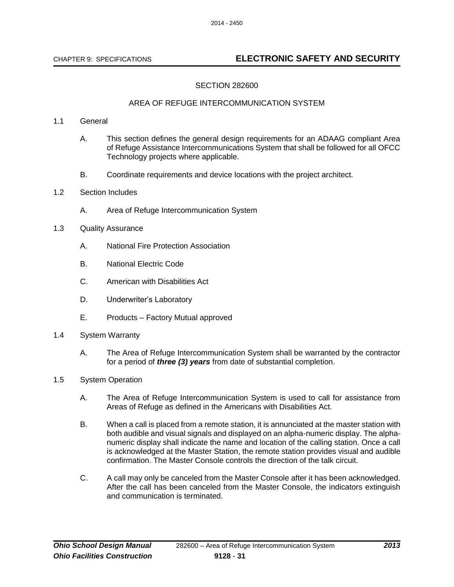### CHAPTER 9: SPECIFICATIONS **ELECTRONIC SAFETY AND SECURITY**

### SECTION 282600

### AREA OF REFUGE INTERCOMMUNICATION SYSTEM

### 1.1 General

- A. This section defines the general design requirements for an ADAAG compliant Area of Refuge Assistance Intercommunications System that shall be followed for all OFCC Technology projects where applicable.
- B. Coordinate requirements and device locations with the project architect.
- 1.2 Section Includes
	- A. Area of Refuge Intercommunication System
- 1.3 Quality Assurance
	- A. National Fire Protection Association
	- B. National Electric Code
	- C. American with Disabilities Act
	- D. Underwriter's Laboratory
	- E. Products Factory Mutual approved
- 1.4 System Warranty
	- A. The Area of Refuge Intercommunication System shall be warranted by the contractor for a period of *three (3) years* from date of substantial completion.
- 1.5 System Operation
	- A. The Area of Refuge Intercommunication System is used to call for assistance from Areas of Refuge as defined in the Americans with Disabilities Act.
	- B. When a call is placed from a remote station, it is annunciated at the master station with both audible and visual signals and displayed on an alpha-numeric display. The alphanumeric display shall indicate the name and location of the calling station. Once a call is acknowledged at the Master Station, the remote station provides visual and audible confirmation. The Master Console controls the direction of the talk circuit.
	- C. A call may only be canceled from the Master Console after it has been acknowledged. After the call has been canceled from the Master Console, the indicators extinguish and communication is terminated.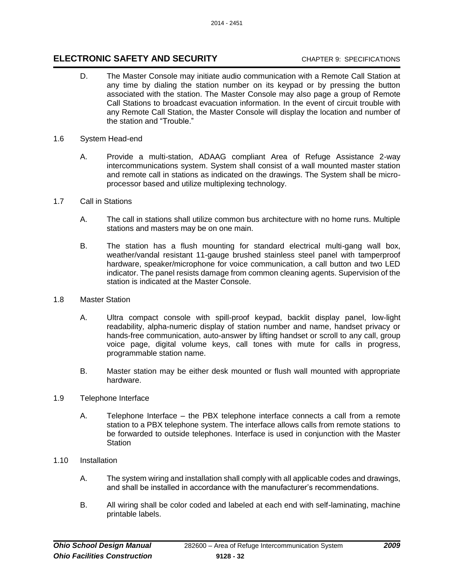## **ELECTRONIC SAFETY AND SECURITY** CHAPTER 9: SPECIFICATIONS

- D. The Master Console may initiate audio communication with a Remote Call Station at any time by dialing the station number on its keypad or by pressing the button associated with the station. The Master Console may also page a group of Remote Call Stations to broadcast evacuation information. In the event of circuit trouble with any Remote Call Station, the Master Console will display the location and number of the station and "Trouble."
- 1.6 System Head-end
	- A. Provide a multi-station, ADAAG compliant Area of Refuge Assistance 2-way intercommunications system. System shall consist of a wall mounted master station and remote call in stations as indicated on the drawings. The System shall be microprocessor based and utilize multiplexing technology.
- 1.7 Call in Stations
	- A. The call in stations shall utilize common bus architecture with no home runs. Multiple stations and masters may be on one main.
	- B. The station has a flush mounting for standard electrical multi-gang wall box, weather/vandal resistant 11-gauge brushed stainless steel panel with tamperproof hardware, speaker/microphone for voice communication, a call button and two LED indicator. The panel resists damage from common cleaning agents. Supervision of the station is indicated at the Master Console.
- 1.8 Master Station
	- A. Ultra compact console with spill-proof keypad, backlit display panel, low-light readability, alpha-numeric display of station number and name, handset privacy or hands-free communication, auto-answer by lifting handset or scroll to any call, group voice page, digital volume keys, call tones with mute for calls in progress, programmable station name.
	- B. Master station may be either desk mounted or flush wall mounted with appropriate hardware.
- 1.9 Telephone Interface
	- A. Telephone Interface the PBX telephone interface connects a call from a remote station to a PBX telephone system. The interface allows calls from remote stations to be forwarded to outside telephones. Interface is used in conjunction with the Master **Station**
- 1.10 Installation
	- A. The system wiring and installation shall comply with all applicable codes and drawings, and shall be installed in accordance with the manufacturer's recommendations.
	- B. All wiring shall be color coded and labeled at each end with self-laminating, machine printable labels.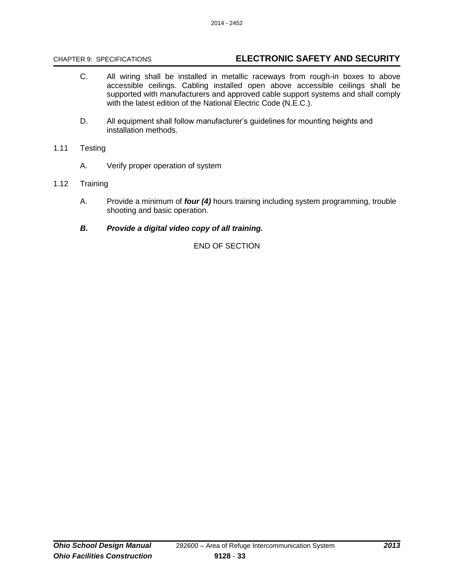# CHAPTER 9: SPECIFICATIONS **ELECTRONIC SAFETY AND SECURITY**

- C. All wiring shall be installed in metallic raceways from rough-in boxes to above accessible ceilings. Cabling installed open above accessible ceilings shall be supported with manufacturers and approved cable support systems and shall comply with the latest edition of the National Electric Code (N.E.C.).
- D. All equipment shall follow manufacturer's guidelines for mounting heights and installation methods.
- 1.11 Testing
	- A. Verify proper operation of system
- 1.12 Training
	- A. Provide a minimum of *four (4)* hours training including system programming, trouble shooting and basic operation.
	- *B. Provide a digital video copy of all training.*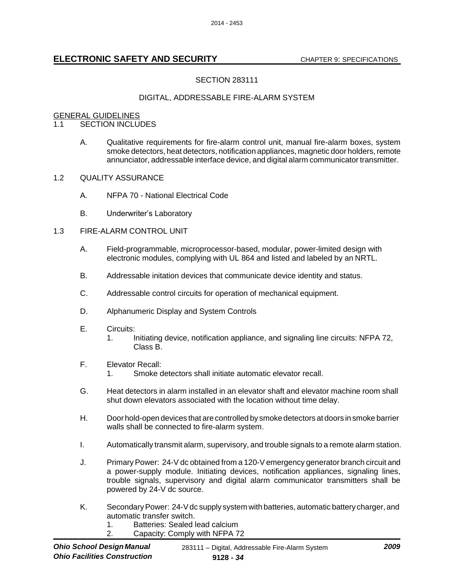## **ELECTRONIC SAFETY AND SECURITY** CHAPTER 9: SPECIFICATIONS

### SECTION 283111

### DIGITAL, ADDRESSABLE FIRE-ALARM SYSTEM

### GENERAL GUIDELINES

### 1.1 SECTION INCLUDES

- A. Qualitative requirements for fire-alarm control unit, manual fire-alarm boxes, system smoke detectors, heat detectors, notification appliances, magnetic door holders, remote annunciator, addressable interface device, and digital alarm communicator transmitter.
- 1.2 QUALITY ASSURANCE
	- A. NFPA 70 National Electrical Code
	- B. Underwriter's Laboratory

### 1.3 FIRE-ALARM CONTROL UNIT

- A. Field-programmable, microprocessor-based, modular, power-limited design with electronic modules, complying with UL 864 and listed and labeled by an NRTL.
- B. Addressable initation devices that communicate device identity and status.
- C. Addressable control circuits for operation of mechanical equipment.
- D. Alphanumeric Display and System Controls
- E. Circuits:
	- 1. Initiating device, notification appliance, and signaling line circuits: NFPA 72, Class B.
- F. Elevator Recall:
	- 1. Smoke detectors shall initiate automatic elevator recall.
- G. Heat detectors in alarm installed in an elevator shaft and elevator machine room shall shut down elevators associated with the location without time delay.
- H. Door hold-open devices that are controlled by smoke detectors at doors in smoke barrier walls shall be connected to fire-alarm system.
- I. Automatically transmit alarm, supervisory, and trouble signals to a remote alarm station.
- J. PrimaryPower: 24-V dc obtained from a 120-V emergency generator branch circuit and a power-supply module. Initiating devices, notification appliances, signaling lines, trouble signals, supervisory and digital alarm communicator transmitters shall be powered by 24-V dc source.
- K. Secondary Power: 24-V dc supply system with batteries, automatic battery charger, and automatic transfer switch.
	- 1. Batteries: Sealed lead calcium
	- 2. Capacity: Comply with NFPA 72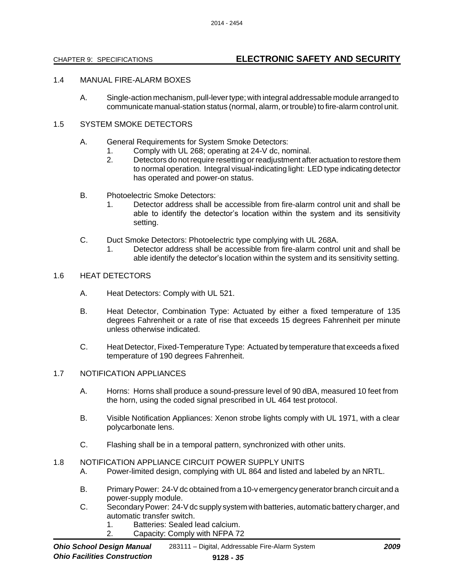### CHAPTER 9: SPECIFICATIONS **ELECTRONIC SAFETY AND SECURITY**

### 1.4 MANUAL FIRE-ALARM BOXES

A. Single-action mechanism, pull-levertype; with integral addressable module arranged to communicate manual-station status (normal, alarm, or trouble) to fire-alarm control unit.

### 1.5 SYSTEM SMOKE DETECTORS

- A. General Requirements for System Smoke Detectors:
	- 1. Comply with UL 268; operating at 24-V dc, nominal.
	- 2. Detectors do notrequire resetting or readjustment after actuation to restore them to normal operation. Integral visual-indicating light: LED type indicating detector has operated and power-on status.
- B. Photoelectric Smoke Detectors:
	- 1. Detector address shall be accessible from fire-alarm control unit and shall be able to identify the detector's location within the system and its sensitivity setting.
- C. Duct Smoke Detectors: Photoelectric type complying with UL 268A.
	- 1. Detector address shall be accessible from fire-alarm control unit and shall be able identify the detector's location within the system and its sensitivity setting.

### 1.6 HEAT DETECTORS

- A. Heat Detectors: Comply with UL 521.
- B. Heat Detector, Combination Type: Actuated by either a fixed temperature of 135 degrees Fahrenheit or a rate of rise that exceeds 15 degrees Fahrenheit per minute unless otherwise indicated.
- C. Heat Detector, Fixed-Temperature Type: Actuated by temperature that exceeds a fixed temperature of 190 degrees Fahrenheit.

### 1.7 NOTIFICATION APPLIANCES

- A. Horns: Horns shall produce a sound-pressure level of 90 dBA, measured 10 feet from the horn, using the coded signal prescribed in UL 464 test protocol.
- B. Visible Notification Appliances: Xenon strobe lights comply with UL 1971, with a clear polycarbonate lens.
- C. Flashing shall be in a temporal pattern, synchronized with other units.

### 1.8 NOTIFICATION APPLIANCE CIRCUIT POWER SUPPLY UNITS

- A. Power-limited design, complying with UL 864 and listed and labeled by an NRTL.
- B. Primary Power: 24-V dc obtained from a 10-v emergency generator branch circuit and a power-supply module.
- C. SecondaryPower: 24-Vdc supply system with batteries, automatic battery charger, and automatic transfer switch.
	- 1. Batteries: Sealed lead calcium.
	- 2. Capacity: Comply with NFPA 72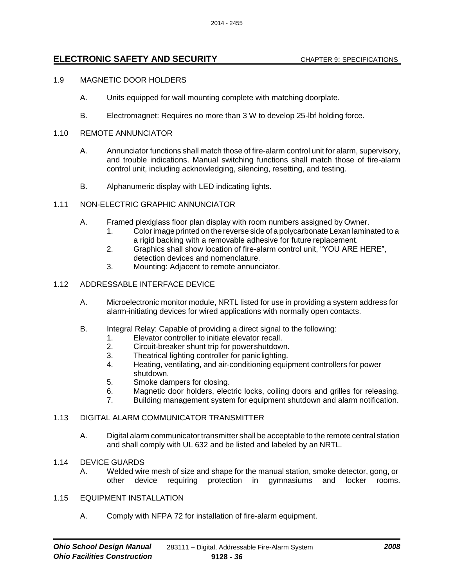### **ELECTRONIC SAFETY AND SECURITY** CHAPTER 9: SPECIFICATIONS

### 1.9 MAGNETIC DOOR HOLDERS

- A. Units equipped for wall mounting complete with matching doorplate.
- B. Electromagnet: Requires no more than 3 W to develop 25-lbf holding force.

### 1.10 REMOTE ANNUNCIATOR

- A. Annunciator functions shall match those of fire-alarm control unit for alarm, supervisory, and trouble indications. Manual switching functions shall match those of fire-alarm control unit, including acknowledging, silencing, resetting, and testing.
- B. Alphanumeric display with LED indicating lights.

### 1.11 NON-ELECTRIC GRAPHIC ANNUNCIATOR

- A. Framed plexiglass floor plan display with room numbers assigned by Owner.
	- 1. Colorimage printed on the reverse side of a polycarbonate Lexan laminated to a a rigid backing with a removable adhesive for future replacement.
	- 2. Graphics shall show location of fire-alarm control unit, "YOU ARE HERE", detection devices and nomenclature.
	- 3. Mounting: Adjacent to remote annunciator.

### 1.12 ADDRESSABLE INTERFACE DEVICE

- A. Microelectronic monitor module, NRTL listed for use in providing a system address for alarm-initiating devices for wired applications with normally open contacts.
- B. Integral Relay: Capable of providing a direct signal to the following:
	- 1. Elevator controller to initiate elevator recall.
	- 2. Circuit-breaker shunt trip for powershutdown.
	- 3. Theatrical lighting controller for paniclighting.
	- 4. Heating, ventilating, and air-conditioning equipment controllers for power shutdown.
	- 5. Smoke dampers for closing.
	- 6. Magnetic door holders, electric locks, coiling doors and grilles for releasing.
	- 7. Building management system for equipment shutdown and alarm notification.

### 1.13 DIGITAL ALARM COMMUNICATOR TRANSMITTER

- A. Digital alarm communicator transmitter shall be acceptable to the remote central station and shall comply with UL 632 and be listed and labeled by an NRTL.
- 1.14 DEVICE GUARDS
	- A. Welded wire mesh of size and shape for the manual station, smoke detector, gong, or other device requiring protection in gymnasiums and locker rooms.
- 1.15 EQUIPMENT INSTALLATION
	- A. Comply with NFPA 72 for installation of fire-alarm equipment.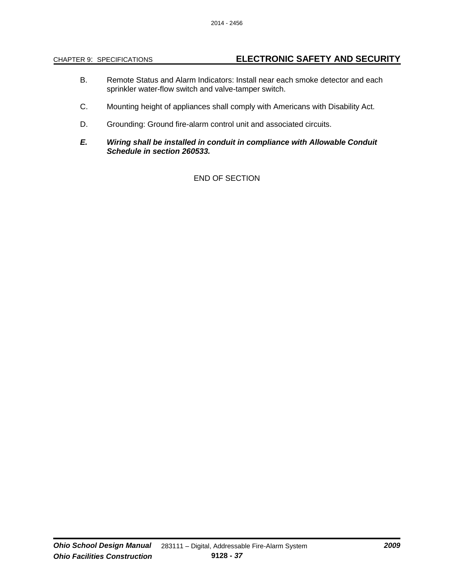### CHAPTER 9: SPECIFICATIONS **ELECTRONIC SAFETY AND SECURITY**

- B. Remote Status and Alarm Indicators: Install near each smoke detector and each sprinkler water-flow switch and valve-tamper switch.
- C. Mounting height of appliances shall comply with Americans with Disability Act.
- D. Grounding: Ground fire-alarm control unit and associated circuits.
- *E. Wiring shall be installed in conduit in compliance with Allowable Conduit Schedule in section 260533.*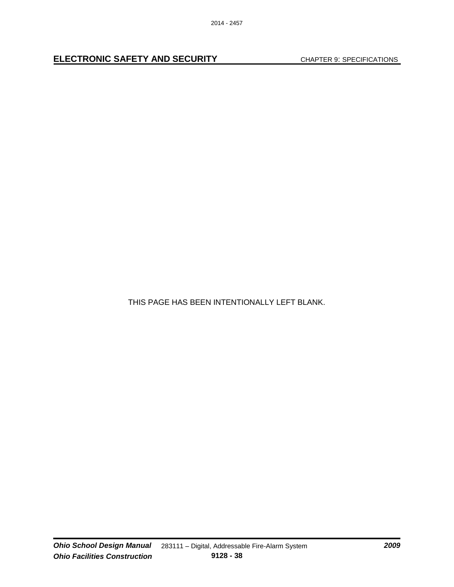# **ELECTRONIC SAFETY AND SECURITY** CHAPTER 9: SPECIFICATIONS

THIS PAGE HAS BEEN INTENTIONALLY LEFT BLANK.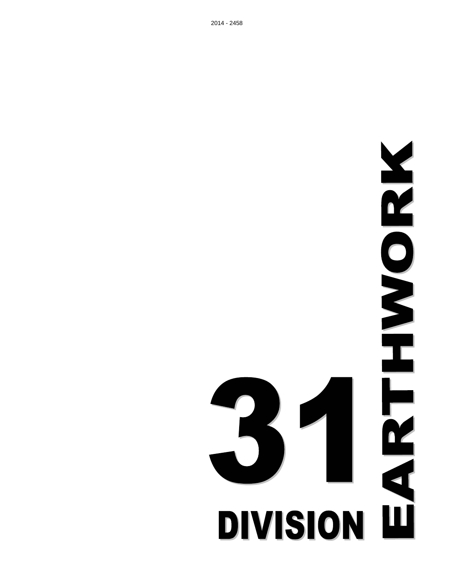# NNS ONE  $\overline{\mathbf{F}}$ DZ<br>El  $\mathbf{u}$ **DIVISION**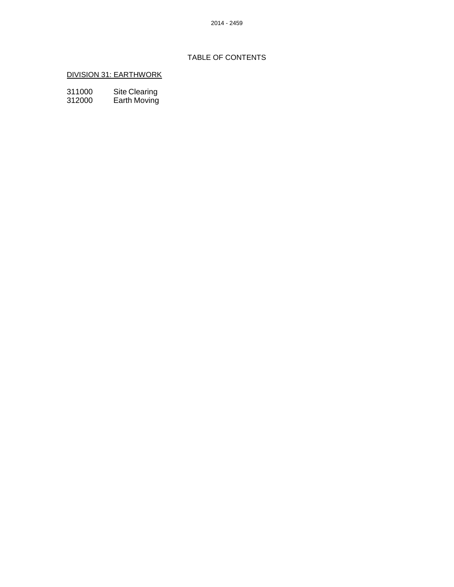# TABLE OF CONTENTS

### DIVISION 31: EARTHWORK

311000 Site Clearing 312000 Earth Moving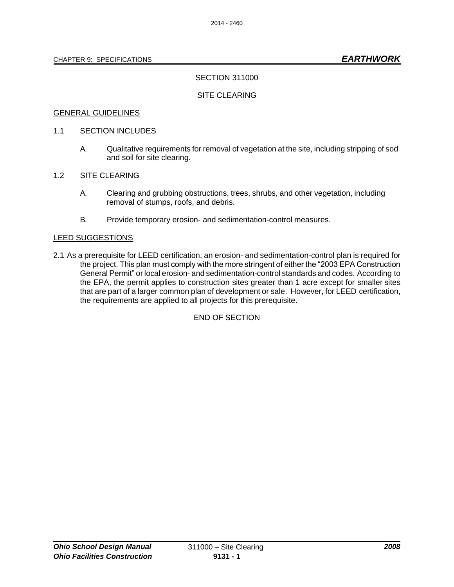### SITE CLEARING

### GENERAL GUIDELINES

### 1.1 SECTION INCLUDES

A. Qualitative requirements for removal of vegetation at the site, including stripping of sod and soil for site clearing.

### 1.2 SITE CLEARING

- A. Clearing and grubbing obstructions, trees, shrubs, and other vegetation, including removal of stumps, roofs, and debris.
- B. Provide temporary erosion- and sedimentation-control measures.

### LEED SUGGESTIONS

2.1 As a prerequisite for LEED certification, an erosion- and sedimentation-control plan is required for the project. This plan must comply with the more stringent of either the "2003 EPA Construction General Permit" or local erosion- and sedimentation-control standards and codes. According to the EPA, the permit applies to construction sites greater than 1 acre except for smaller sites that are part of a larger common plan of development or sale. However, for LEED certification, the requirements are applied to all projects for this prerequisite.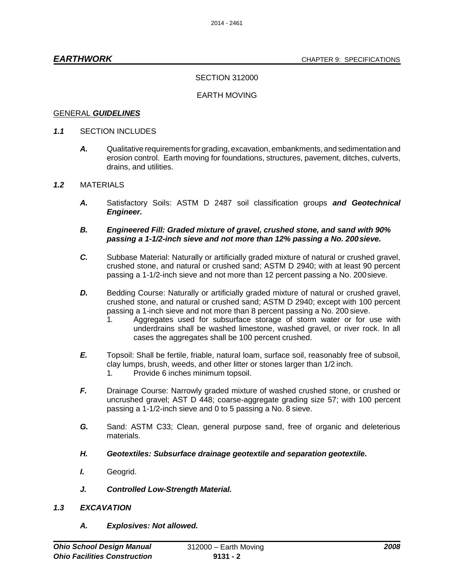### EARTH MOVING

### GENERAL *GUIDELINES*

### *1.1* SECTION INCLUDES

*A.* Qualitative requirements for grading, excavation, embankments, and sedimentation and erosion control. Earth moving for foundations, structures, pavement, ditches, culverts, drains, and utilities.

### *1.2* MATERIALS

- *A.* Satisfactory Soils: ASTM D 2487 soil classification groups *and Geotechnical Engineer.*
- *B. Engineered Fill: Graded mixture of gravel, crushed stone, and sand with 90% passing a 1-1/2-inch sieve and not more than 12% passing a No. 200sieve.*
- *C.* Subbase Material: Naturally or artificially graded mixture of natural or crushed gravel, crushed stone, and natural or crushed sand; ASTM D 2940; with at least 90 percent passing a 1-1/2-inch sieve and not more than 12 percent passing a No. 200sieve.
- **D.** Bedding Course: Naturally or artificially graded mixture of natural or crushed gravel, crushed stone, and natural or crushed sand; ASTM D 2940; except with 100 percent passing a 1-inch sieve and not more than 8 percent passing a No. 200 sieve.
	- 1. Aggregates used for subsurface storage of storm water or for use with underdrains shall be washed limestone, washed gravel, or river rock. In all cases the aggregates shall be 100 percent crushed.
- *E.* Topsoil: Shall be fertile, friable, natural loam, surface soil, reasonably free of subsoil, clay lumps, brush, weeds, and other litter or stones larger than 1/2 inch. 1. Provide 6 inches minimum topsoil.
- *F.* Drainage Course: Narrowly graded mixture of washed crushed stone, or crushed or uncrushed gravel; AST D 448; coarse-aggregate grading size 57; with 100 percent passing a 1-1/2-inch sieve and 0 to 5 passing a No. 8 sieve.
- *G.* Sand: ASTM C33; Clean, general purpose sand, free of organic and deleterious materials.
- *H. Geotextiles: Subsurface drainage geotextile and separation geotextile.*
- *I.* Geogrid.
- *J. Controlled Low-Strength Material.*

### *1.3 EXCAVATION*

*A. Explosives: Not allowed.*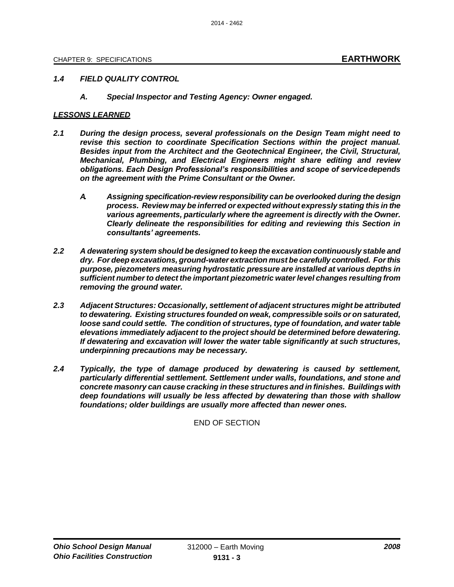### *1.4 FIELD QUALITY CONTROL*

*A. Special Inspector and Testing Agency: Owner engaged.*

### *LESSONS LEARNED*

- *2.1 During the design process, several professionals on the Design Team might need to revise this section to coordinate Specification Sections within the project manual. Besides input from the Architect and the Geotechnical Engineer, the Civil, Structural, Mechanical, Plumbing, and Electrical Engineers might share editing and review obligations. Each Design Professional's responsibilities and scope of servicedepends on the agreement with the Prime Consultant or the Owner.*
	- *A. Assigning specification-review responsibility can be overlooked during the design process. Review may be inferred or expected without expressly stating this in the various agreements, particularly where the agreement is directly with the Owner. Clearly delineate the responsibilities for editing and reviewing this Section in consultants' agreements.*
- *2.2 A dewatering system should be designed to keep the excavation continuously stable and dry. For deep excavations, ground-water extraction must be carefully controlled. Forthis purpose, piezometers measuring hydrostatic pressure are installed at various depths in sufficient number to detect the important piezometric waterlevel changes resulting from removing the ground water.*
- *2.3 Adjacent Structures: Occasionally, settlement of adjacent structures might be attributed to dewatering. Existing structures founded on weak, compressible soils or on saturated, loose sand could settle. The condition of structures, type of foundation, and water table elevations immediately adjacent to the project should be determined before dewatering. If dewatering and excavation will lower the water table significantly at such structures, underpinning precautions may be necessary.*
- *2.4 Typically, the type of damage produced by dewatering is caused by settlement, particularly differential settlement. Settlement under walls, foundations, and stone and concrete masonry can cause cracking in these structures and in finishes. Buildings with deep foundations will usually be less affected by dewatering than those with shallow foundations; older buildings are usually more affected than newer ones.*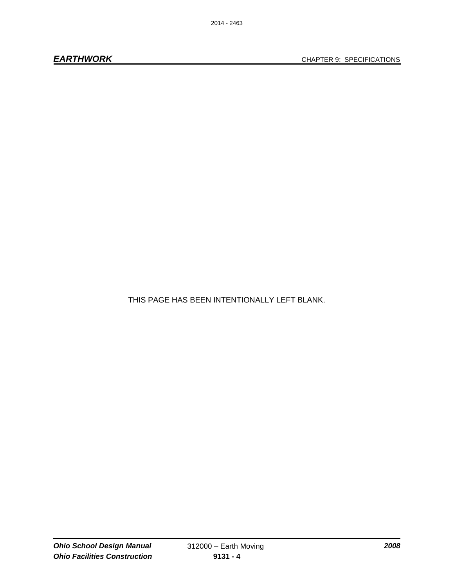THIS PAGE HAS BEEN INTENTIONALLY LEFT BLANK.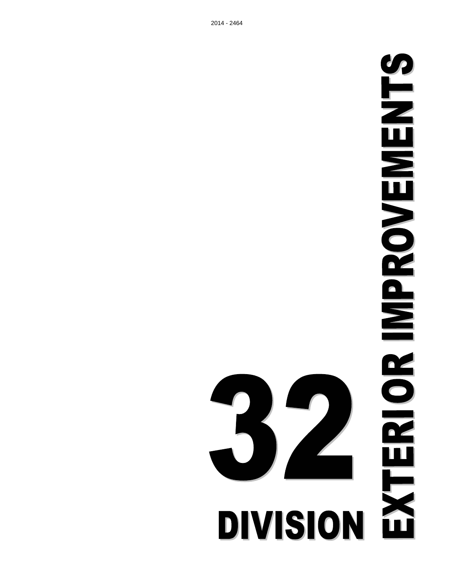# **STAFALEMENTS** DE ROIS

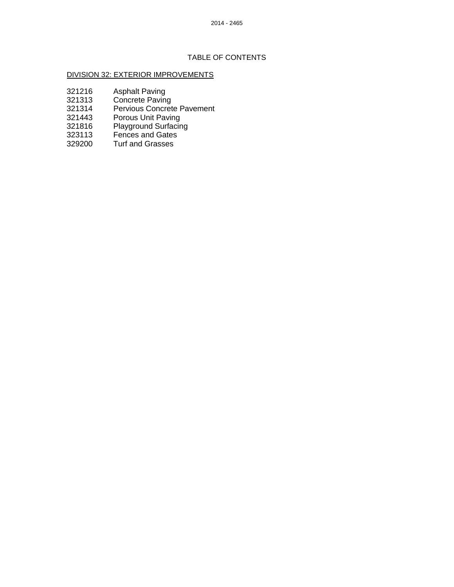### TABLE OF CONTENTS

### DIVISION 32: EXTERIOR IMPROVEMENTS

- 321216 Asphalt Paving
- 321313 Concrete Paving
- 321314 Pervious Concrete Pavement<br>321443 Porous Unit Paving
- Porous Unit Paving
- 321816 Playground Surfacing
- 323113 Fences and Gates
- 329200 Turf and Grasses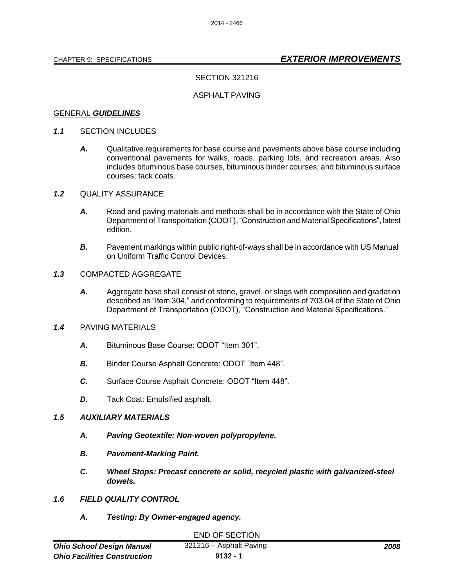### ASPHALT PAVING

### GENERAL *GUIDELINES*

### *1.1* SECTION INCLUDES

- A. Qualitative requirements for base course and pavements above base course including conventional pavements for walks, roads, parking lots, and recreation areas. Also includes bituminous base courses, bituminous binder courses, and bituminous surface courses; tack coats.
- *1.2* QUALITY ASSURANCE
	- *A.* Road and paving materials and methods shall be in accordance with the State of Ohio Department of Transportation (ODOT), "Construction and Material Specifications", latest edition.
	- **B.** Pavement markings within public right-of-ways shall be in accordance with US Manual on Uniform Traffic Control Devices.
- *1.3* COMPACTED AGGREGATE
	- *A.* Aggregate base shall consist of stone, gravel, or slags with composition and gradation described as "Item 304," and conforming to requirements of 703.04 of the State of Ohio Department of Transportation (ODOT), "Construction and Material Specifications."
- *1.4* PAVING MATERIALS
	- *A.* Bituminous Base Course: ODOT "Item 301".
	- **B.** Binder Course Asphalt Concrete: ODOT "Item 448".
	- *C.* Surface Course Asphalt Concrete: ODOT "Item 448".
	- *D.* Tack Coat: Emulsified asphalt.

### *1.5 AUXILIARY MATERIALS*

- *A. Paving Geotextile: Non-woven polypropylene.*
- *B. Pavement-Marking Paint.*
- *C. Wheel Stops: Precast concrete or solid, recycled plastic with galvanized-steel dowels.*
- *1.6 FIELD QUALITY CONTROL*
	- *A. Testing: By Owner-engaged agency.*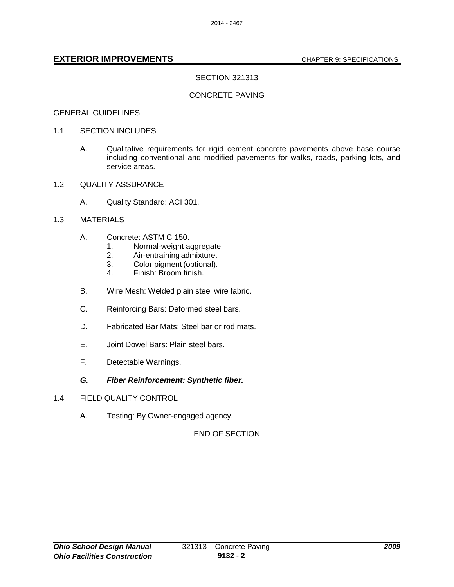### CONCRETE PAVING

### GENERAL GUIDELINES

### 1.1 SECTION INCLUDES

- A. Qualitative requirements for rigid cement concrete pavements above base course including conventional and modified pavements for walks, roads, parking lots, and service areas.
- 1.2 QUALITY ASSURANCE
	- A. Quality Standard: ACI 301.

### 1.3 MATERIALS

- A. Concrete: ASTM C 150.
	- 1. Normal-weight aggregate.
	- 2. Air-entraining admixture.
	- 3. Color pigment (optional).
	- 4. Finish: Broom finish.
- B. Wire Mesh: Welded plain steel wire fabric.
- C. Reinforcing Bars: Deformed steel bars.
- D. Fabricated Bar Mats: Steel bar or rod mats.
- E. Joint Dowel Bars: Plain steel bars.
- F. Detectable Warnings.

### *G. Fiber Reinforcement: Synthetic fiber.*

- 1.4 FIELD QUALITY CONTROL
	- A. Testing: By Owner-engaged agency.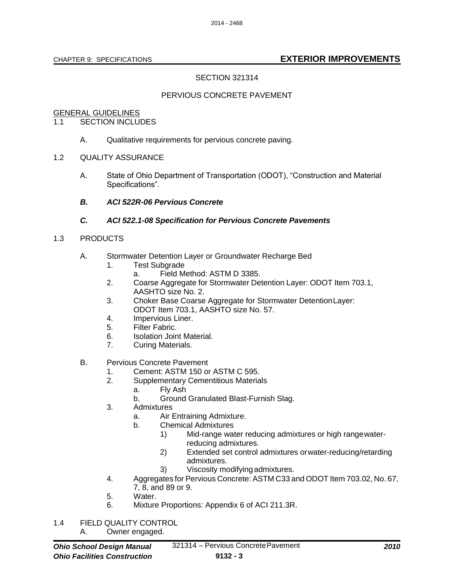## CHAPTER 9: SPECIFICATIONS **EXTERIOR IMPROVEMENTS**

### SECTION 321314

### PERVIOUS CONCRETE PAVEMENT

### GENERAL GUIDELINES

### 1.1 SECTION INCLUDES

- A. Qualitative requirements for pervious concrete paving.
- 1.2 QUALITY ASSURANCE
	- A. State of Ohio Department of Transportation (ODOT), "Construction and Material Specifications".
	- *B. ACI 522R-06 Pervious Concrete*
	- *C. ACI 522.1-08 Specification for Pervious Concrete Pavements*

### 1.3 PRODUCTS

- A. Stormwater Detention Layer or Groundwater Recharge Bed
	- 1. Test Subgrade
		- a. Field Method: ASTM D 3385.
	- 2. Coarse Aggregate for Stormwater Detention Layer: ODOT Item 703.1, AASHTO size No. 2.
	- 3. Choker Base Coarse Aggregate for Stormwater DetentionLayer: ODOT Item 703.1, AASHTO size No. 57.
	- 4. Impervious Liner.
	- 5. Filter Fabric.
	- 6. Isolation Joint Material.
	- 7. Curing Materials.
- B. Pervious Concrete Pavement
	- 1. Cement: ASTM 150 or ASTM C 595.
	- 2. Supplementary Cementitious Materials
		- a. Fly Ash
		- b. Ground Granulated Blast-Furnish Slag.
	- 3. Admixtures
		- a. Air Entraining Admixture.
		- b. Chemical Admixtures
			- 1) Mid-range water reducing admixtures or high rangewaterreducing admixtures.
			- 2) Extended set control admixtures orwater-reducing/retarding admixtures.
			- 3) Viscosity modifying admixtures.
	- 4. Aggregates for Pervious Concrete: ASTM C33 and ODOT Item 703.02, No. 67, 7, 8, and 89 or 9.
	- 5. Water.
	- 6. Mixture Proportions: Appendix 6 of ACI 211.3R.
- 1.4 FIELD QUALITY CONTROL
	- A. Owner engaged.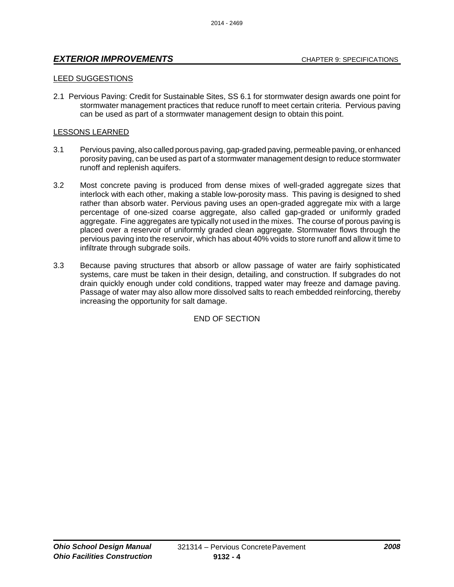### LEED SUGGESTIONS

2.1 Pervious Paving: Credit for Sustainable Sites, SS 6.1 for stormwater design awards one point for stormwater management practices that reduce runoff to meet certain criteria. Pervious paving can be used as part of a stormwater management design to obtain this point.

### LESSONS LEARNED

- 3.1 Pervious paving, also called porous paving, gap-graded paving, permeable paving, or enhanced porosity paving, can be used as part of a stormwater management design to reduce stormwater runoff and replenish aquifers.
- 3.2 Most concrete paving is produced from dense mixes of well-graded aggregate sizes that interlock with each other, making a stable low-porosity mass. This paving is designed to shed rather than absorb water. Pervious paving uses an open-graded aggregate mix with a large percentage of one-sized coarse aggregate, also called gap-graded or uniformly graded aggregate. Fine aggregates are typically not used in the mixes. The course of porous paving is placed over a reservoir of uniformly graded clean aggregate. Stormwater flows through the pervious paving into the reservoir, which has about 40% voids to store runoff and allow it time to infiltrate through subgrade soils.
- 3.3 Because paving structures that absorb or allow passage of water are fairly sophisticated systems, care must be taken in their design, detailing, and construction. If subgrades do not drain quickly enough under cold conditions, trapped water may freeze and damage paving. Passage of water may also allow more dissolved salts to reach embedded reinforcing, thereby increasing the opportunity for salt damage.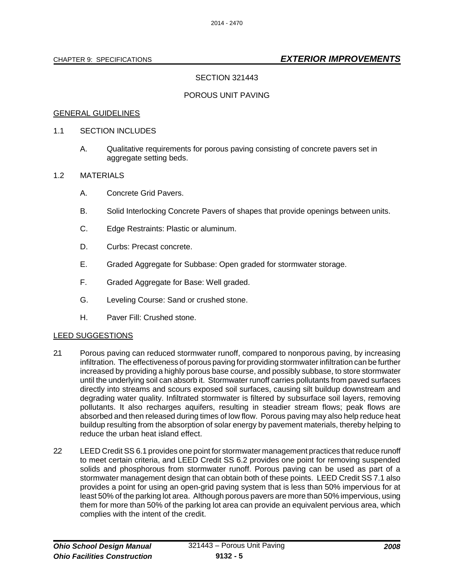### POROUS UNIT PAVING

### GENERAL GUIDELINES

### 1.1 SECTION INCLUDES

A. Qualitative requirements for porous paving consisting of concrete pavers set in aggregate setting beds.

### 1.2 MATERIALS

- A. Concrete Grid Pavers.
- B. Solid Interlocking Concrete Pavers of shapes that provide openings between units.
- C. Edge Restraints: Plastic or aluminum.
- D. Curbs: Precast concrete.
- E. Graded Aggregate for Subbase: Open graded for stormwater storage.
- F. Graded Aggregate for Base: Well graded.
- G. Leveling Course: Sand or crushed stone.
- H. Paver Fill: Crushed stone.

### LEED SUGGESTIONS

- 2.1 Porous paving can reduced stormwater runoff, compared to nonporous paving, by increasing infiltration. The effectiveness of porous paving for providing stormwaterinfiltration can be further increased by providing a highly porous base course, and possibly subbase, to store stormwater until the underlying soil can absorb it. Stormwater runoff carries pollutants from paved surfaces directly into streams and scours exposed soil surfaces, causing silt buildup downstream and degrading water quality. Infiltrated stormwater is filtered by subsurface soil layers, removing pollutants. It also recharges aquifers, resulting in steadier stream flows; peak flows are absorbed and then released during times of low flow. Porous paving may also help reduce heat buildup resulting from the absorption of solar energy by pavement materials, thereby helping to reduce the urban heat island effect.
- 2.2 LEED Credit SS 6.1 provides one point for stormwater management practices that reduce runoff to meet certain criteria, and LEED Credit SS 6.2 provides one point for removing suspended solids and phosphorous from stormwater runoff. Porous paving can be used as part of a stormwater management design that can obtain both of these points. LEED Credit SS 7.1 also provides a point for using an open-grid paving system that is less than 50% impervious for at least 50% of the parking lot area. Although porous pavers are more than 50% impervious, using them for more than 50% of the parking lot area can provide an equivalent pervious area, which complies with the intent of the credit.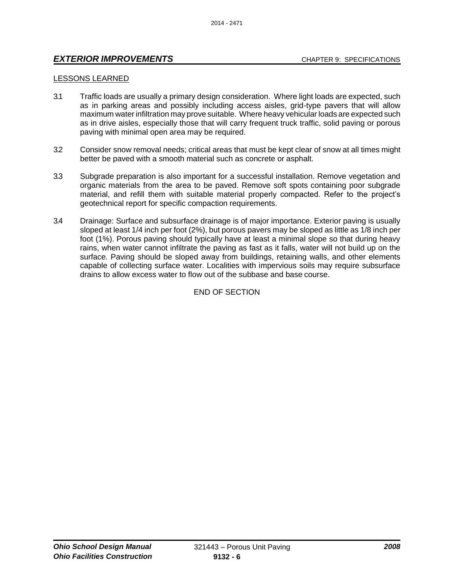### LESSONS LEARNED

- 3.1 Traffic loads are usually a primary design consideration. Where light loads are expected, such as in parking areas and possibly including access aisles, grid-type pavers that will allow maximum water infiltration may prove suitable. Where heavy vehicular loads are expected such as in drive aisles, especially those that will carry frequent truck traffic, solid paving or porous paving with minimal open area may be required.
- 3.2 Consider snow removal needs; critical areas that must be kept clear of snow at all times might better be paved with a smooth material such as concrete or asphalt.
- 3.3 Subgrade preparation is also important for a successful installation. Remove vegetation and organic materials from the area to be paved. Remove soft spots containing poor subgrade material, and refill them with suitable material properly compacted. Refer to the project's geotechnical report for specific compaction requirements.
- 3.4 Drainage: Surface and subsurface drainage is of major importance. Exterior paving is usually sloped at least 1/4 inch per foot (2%), but porous pavers may be sloped as little as 1/8 inch per foot (1%). Porous paving should typically have at least a minimal slope so that during heavy rains, when water cannot infiltrate the paving as fast as it falls, water will not build up on the surface. Paving should be sloped away from buildings, retaining walls, and other elements capable of collecting surface water. Localities with impervious soils may require subsurface drains to allow excess water to flow out of the subbase and base course.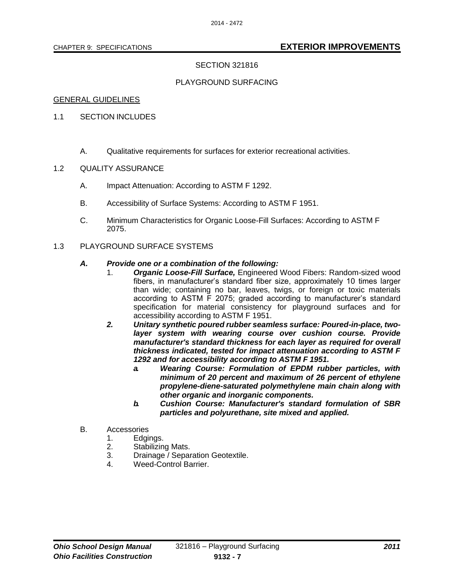### PLAYGROUND SURFACING

### GENERAL GUIDELINES

### 1.1 SECTION INCLUDES

A. Qualitative requirements for surfaces for exterior recreational activities.

### 1.2 QUALITY ASSURANCE

- A. Impact Attenuation: According to ASTM F 1292.
- B. Accessibility of Surface Systems: According to ASTM F 1951.
- C. Minimum Characteristics for Organic Loose-Fill Surfaces: According to ASTM F 2075.

### 1.3 PLAYGROUND SURFACE SYSTEMS

### *A. Provide one or a combination of the following:*

- 1. *Organic Loose-Fill Surface,* Engineered Wood Fibers: Random-sized wood fibers, in manufacturer's standard fiber size, approximately 10 times larger than wide; containing no bar, leaves, twigs, or foreign or toxic materials according to ASTM F 2075; graded according to manufacturer's standard specification for material consistency for playground surfaces and for accessibility according to ASTM F 1951.
- *2. Unitary synthetic poured rubber seamless surface: Poured-in-place, twolayer system with wearing course over cushion course. Provide manufacturer's standard thickness for each layer as required for overall thickness indicated, tested for impact attenuation according to ASTM F 1292 and for accessibility according to ASTM F 1951.*
	- *a. Wearing Course: Formulation of EPDM rubber particles, with minimum of 20 percent and maximum of 26 percent of ethylene propylene-diene-saturated polymethylene main chain along with other organic and inorganic components.*
	- *b. Cushion Course: Manufacturer's standard formulation of SBR particles and polyurethane, site mixed and applied.*
- B. Accessories
	- 1. Edgings.
	- 2. Stabilizing Mats.
	- 3. Drainage / Separation Geotextile.
	- 4. Weed-Control Barrier.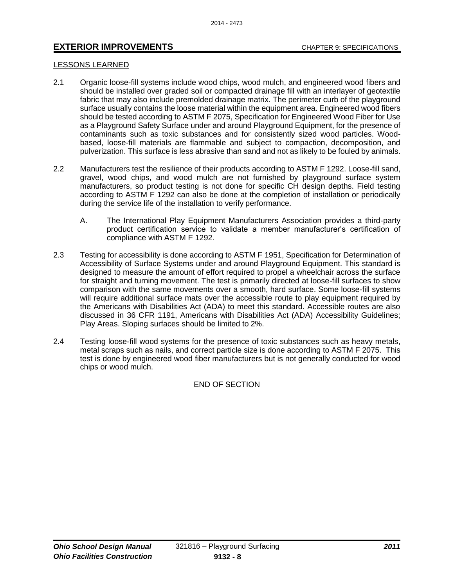### **EXTERIOR IMPROVEMENTS** CHAPTER 9: SPECIFICATIONS

### LESSONS LEARNED

- 2.1 Organic loose-fill systems include wood chips, wood mulch, and engineered wood fibers and should be installed over graded soil or compacted drainage fill with an interlayer of geotextile fabric that may also include premolded drainage matrix. The perimeter curb of the playground surface usually contains the loose material within the equipment area. Engineered wood fibers should be tested according to ASTM F 2075, Specification for Engineered Wood Fiber for Use as a Playground Safety Surface under and around Playground Equipment, for the presence of contaminants such as toxic substances and for consistently sized wood particles. Woodbased, loose-fill materials are flammable and subject to compaction, decomposition, and pulverization. This surface is less abrasive than sand and not as likely to be fouled by animals.
- 2.2 Manufacturers test the resilience of their products according to ASTM F 1292. Loose-fill sand, gravel, wood chips, and wood mulch are not furnished by playground surface system manufacturers, so product testing is not done for specific CH design depths. Field testing according to ASTM F 1292 can also be done at the completion of installation or periodically during the service life of the installation to verify performance.
	- A. The International Play Equipment Manufacturers Association provides a third-party product certification service to validate a member manufacturer's certification of compliance with ASTM F 1292.
- 2.3 Testing for accessibility is done according to ASTM F 1951, Specification for Determination of Accessibility of Surface Systems under and around Playground Equipment. This standard is designed to measure the amount of effort required to propel a wheelchair across the surface for straight and turning movement. The test is primarily directed at loose-fill surfaces to show comparison with the same movements over a smooth, hard surface. Some loose-fill systems will require additional surface mats over the accessible route to play equipment required by the Americans with Disabilities Act (ADA) to meet this standard. Accessible routes are also discussed in 36 CFR 1191, Americans with Disabilities Act (ADA) Accessibility Guidelines; Play Areas. Sloping surfaces should be limited to 2%.
- 2.4 Testing loose-fill wood systems for the presence of toxic substances such as heavy metals, metal scraps such as nails, and correct particle size is done according to ASTM F 2075. This test is done by engineered wood fiber manufacturers but is not generally conducted for wood chips or wood mulch.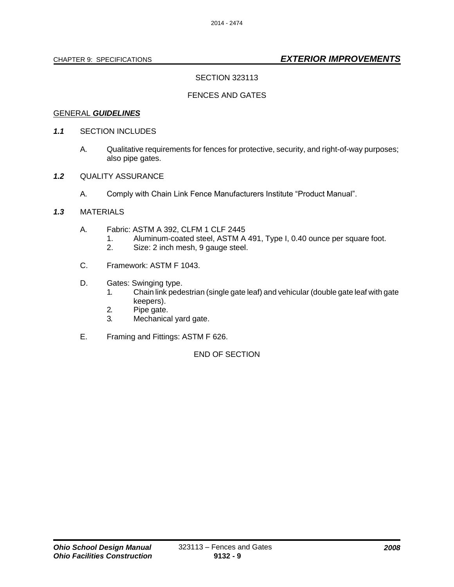### FENCES AND GATES

### GENERAL *GUIDELINES*

- *1.1* SECTION INCLUDES
	- A. Qualitative requirements for fences for protective, security, and right-of-way purposes; also pipe gates.
- *1.2* QUALITY ASSURANCE
	- A. Comply with Chain Link Fence Manufacturers Institute "Product Manual".

### *1.3* MATERIALS

- A. Fabric: ASTM A 392, CLFM 1 CLF 2445
	- 1. Aluminum-coated steel, ASTM A 491, Type I, 0.40 ounce per square foot.
	- 2. Size: 2 inch mesh, 9 gauge steel.
- C. Framework: ASTM F 1043.

### D. Gates: Swinging type.

- 1. Chain link pedestrian (single gate leaf) and vehicular (double gate leaf with gate keepers).
- 2. Pipe gate.<br>3. Mechanica
- Mechanical yard gate.
- E. Framing and Fittings: ASTM F 626.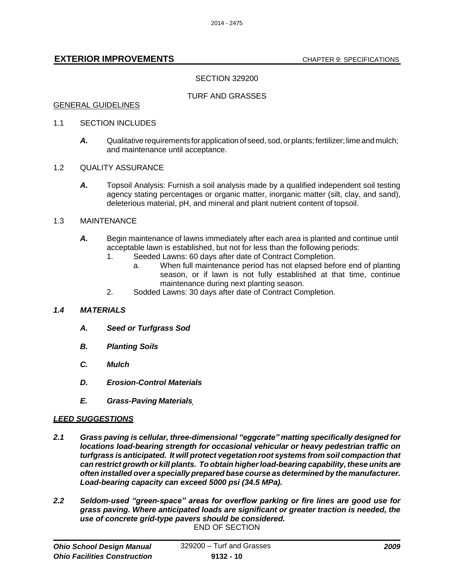### TURF AND GRASSES

### GENERAL GUIDELINES

### 1.1 SECTION INCLUDES

- A. Qualitative requirements for application of seed, sod, or plants; fertilizer; lime and mulch; and maintenance until acceptance.
- 1.2 QUALITY ASSURANCE
	- *A.* Topsoil Analysis: Furnish a soil analysis made by a qualified independent soil testing agency stating percentages or organic matter, inorganic matter (silt, clay, and sand), deleterious material, pH, and mineral and plant nutrient content of topsoil.

### 1.3 MAINTENANCE

- *A.* Begin maintenance of lawns immediately after each area is planted and continue until acceptable lawn is established, but not for less than the following periods:
	- 1. Seeded Lawns: 60 days after date of Contract Completion.
		- a. When full maintenance period has not elapsed before end of planting season, or if lawn is not fully established at that time, continue maintenance during next planting season.
	- 2. Sodded Lawns: 30 days after date of Contract Completion.

### *1.4 MATERIALS*

- *A. Seed or Turfgrass Sod*
- *B. Planting Soils*
- *C. Mulch*
- *D. Erosion-Control Materials*
- *E. Grass-Paving Materials*

### *LEED SUGGESTIONS*

- *2.1 Grass paving is cellular, three-dimensional "eggcrate" matting specifically designed for locations load-bearing strength for occasional vehicular or heavy pedestrian traffic on turfgrass is anticipated. It will protect vegetation root systems from soil compaction that can restrict growth or kill plants. To obtain higherload-bearing capability,these units are often installed over a specially prepared base course as determined by the manufacturer. Load-bearing capacity can exceed 5000 psi (34.5 MPa).*
- *2.2 Seldom-used "green-space" areas for overflow parking or fire lines are good use for grass paving. Where anticipated loads are significant or greater traction is needed, the use of concrete grid-type pavers should be considered.* END OF SECTION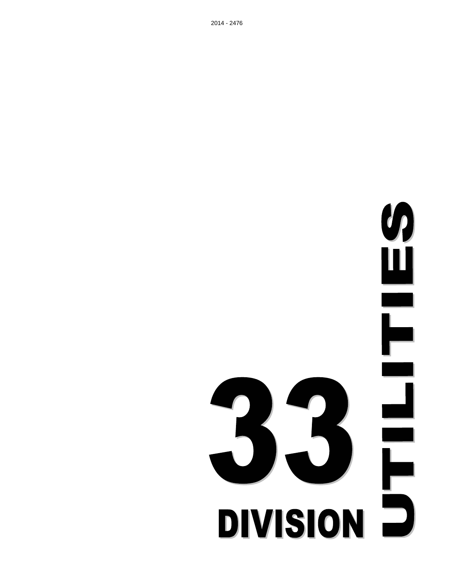# Ē  $\Box$ **DIVISION**

Ш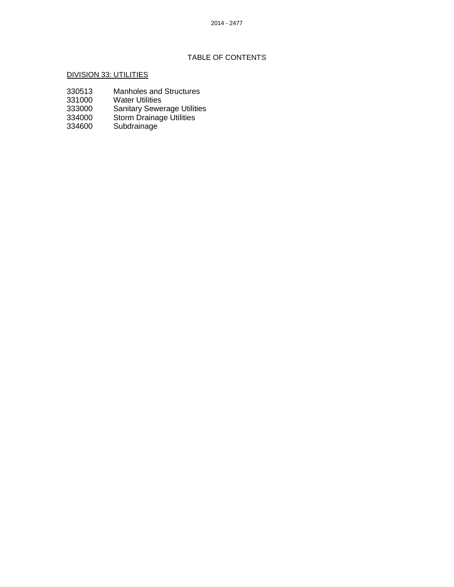### TABLE OF CONTENTS

### DIVISION 33: UTILITIES

- 330513 Manholes and Structures
- 331000 Water Utilities<br>333000 Sanitary Sewe
- 333000 Sanitary Sewerage Utilities
- 334000 Storm Drainage Utilities
- 334600 Subdrainage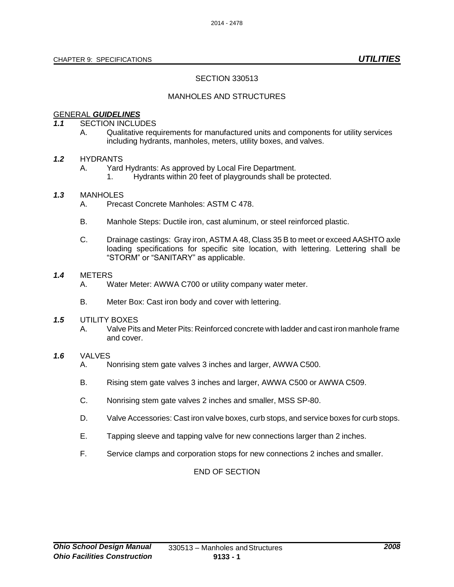### MANHOLES AND STRUCTURES

### GENERAL *GUIDELINES*

### *1.1* SECTION INCLUDES

A. Qualitative requirements for manufactured units and components for utility services including hydrants, manholes, meters, utility boxes, and valves.

### *1.2* HYDRANTS

- A. Yard Hydrants: As approved by Local Fire Department.
	- 1. Hydrants within 20 feet of playgrounds shall be protected.

### *1.3* MANHOLES

- A. Precast Concrete Manholes: ASTM C 478.
- B. Manhole Steps: Ductile iron, cast aluminum, or steel reinforced plastic.
- C. Drainage castings: Gray iron, ASTM A 48, Class 35 B to meet or exceed AASHTO axle loading specifications for specific site location, with lettering. Lettering shall be "STORM" or "SANITARY" as applicable.

### *1.4* METERS

- A. Water Meter: AWWA C700 or utility company water meter.
- B. Meter Box: Cast iron body and cover with lettering.
- *1.5* UTILITY BOXES
	- A. Valve Pits and Meter Pits: Reinforced concrete with ladder and cast iron manhole frame and cover.

### *1.6* VALVES

- A. Nonrising stem gate valves 3 inches and larger, AWWA C500.
- B. Rising stem gate valves 3 inches and larger, AWWA C500 or AWWA C509.
- C. Nonrising stem gate valves 2 inches and smaller, MSS SP-80.
- D. Valve Accessories: Cast iron valve boxes, curb stops, and service boxes for curb stops.
- E. Tapping sleeve and tapping valve for new connections larger than 2 inches.
- F. Service clamps and corporation stops for new connections 2 inches and smaller.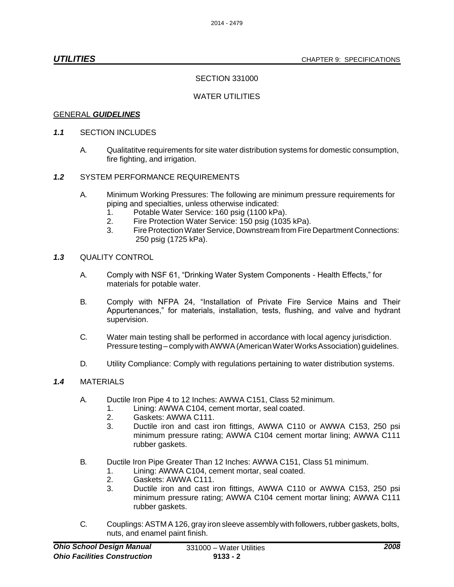### WATER UTILITIES

### GENERAL *GUIDELINES*

- *1.1* SECTION INCLUDES
	- A. Qualitatitve requirements for site water distribution systems for domestic consumption, fire fighting, and irrigation.

### *1.2* SYSTEM PERFORMANCE REQUIREMENTS

- A. Minimum Working Pressures: The following are minimum pressure requirements for piping and specialties, unless otherwise indicated:
	- 1. Potable Water Service: 160 psig (1100 kPa).
	- 2. Fire Protection Water Service: 150 psig (1035 kPa).
	- 3. FireProtectionWaterService, Downstream from Fire Department Connections: 250 psig (1725 kPa).

### *1.3* QUALITY CONTROL

- A. Comply with NSF 61, "Drinking Water System Components Health Effects," for materials for potable water.
- B. Comply with NFPA 24, "Installation of Private Fire Service Mains and Their Appurtenances," for materials, installation, tests, flushing, and valve and hydrant supervision.
- C. Water main testing shall be performed in accordance with local agency jurisdiction. Pressure testing – complywithAWWA(AmericanWaterWorksAssociation) guidelines.
- D. Utility Compliance: Comply with regulations pertaining to water distribution systems.

### *1.4* MATERIALS

- A. Ductile Iron Pipe 4 to 12 Inches: AWWA C151, Class 52 minimum.
	- 1. Lining: AWWA C104, cement mortar, seal coated.
	- 2. Gaskets: AWWA C111.
	- 3. Ductile iron and cast iron fittings, AWWA C110 or AWWA C153, 250 psi minimum pressure rating; AWWA C104 cement mortar lining; AWWA C111 rubber gaskets.
- B. Ductile Iron Pipe Greater Than 12 Inches: AWWA C151, Class 51 minimum.
	- 1. Lining: AWWA C104, cement mortar, seal coated.
	- 2. Gaskets: AWWA C111.
	- 3. Ductile iron and cast iron fittings, AWWA C110 or AWWA C153, 250 psi minimum pressure rating; AWWA C104 cement mortar lining; AWWA C111 rubber gaskets.
- C. Couplings: ASTM A 126, gray iron sleeve assembly with followers,rubber gaskets, bolts, nuts, and enamel paint finish.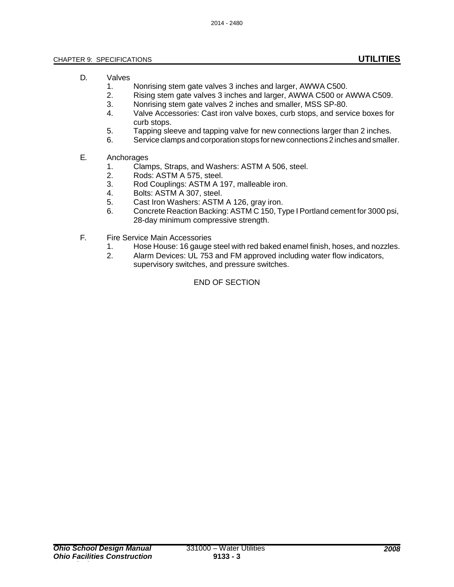### CHAPTER 9: SPECIFICATIONS **UTILITIES**

- D. Valves
	- 1. Nonrising stem gate valves 3 inches and larger, AWWA C500.
	- 2. Rising stem gate valves 3 inches and larger, AWWA C500 or AWWA C509.
	- 3. Nonrising stem gate valves 2 inches and smaller, MSS SP-80.
	- 4. Valve Accessories: Cast iron valve boxes, curb stops, and service boxes for curb stops.
	- 5. Tapping sleeve and tapping valve for new connections larger than 2 inches.
	- 6. Service clamps andcorporation stops for newconnections 2inches andsmaller.
- E. Anchorages
	- 1. Clamps, Straps, and Washers: ASTM A 506, steel.<br>2. Rods: ASTM A 575, steel.
	- 2. Rods: ASTM A 575, steel.<br>3. Rod Couplings: ASTM A 1
	- 3. Rod Couplings: ASTM A 197, malleable iron.<br>4 Bolts: ASTM A 307, steel
	- Bolts: ASTM A 307, steel.
	- 5. Cast Iron Washers: ASTM A 126, gray iron.
	- 6. Concrete Reaction Backing: ASTM C 150, Type I Portland cement for 3000 psi, 28-day minimum compressive strength.
- F. Fire Service Main Accessories
	- 1. Hose House: 16 gauge steel with red baked enamel finish, hoses, and nozzles.
	- 2. Alarm Devices: UL 753 and FM approved including water flow indicators, supervisory switches, and pressure switches.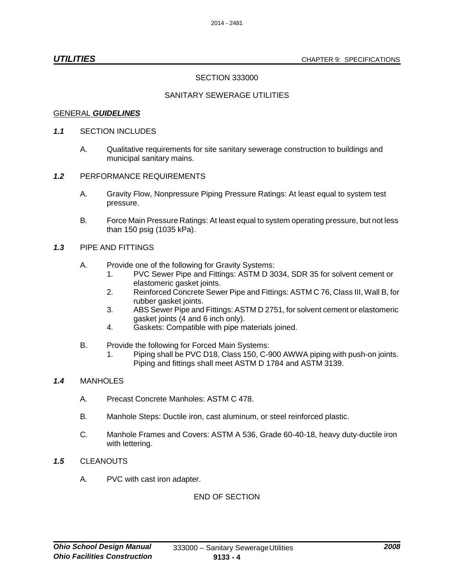### SANITARY SEWERAGE UTILITIES

### GENERAL *GUIDELINES*

- *1.1* SECTION INCLUDES
	- A. Qualitative requirements for site sanitary sewerage construction to buildings and municipal sanitary mains.

### *1.2* PERFORMANCE REQUIREMENTS

- A. Gravity Flow, Nonpressure Piping Pressure Ratings: At least equal to system test pressure.
- B. Force Main Pressure Ratings: At least equal to system operating pressure, but not less than 150 psig (1035 kPa).

### *1.3* PIPE AND FITTINGS

- A. Provide one of the following for Gravity Systems:
	- 1. PVC Sewer Pipe and Fittings: ASTM D 3034, SDR 35 for solvent cement or elastomeric gasket joints.
	- 2. Reinforced Concrete Sewer Pipe and Fittings: ASTM C 76, Class III, Wall B, for rubber gasket joints.
	- 3. ABS Sewer Pipe and Fittings: ASTM D 2751, for solvent cement or elastomeric gasket joints (4 and 6 inch only).
	- 4. Gaskets: Compatible with pipe materials joined.
- B. Provide the following for Forced Main Systems:
	- 1. Piping shall be PVC D18, Class 150, C-900 AWWA piping with push-on joints. Piping and fittings shall meet ASTM D 1784 and ASTM 3139.

### *1.4* MANHOLES

- A. Precast Concrete Manholes: ASTM C 478.
- B. Manhole Steps: Ductile iron, cast aluminum, or steel reinforced plastic.
- C. Manhole Frames and Covers: ASTM A 536, Grade 60-40-18, heavy duty-ductile iron with lettering.
- *1.5* CLEANOUTS
	- A. PVC with cast iron adapter.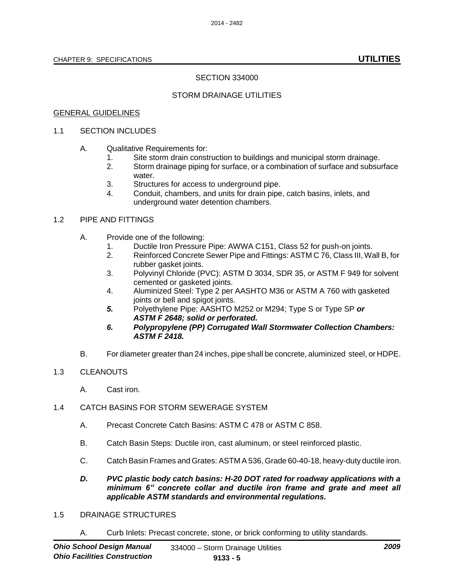### STORM DRAINAGE UTILITIES

### GENERAL GUIDELINES

### 1.1 SECTION INCLUDES

- A. Qualitative Requirements for:
	- 1. Site storm drain construction to buildings and municipal storm drainage.
	- 2. Storm drainage piping for surface, or a combination of surface and subsurface water.
	- 3. Structures for access to underground pipe.
	- 4. Conduit, chambers, and units for drain pipe, catch basins, inlets, and underground water detention chambers.

### 1.2 PIPE AND FITTINGS

- A. Provide one of the following:
	- 1. Ductile Iron Pressure Pipe: AWWA C151, Class 52 for push-on joints.
	- 2. Reinforced Concrete Sewer Pipe and Fittings: ASTM C 76, Class III, Wall B, for rubber gasket joints.
	- 3. Polyvinyl Chloride (PVC): ASTM D 3034, SDR 35, or ASTM F 949 for solvent cemented or gasketed joints.
	- 4. Aluminized Steel: Type 2 per AASHTO M36 or ASTM A 760 with gasketed joints or bell and spigot joints.
	- *5.* Polyethylene Pipe: AASHTO M252 or M294; Type S or Type SP *or ASTM F 2648; solid or perforated.*
	- *6. Polypropylene (PP) Corrugated Wall Stormwater Collection Chambers: ASTM F 2418.*
- B. For diameter greater than 24 inches, pipe shall be concrete, aluminized steel, or HDPE.
- 1.3 CLEANOUTS
	- A. Cast iron.
- 1.4 CATCH BASINS FOR STORM SEWERAGE SYSTEM
	- A. Precast Concrete Catch Basins: ASTM C 478 or ASTM C 858.
	- B. Catch Basin Steps: Ductile iron, cast aluminum, or steel reinforced plastic.
	- C. Catch Basin Frames and Grates: ASTM A 536, Grade 60-40-18, heavy-duty ductile iron.
	- *D. PVC plastic body catch basins: H-20 DOT rated for roadway applications with a minimum 6" concrete collar and ductile iron frame and grate and meet all applicable ASTM standards and environmental regulations.*
- 1.5 DRAINAGE STRUCTURES
	- A. Curb Inlets: Precast concrete, stone, or brick conforming to utility standards.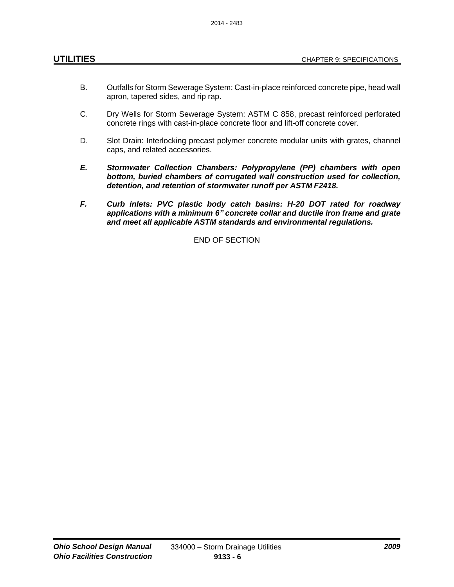- B. Outfalls for Storm Sewerage System: Cast-in-place reinforced concrete pipe, head wall apron, tapered sides, and rip rap.
- C. Dry Wells for Storm Sewerage System: ASTM C 858, precast reinforced perforated concrete rings with cast-in-place concrete floor and lift-off concrete cover.
- D. Slot Drain: Interlocking precast polymer concrete modular units with grates, channel caps, and related accessories.
- *E. Stormwater Collection Chambers: Polypropylene (PP) chambers with open bottom, buried chambers of corrugated wall construction used for collection, detention, and retention of stormwater runoff per ASTM F2418.*
- *F. Curb inlets: PVC plastic body catch basins: H-20 DOT rated for roadway applications with a minimum 6" concrete collar and ductile iron frame and grate and meet all applicable ASTM standards and environmental regulations.*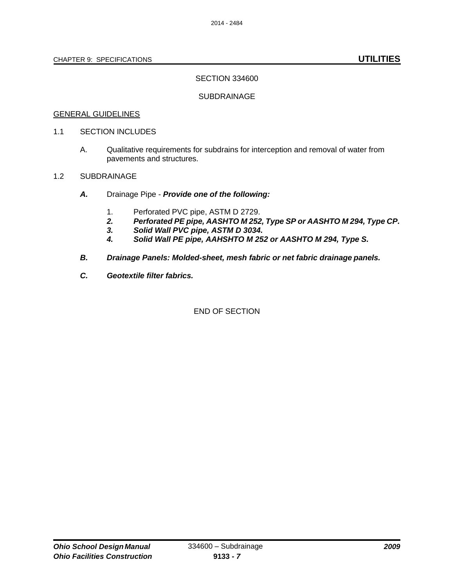### SUBDRAINAGE

### GENERAL GUIDELINES

### 1.1 SECTION INCLUDES

A. Qualitative requirements for subdrains for interception and removal of water from pavements and structures.

### 1.2 SUBDRAINAGE

- *A.* Drainage Pipe *Provide one of the following:*
	- 1. Perforated PVC pipe, ASTM D 2729.
	- *2. Perforated PE pipe, AASHTO M 252, Type SP or AASHTO M 294, Type CP.*
	- *3. Solid Wall PVC pipe, ASTM D 3034.*
	- *4. Solid Wall PE pipe, AAHSHTO M 252 or AASHTO M 294, Type S.*
- *B. Drainage Panels: Molded-sheet, mesh fabric or net fabric drainage panels.*
- *C. Geotextile filter fabrics.*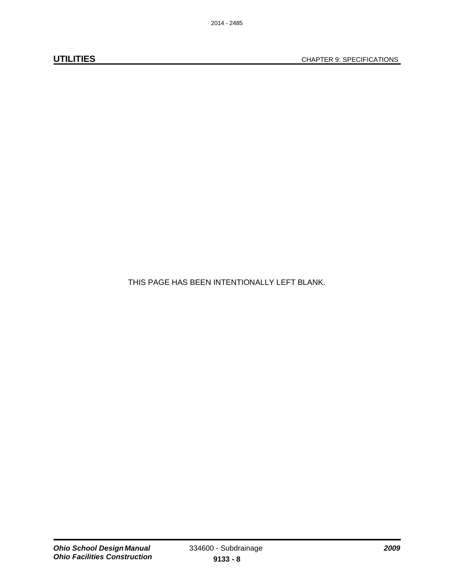THIS PAGE HAS BEEN INTENTIONALLY LEFT BLANK.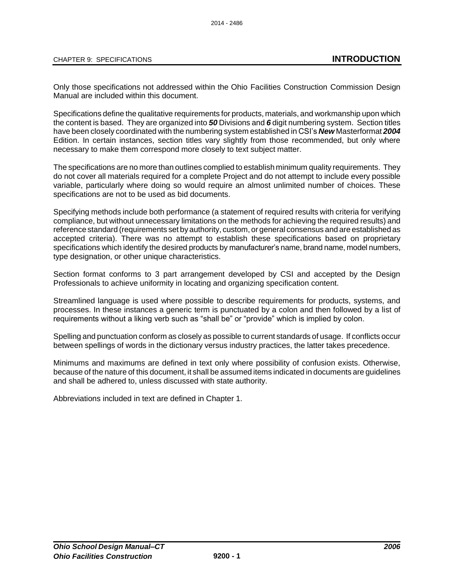Only those specifications not addressed within the Ohio Facilities Construction Commission Design Manual are included within this document.

Specifications define the qualitative requirements for products, materials, and workmanship upon which the content is based. They are organized into *50* Divisions and *6* digit numbering system. Section titles have been closely coordinated with the numbering system established in CSI's *New* Masterformat *2004*  Edition. In certain instances, section titles vary slightly from those recommended, but only where necessary to make them correspond more closely to text subject matter.

The specifications are no more than outlines complied to establish minimum quality requirements. They do not cover all materials required for a complete Project and do not attempt to include every possible variable, particularly where doing so would require an almost unlimited number of choices. These specifications are not to be used as bid documents.

Specifying methods include both performance (a statement of required results with criteria for verifying compliance, but without unnecessary limitations on the methods for achieving the required results) and reference standard (requirements set by authority, custom, or general consensus and are established as accepted criteria). There was no attempt to establish these specifications based on proprietary specifications which identify the desired products by manufacturer's name, brand name, model numbers, type designation, or other unique characteristics.

Section format conforms to 3 part arrangement developed by CSI and accepted by the Design Professionals to achieve uniformity in locating and organizing specification content.

Streamlined language is used where possible to describe requirements for products, systems, and processes. In these instances a generic term is punctuated by a colon and then followed by a list of requirements without a liking verb such as "shall be" or "provide" which is implied by colon.

Spelling and punctuation conform as closely as possible to current standards of usage. If conflicts occur between spellings of words in the dictionary versus industry practices, the latter takes precedence.

Minimums and maximums are defined in text only where possibility of confusion exists. Otherwise, because of the nature of this document, it shall be assumed items indicated in documents are guidelines and shall be adhered to, unless discussed with state authority.

Abbreviations included in text are defined in Chapter 1.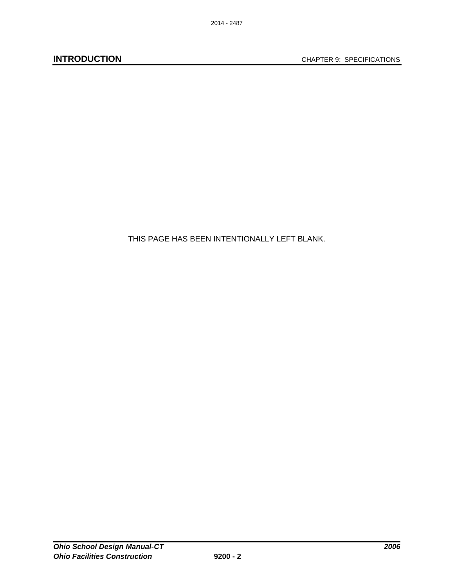# THIS PAGE HAS BEEN INTENTIONALLY LEFT BLANK.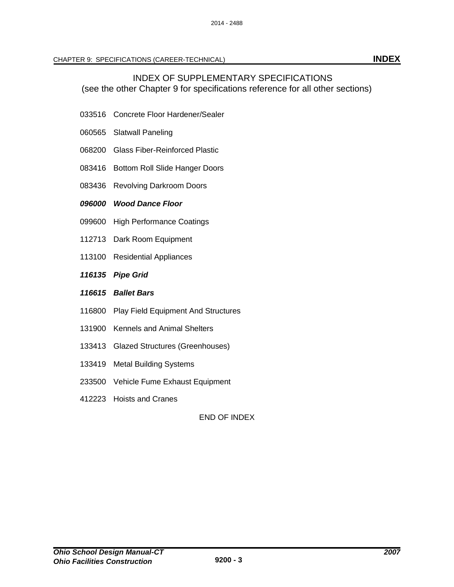## INDEX OF SUPPLEMENTARY SPECIFICATIONS (see the other Chapter 9 for specifications reference for all other sections)

- Concrete Floor Hardener/Sealer
- Slatwall Paneling
- Glass Fiber-Reinforced Plastic
- Bottom Roll Slide Hanger Doors
- Revolving Darkroom Doors
- *Wood Dance Floor*
- High Performance Coatings
- Dark Room Equipment
- Residential Appliances
- *Pipe Grid*
- *Ballet Bars*
- Play Field Equipment And Structures
- Kennels and Animal Shelters
- Glazed Structures (Greenhouses)
- Metal Building Systems
- Vehicle Fume Exhaust Equipment
- Hoists and Cranes

END OF INDEX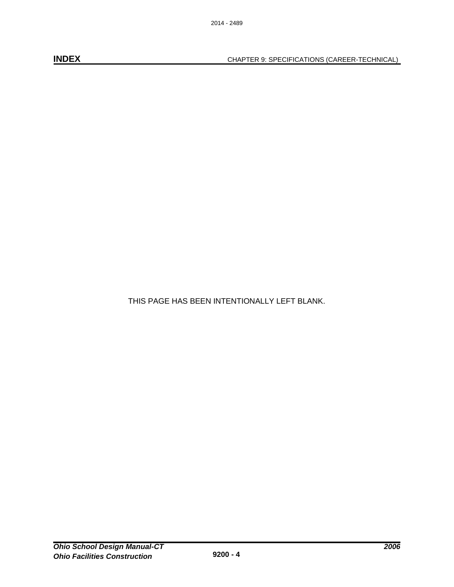THIS PAGE HAS BEEN INTENTIONALLY LEFT BLANK.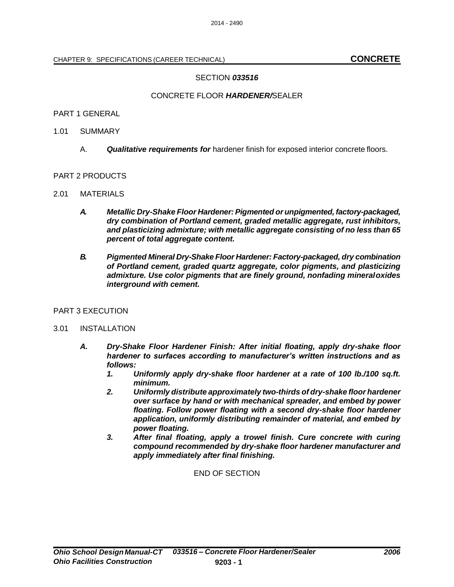#### CONCRETE FLOOR *HARDENER/*SEALER

#### PART 1 GENERAL

#### 1.01 SUMMARY

A. *Qualitative requirements for* hardener finish for exposed interior concrete floors.

#### PART 2 PRODUCTS

- 2.01 MATERIALS
	- *A. Metallic Dry-Shake Floor Hardener: Pigmented or unpigmented, factory-packaged, dry combination of Portland cement, graded metallic aggregate, rust inhibitors, and plasticizing admixture; with metallic aggregate consisting of no less than 65 percent of total aggregate content.*
	- *B. Pigmented Mineral Dry-Shake Floor Hardener: Factory-packaged, dry combination of Portland cement, graded quartz aggregate, color pigments, and plasticizing admixture. Use color pigments that are finely ground, nonfading mineraloxides interground with cement.*

#### PART 3 EXECUTION

#### 3.01 INSTALLATION

- *A. Dry-Shake Floor Hardener Finish: After initial floating, apply dry-shake floor hardener to surfaces according to manufacturer's written instructions and as follows:*
	- *1. Uniformly apply dry-shake floor hardener at a rate of 100 lb./100 sq.ft. minimum.*
	- *2. Uniformly distribute approximately two-thirds of dry-shake floor hardener over surface by hand or with mechanical spreader, and embed by power floating. Follow power floating with a second dry-shake floor hardener application, uniformly distributing remainder of material, and embed by power floating.*
	- *3. After final floating, apply a trowel finish. Cure concrete with curing compound recommended by dry-shake floor hardener manufacturer and apply immediately after final finishing.*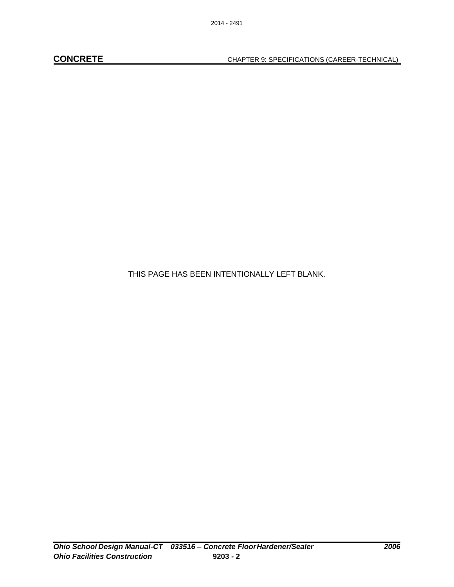**CONCRETE** CHAPTER 9: SPECIFICATIONS (CAREER-TECHNICAL)

THIS PAGE HAS BEEN INTENTIONALLY LEFT BLANK.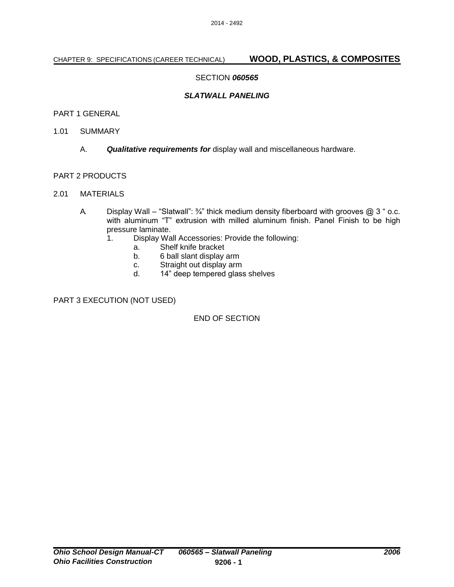# CHAPTER 9: SPECIFICATIONS (CAREER TECHNICAL) **WOOD, PLASTICS, & COMPOSITES**

## SECTION *060565*

## *SLATWALL PANELING*

#### PART 1 GENERAL

#### 1.01 SUMMARY

A. *Qualitative requirements for* display wall and miscellaneous hardware.

## PART 2 PRODUCTS

## 2.01 MATERIALS

- A. Display Wall "Slatwall":  $\frac{3}{4}$ " thick medium density fiberboard with grooves @ 3 " o.c. with aluminum "T" extrusion with milled aluminum finish. Panel Finish to be high pressure laminate.<br>1. Display Wa
	- Display Wall Accessories: Provide the following:
		- a. Shelf knife bracket
		- b. 6 ball slant display arm
		- c. Straight out display arm
		- d. 14" deep tempered glass shelves

PART 3 EXECUTION (NOT USED)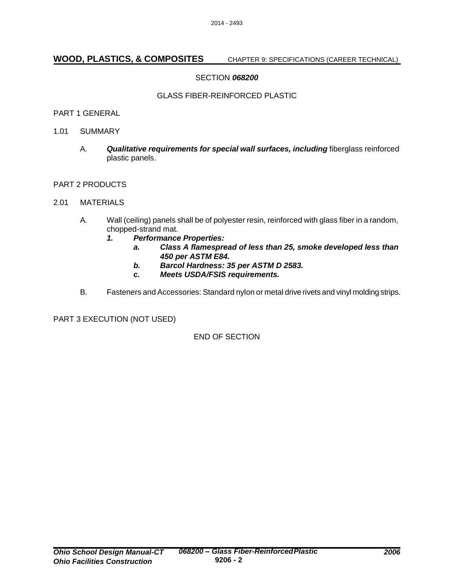# **WOOD, PLASTICS, & COMPOSITES** CHAPTER 9: SPECIFICATIONS (CAREER TECHNICAL)

# SECTION *068200*

## GLASS FIBER-REINFORCED PLASTIC

## PART 1 GENERAL

- 1.01 SUMMARY
	- A. *Qualitative requirements for special wall surfaces, including* fiberglass reinforced plastic panels.

## PART 2 PRODUCTS

- 2.01 MATERIALS
	- A. Wall (ceiling) panels shall be of polyester resin, reinforced with glass fiber in a random, chopped-strand mat.
		- *1. Performance Properties:*
			- *a. Class A flamespread of less than 25, smoke developed less than 450 per ASTM E84.*
			- *b. Barcol Hardness: 35 per ASTM D 2583.*
			- *c. Meets USDA/FSIS requirements.*
	- B. Fasteners and Accessories: Standard nylon or metal drive rivets and vinyl molding strips.

PART 3 EXECUTION (NOT USED)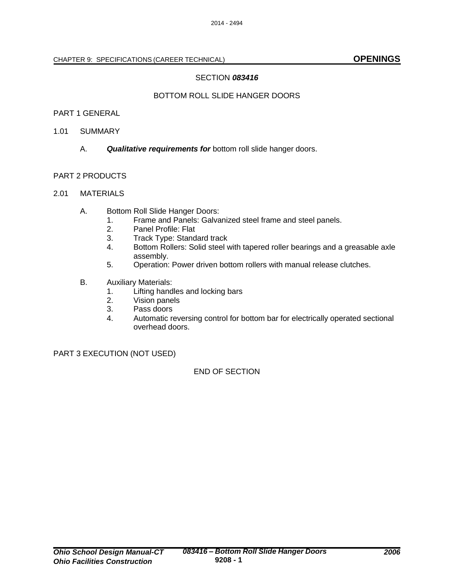## BOTTOM ROLL SLIDE HANGER DOORS

#### PART 1 GENERAL

#### 1.01 SUMMARY

A. *Qualitative requirements for* bottom roll slide hanger doors.

#### PART 2 PRODUCTS

- 2.01 MATERIALS
	- A. Bottom Roll Slide Hanger Doors:
		- 1. Frame and Panels: Galvanized steel frame and steel panels.
		- 2. Panel Profile: Flat
		- 3. Track Type: Standard track
		- 4. Bottom Rollers: Solid steel with tapered roller bearings and a greasable axle assembly.
		- 5. Operation: Power driven bottom rollers with manual release clutches.
	- B. Auxiliary Materials:
		- 1. Lifting handles and locking bars
		- 2. Vision panels
		- 3. Pass doors
		- 4. Automatic reversing control for bottom bar for electrically operated sectional overhead doors.

PART 3 EXECUTION (NOT USED)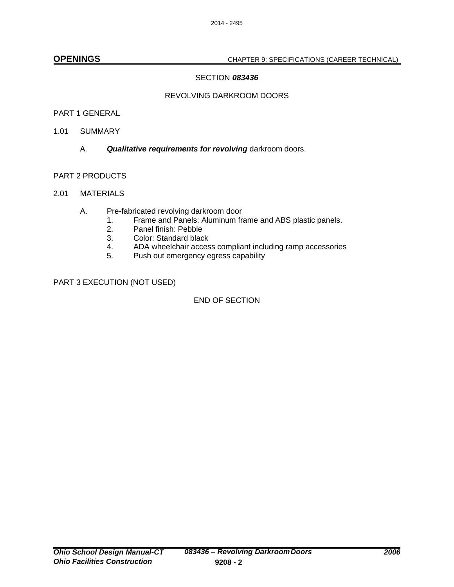## REVOLVING DARKROOM DOORS

PART 1 GENERAL

- 1.01 SUMMARY
	- A. *Qualitative requirements for revolving* darkroom doors.

#### PART 2 PRODUCTS

- 2.01 MATERIALS
	- A. Pre-fabricated revolving darkroom door
		- 1. Frame and Panels: Aluminum frame and ABS plastic panels.
		- 2. Panel finish: Pebble
		- 3. Color: Standard black
		- 4. ADA wheelchair access compliant including ramp accessories
		- 5. Push out emergency egress capability

PART 3 EXECUTION (NOT USED)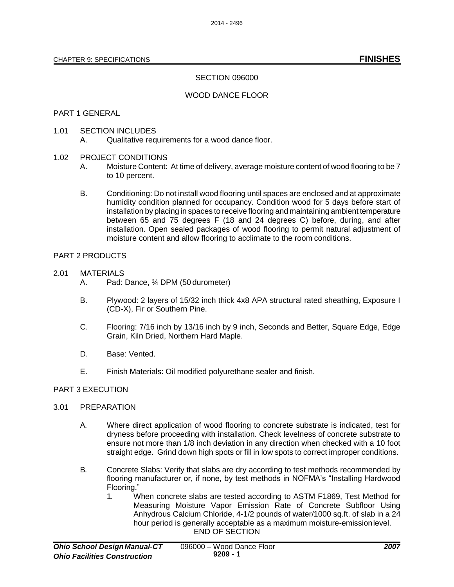#### WOOD DANCE FLOOR

#### PART 1 GENERAL

#### 1.01 SECTION INCLUDES

A. Qualitative requirements for a wood dance floor.

#### 1.02 PROJECT CONDITIONS

- A. Moisture Content: At time of delivery, average moisture content of wood flooring to be 7 to 10 percent.
- B. Conditioning: Do not install wood flooring until spaces are enclosed and at approximate humidity condition planned for occupancy. Condition wood for 5 days before start of installation by placing in spaces to receive flooring and maintaining ambient temperature between 65 and 75 degrees F (18 and 24 degrees C) before, during, and after installation. Open sealed packages of wood flooring to permit natural adjustment of moisture content and allow flooring to acclimate to the room conditions.

#### PART 2 PRODUCTS

#### 2.01 MATERIALS

- A. Pad: Dance, ¾ DPM (50 durometer)
- B. Plywood: 2 layers of 15/32 inch thick 4x8 APA structural rated sheathing, Exposure I (CD-X), Fir or Southern Pine.
- C. Flooring: 7/16 inch by 13/16 inch by 9 inch, Seconds and Better, Square Edge, Edge Grain, Kiln Dried, Northern Hard Maple.
- D. Base: Vented.
- E. Finish Materials: Oil modified polyurethane sealer and finish.

#### PART 3 EXECUTION

#### 3.01 PREPARATION

- A. Where direct application of wood flooring to concrete substrate is indicated, test for dryness before proceeding with installation. Check levelness of concrete substrate to ensure not more than 1/8 inch deviation in any direction when checked with a 10 foot straight edge. Grind down high spots or fill in low spots to correct improper conditions.
- B. Concrete Slabs: Verify that slabs are dry according to test methods recommended by flooring manufacturer or, if none, by test methods in NOFMA's "Installing Hardwood Flooring."
	- 1. When concrete slabs are tested according to ASTM F1869, Test Method for Measuring Moisture Vapor Emission Rate of Concrete Subfloor Using Anhydrous Calcium Chloride, 4-1/2 pounds of water/1000 sq.ft. of slab in a 24 hour period is generally acceptable as a maximum moisture-emissionlevel.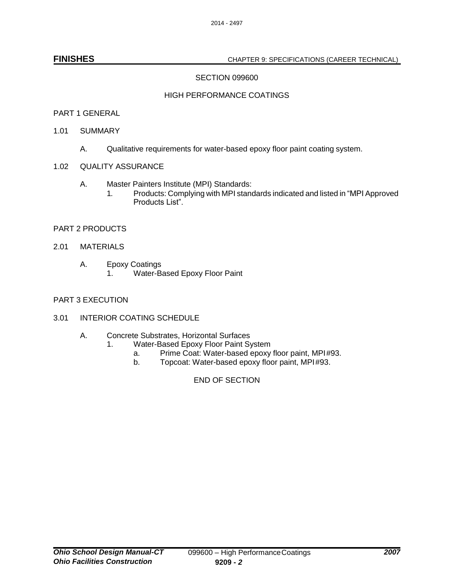## HIGH PERFORMANCE COATINGS

## PART 1 GENERAL

- 1.01 SUMMARY
	- A. Qualitative requirements for water-based epoxy floor paint coating system.
- 1.02 QUALITY ASSURANCE
	- A. Master Painters Institute (MPI) Standards:
		- 1. Products: Complying with MPI standards indicated and listed in "MPI Approved Products List".

## PART 2 PRODUCTS

- 2.01 MATERIALS
	- A. Epoxy Coatings
		- 1. Water-Based Epoxy Floor Paint

## PART 3 EXECUTION

## 3.01 INTERIOR COATING SCHEDULE

- A. Concrete Substrates, Horizontal Surfaces
	- 1. Water-Based Epoxy Floor Paint System
		- a. Prime Coat: Water-based epoxy floor paint, MPI#93.
		- b. Topcoat: Water-based epoxy floor paint, MPI#93.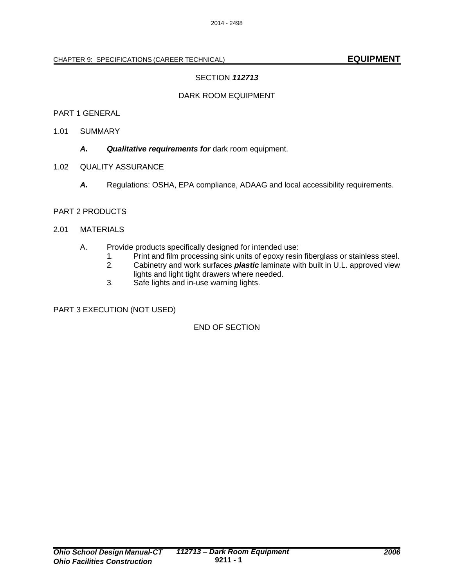## DARK ROOM EQUIPMENT

#### PART 1 GENERAL

- 1.01 SUMMARY
	- *A. Qualitative requirements for* dark room equipment.
- 1.02 QUALITY ASSURANCE
	- *A.* Regulations: OSHA, EPA compliance, ADAAG and local accessibility requirements.

## PART 2 PRODUCTS

## 2.01 MATERIALS

- A. Provide products specifically designed for intended use:
	- 1. Print and film processing sink units of epoxy resin fiberglass or stainless steel.
	- 2. Cabinetry and work surfaces *plastic* laminate with built in U.L. approved view lights and light tight drawers where needed.
	- 3. Safe lights and in-use warning lights.

PART 3 EXECUTION (NOT USED)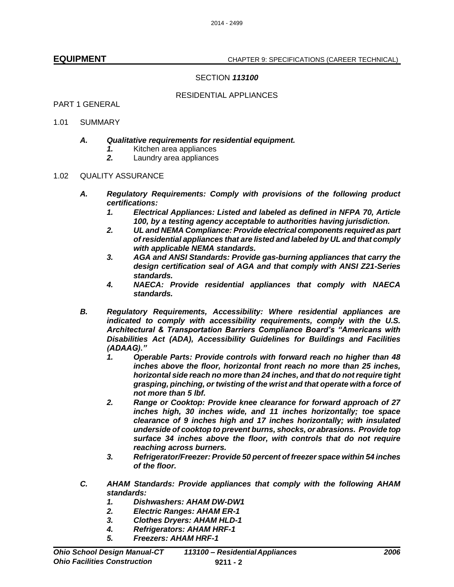## RESIDENTIAL APPLIANCES

PART 1 GENERAL

## 1.01 SUMMARY

## *A. Qualitative requirements for residential equipment.*

- *1.* Kitchen area appliances
- *2.* Laundry area appliances
- 1.02 QUALITY ASSURANCE
	- *A. Regulatory Requirements: Comply with provisions of the following product certifications:*
		- *1. Electrical Appliances: Listed and labeled as defined in NFPA 70, Article 100, by a testing agency acceptable to authorities having jurisdiction.*
		- *2. UL and NEMA Compliance: Provide electrical components required as part of residential appliances that are listed and labeled by UL and that comply with applicable NEMA standards.*
		- *3. AGA and ANSI Standards: Provide gas-burning appliances that carry the design certification seal of AGA and that comply with ANSI Z21-Series standards.*
		- *4. NAECA: Provide residential appliances that comply with NAECA standards.*
	- *B. Regulatory Requirements, Accessibility: Where residential appliances are indicated to comply with accessibility requirements, comply with the U.S. Architectural & Transportation Barriers Compliance Board's "Americans with Disabilities Act (ADA), Accessibility Guidelines for Buildings and Facilities (ADAAG)."*
		- *1. Operable Parts: Provide controls with forward reach no higher than 48 inches above the floor, horizontal front reach no more than 25 inches, horizontal side reach no more than 24 inches, and that do notrequire tight grasping, pinching, or twisting of the wrist and that operate with a force of not more than 5 lbf.*
		- *2. Range or Cooktop: Provide knee clearance for forward approach of 27 inches high, 30 inches wide, and 11 inches horizontally; toe space clearance of 9 inches high and 17 inches horizontally; with insulated underside of cooktop to prevent burns, shocks, or abrasions. Provide top surface 34 inches above the floor, with controls that do not require reaching across burners.*
		- *3. Refrigerator/Freezer: Provide 50 percent of freezer space within 54 inches of the floor.*
	- *C. AHAM Standards: Provide appliances that comply with the following AHAM standards:*
		- *1. Dishwashers: AHAM DW-DW1*
		- *2. Electric Ranges: AHAM ER-1*
		- *3. Clothes Dryers: AHAM HLD-1*
		- *4. Refrigerators: AHAM HRF-1*
		- *5. Freezers: AHAM HRF-1*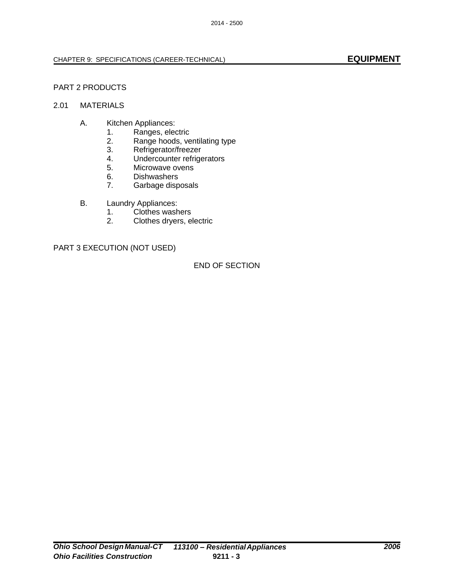# CHAPTER 9: SPECIFICATIONS (CAREER-TECHNICAL) **EQUIPMENT**

## PART 2 PRODUCTS

## 2.01 MATERIALS

- A. Kitchen Appliances:
	- 1. Ranges, electric<br>2. Range hoods, ve
	- 2. Range hoods, ventilating type<br>3. Refrigerator/freezer
	- 3. Refrigerator/freezer<br>4. Undercounter refrige
	- 4. Undercounter refrigerators<br>5. Microwave ovens
	- 5. Microwave ovens<br>6. Dishwashers
	- 6. Dishwashers<br>7. Garbage disp
	- Garbage disposals
- B. Laundry Appliances:<br>1. Clothes wash
	- 1. Clothes washers<br>2. Clothes dryers, e
	- 2. Clothes dryers, electric

## PART 3 EXECUTION (NOT USED)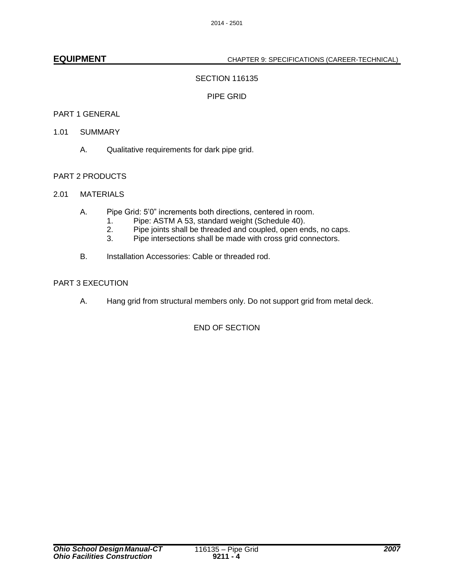## PIPE GRID

## PART 1 GENERAL

## 1.01 SUMMARY

A. Qualitative requirements for dark pipe grid.

## PART 2 PRODUCTS

## 2.01 MATERIALS

- A. Pipe Grid: 5'0" increments both directions, centered in room.
	- 1. Pipe: ASTM A 53, standard weight (Schedule 40).
	- 2. Pipe joints shall be threaded and coupled, open ends, no caps.<br>3. Pipe intersections shall be made with cross grid connectors.
	- Pipe intersections shall be made with cross grid connectors.
- B. Installation Accessories: Cable or threaded rod.

## PART 3 EXECUTION

A. Hang grid from structural members only. Do not support grid from metal deck.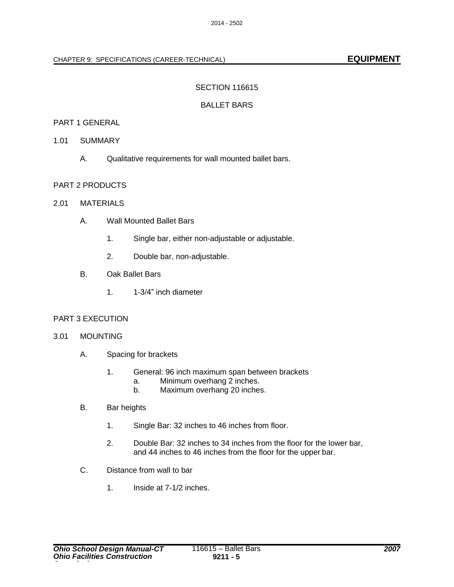#### BALLET BARS

## PART 1 GENERAL

#### 1.01 SUMMARY

A. Qualitative requirements for wall mounted ballet bars.

#### PART 2 PRODUCTS

#### 2.01 MATERIALS

- A. Wall Mounted Ballet Bars
	- 1. Single bar, either non-adjustable or adjustable.
	- 2. Double bar, non-adjustable.
- B. Oak Ballet Bars
	- 1. 1-3/4" inch diameter

#### PART 3 EXECUTION

#### 3.01 MOUNTING

- A. Spacing for brackets
	- 1. General: 96 inch maximum span between brackets
		- a. Minimum overhang 2 inches.
		- b. Maximum overhang 20 inches.
- B. Bar heights
	- 1. Single Bar: 32 inches to 46 inches from floor.
	- 2. Double Bar: 32 inches to 34 inches from the floor for the lower bar, and 44 inches to 46 inches from the floor for the upper bar.
- C. Distance from wall to bar
	- 1. Inside at 7-1/2 inches.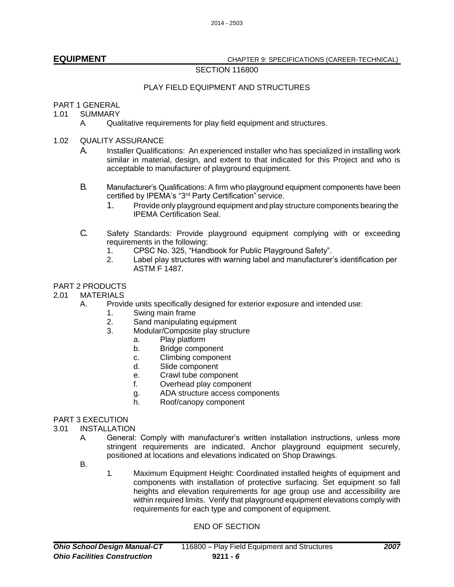#### **EQUIPMENT** CHAPTER 9: SPECIFICATIONS (CAREER-TECHNICAL)

### SECTION 116800

## PLAY FIELD EQUIPMENT AND STRUCTURES

PART 1 GENERAL

1.01 SUMMARY

- A. Qualitative requirements for play field equipment and structures.
- 1.02 QUALITY ASSURANCE
	- A. Installer Qualifications: An experienced installer who has specialized in installing work similar in material, design, and extent to that indicated for this Project and who is acceptable to manufacturer of playground equipment.
	- B. Manufacturer's Qualifications: A firm who playground equipment components have been certified by IPEMA's "3<sup>rd</sup> Party Certification" service.
		- 1. Provide only playground equipment and play structure components bearing the IPEMA Certification Seal.
	- C. Safety Standards: Provide playground equipment complying with or exceeding requirements in the following:
		- 1. CPSC No. 325, "Handbook for Public Playground Safety".
		- 2. Label play structures with warning label and manufacturer's identification per ASTM F 1487.

## PART 2 PRODUCTS

- 2.01 MATERIALS
	- A. Provide units specifically designed for exterior exposure and intended use:
		- 1. Swing main frame
		- 2. Sand manipulating equipment
		- 3. Modular/Composite play structure
			- a. Play platform
			- b. Bridge component
			- c. Climbing component
			- d. Slide component
			- e. Crawl tube component
			- f. Overhead play component
			- g. ADA structure access components
			- h. Roof/canopy component

## PART 3 EXECUTION

- 3.01 INSTALLATION
	- A. General: Comply with manufacturer's written installation instructions, unless more stringent requirements are indicated. Anchor playground equipment securely, positioned at locations and elevations indicated on Shop Drawings.
	- B.
- 1. Maximum Equipment Height: Coordinated installed heights of equipment and components with installation of protective surfacing. Set equipment so fall heights and elevation requirements for age group use and accessibility are within required limits. Verify that playground equipment elevations comply with requirements for each type and component of equipment.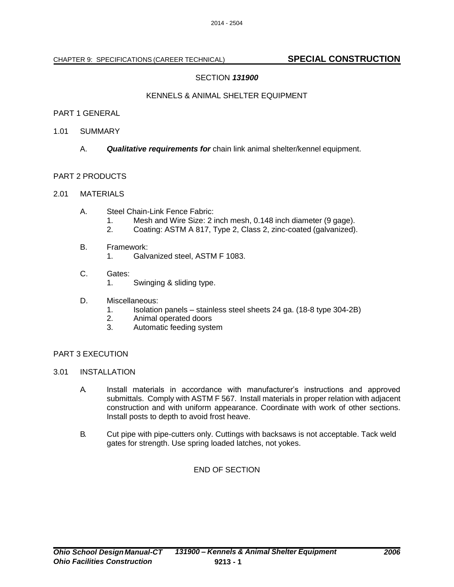## KENNELS & ANIMAL SHELTER EQUIPMENT

#### PART 1 GENERAL

#### 1.01 SUMMARY

A. *Qualitative requirements for* chain link animal shelter/kennel equipment.

#### PART 2 PRODUCTS

- 2.01 MATERIALS
	- A. Steel Chain-Link Fence Fabric:
		- 1. Mesh and Wire Size: 2 inch mesh, 0.148 inch diameter (9 gage).
		- 2. Coating: ASTM A 817, Type 2, Class 2, zinc-coated (galvanized).
	- B. Framework:
		- 1. Galvanized steel, ASTM F 1083.
	- C. Gates:
		- 1. Swinging & sliding type.
	- D. Miscellaneous:
		- 1. Isolation panels stainless steel sheets 24 ga. (18-8 type 304-2B)
		- 2. Animal operated doors
		- 3. Automatic feeding system

#### PART 3 EXECUTION

- 3.01 INSTALLATION
	- A. Install materials in accordance with manufacturer's instructions and approved submittals. Comply with ASTM F 567. Install materials in proper relation with adjacent construction and with uniform appearance. Coordinate with work of other sections. Install posts to depth to avoid frost heave.
	- B. Cut pipe with pipe-cutters only. Cuttings with backsaws is not acceptable. Tack weld gates for strength. Use spring loaded latches, not yokes.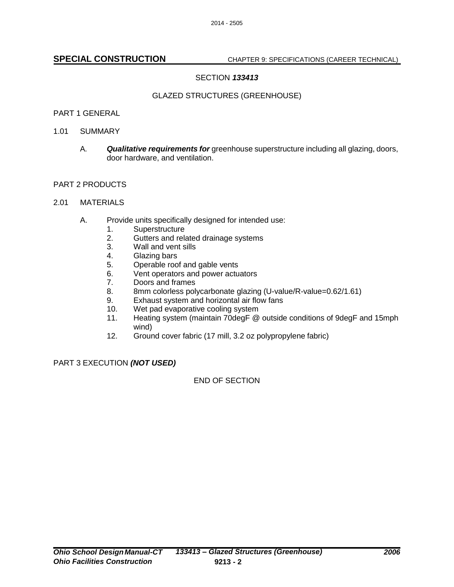#### **SPECIAL CONSTRUCTION** CHAPTER 9: SPECIFICATIONS (CAREER TECHNICAL)

## SECTION *133413*

## GLAZED STRUCTURES (GREENHOUSE)

#### PART 1 GENERAL

- 1.01 SUMMARY
	- A. *Qualitative requirements for* greenhouse superstructure including all glazing, doors, door hardware, and ventilation.

#### PART 2 PRODUCTS

- 2.01 MATERIALS
	- A. Provide units specifically designed for intended use:
		- 1. Superstructure
		- 2. Gutters and related drainage systems
		- 3. Wall and vent sills
		- 4. Glazing bars
		- 5. Operable roof and gable vents
		- 6. Vent operators and power actuators
		- 7. Doors and frames
		- 8. 8mm colorless polycarbonate glazing (U-value/R-value=0.62/1.61)
		- 9. Exhaust system and horizontal air flow fans
		- 10. Wet pad evaporative cooling system
		- 11. Heating system (maintain 70degF @ outside conditions of 9degF and 15mph wind)
		- 12. Ground cover fabric (17 mill, 3.2 oz polypropylene fabric)

#### PART 3 EXECUTION *(NOT USED)*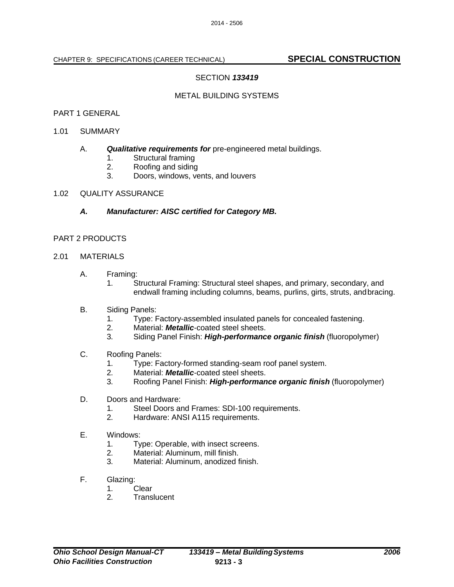#### METAL BUILDING SYSTEMS

#### PART 1 GENERAL

1.01 SUMMARY

#### A. *Qualitative requirements for* pre-engineered metal buildings.

- 1. Structural framing
- 2. Roofing and siding<br>3. Doors. windows. ve
- Doors, windows, vents, and louvers
- 1.02 QUALITY ASSURANCE

#### *A. Manufacturer: AISC certified for Category MB.*

#### PART 2 PRODUCTS

- 2.01 MATERIALS
	- A. Framing:
		- 1. Structural Framing: Structural steel shapes, and primary, secondary, and endwall framing including columns, beams, purlins, girts, struts, andbracing.

## B. Siding Panels:

- 1. Type: Factory-assembled insulated panels for concealed fastening.
- 2. Material: *Metallic*-coated steel sheets.
- 3. Siding Panel Finish: *High-performance organic finish* (fluoropolymer)

#### C. Roofing Panels:

- 1. Type: Factory-formed standing-seam roof panel system.
- 2. Material: *Metallic*-coated steel sheets.
- 3. Roofing Panel Finish: *High-performance organic finish* (fluoropolymer)
- D. Doors and Hardware:
	- 1. Steel Doors and Frames: SDI-100 requirements.
	- 2. Hardware: ANSI A115 requirements.
- E. Windows:
	- 1. Type: Operable, with insect screens.<br>2 Material: Aluminum mill finish
	- 2. Material: Aluminum, mill finish.<br>3. Material: Aluminum. anodized f
	- Material: Aluminum, anodized finish.
- F. Glazing:
	- 1. Clear
	- 2. Translucent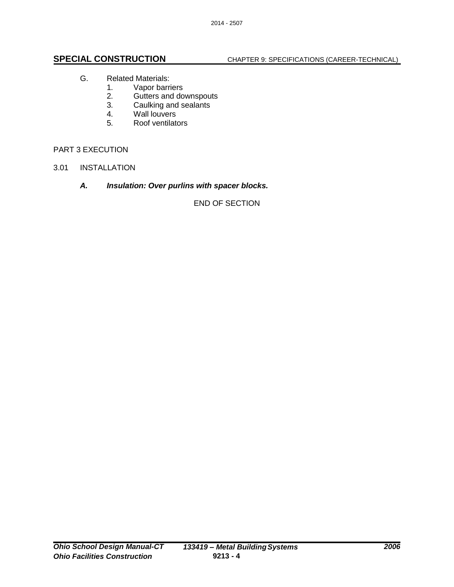# **SPECIAL CONSTRUCTION** CHAPTER 9: SPECIFICATIONS (CAREER-TECHNICAL)

- G. Related Materials:
	- 1. Vapor barriers
	- 2. Gutters and downspouts
	- 3. Caulking and sealants
	- 4. Wall louvers<br>5. Roof ventilate
	- 5. Roof ventilators

## PART 3 EXECUTION

- 3.01 INSTALLATION
	- *A. Insulation: Over purlins with spacer blocks.*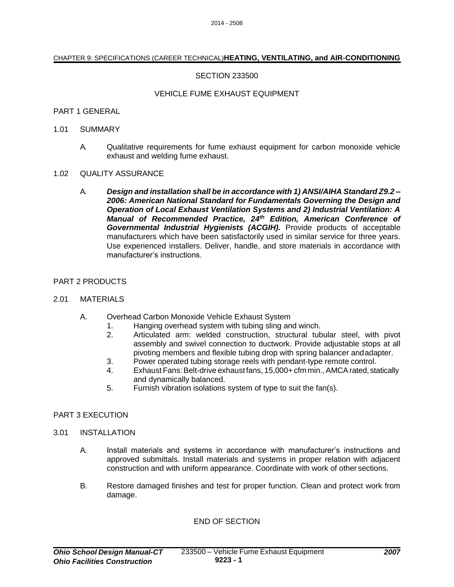### CHAPTER 9: SPECIFICATIONS (CAREER TECHNICAL)**HEATING, VENTILATING, and AIR-CONDITIONING**

## SECTION 233500

## VEHICLE FUME EXHAUST EQUIPMENT

#### PART 1 GENERAL

#### 1.01 SUMMARY

A. Qualitative requirements for fume exhaust equipment for carbon monoxide vehicle exhaust and welding fume exhaust.

#### 1.02 QUALITY ASSURANCE

A. *Design and installation shall be in accordance with 1) ANSI/AIHA Standard Z9.2 – 2006: American National Standard for Fundamentals Governing the Design and Operation of Local Exhaust Ventilation Systems and 2) Industrial Ventilation: A Manual of Recommended Practice, 24th Edition, American Conference of*  Governmental Industrial Hygienists (ACGIH). Provide products of acceptable manufacturers which have been satisfactorily used in similar service for three years. Use experienced installers. Deliver, handle, and store materials in accordance with manufacturer's instructions.

#### PART 2 PRODUCTS

- 2.01 MATERIALS
	- A. Overhead Carbon Monoxide Vehicle Exhaust System
		- 1. Hanging overhead system with tubing sling and winch.
		- 2. Articulated arm: welded construction, structural tubular steel, with pivot assembly and swivel connection to ductwork. Provide adjustable stops at all pivoting members and flexible tubing drop with spring balancer andadapter.
		- 3. Power operated tubing storage reels with pendant-type remote control.
		- 4. Exhaust Fans:Belt-drive exhaust fans, 15,000+ cfm min.,AMCArated, statically and dynamically balanced.
		- 5. Furnish vibration isolations system of type to suit the fan(s).

#### PART 3 EXECUTION

#### 3.01 INSTALLATION

- A. Install materials and systems in accordance with manufacturer's instructions and approved submittals. Install materials and systems in proper relation with adjacent construction and with uniform appearance. Coordinate with work of other sections.
- B. Restore damaged finishes and test for proper function. Clean and protect work from damage.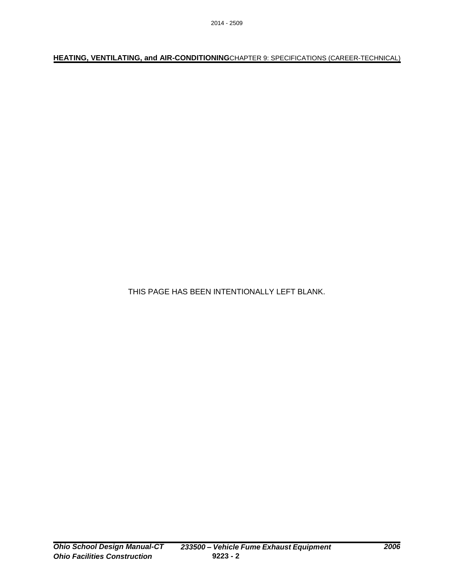# **HEATING, VENTILATING, and AIR-CONDITIONING**CHAPTER 9: SPECIFICATIONS (CAREER-TECHNICAL)

THIS PAGE HAS BEEN INTENTIONALLY LEFT BLANK.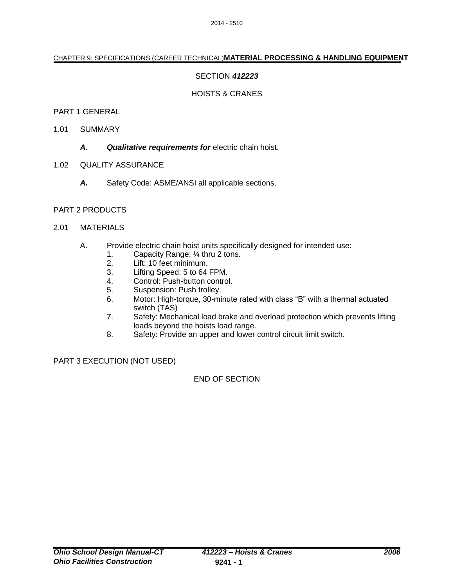## CHAPTER 9: SPECIFICATIONS (CAREER TECHNICAL)**MATERIAL PROCESSING & HANDLING EQUIPMENT**

## SECTION *412223*

## HOISTS & CRANES

## PART 1 GENERAL

- 1.01 SUMMARY
	- *A. Qualitative requirements for* electric chain hoist.
- 1.02 QUALITY ASSURANCE
	- *A.* Safety Code: ASME/ANSI all applicable sections.

## PART 2 PRODUCTS

- 2.01 MATERIALS
	- A. Provide electric chain hoist units specifically designed for intended use:
		- 1. Capacity Range: ¼ thru 2 tons.<br>2. Lift: 10 feet minimum.
		- Lift: 10 feet minimum.
		- 3. Lifting Speed: 5 to 64 FPM.<br>4 Control: Push-button control
		- Control: Push-button control.
		- 5. Suspension: Push trolley.
		- 6. Motor: High-torque, 30-minute rated with class "B" with a thermal actuated switch (TAS)
		- 7. Safety: Mechanical load brake and overload protection which prevents lifting loads beyond the hoists load range.
		- 8. Safety: Provide an upper and lower control circuit limit switch.

PART 3 EXECUTION (NOT USED)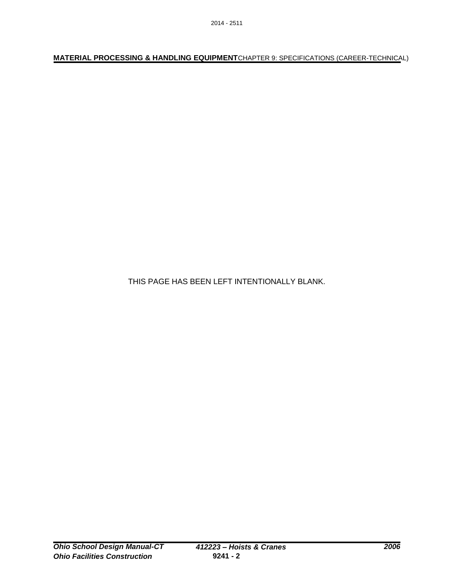# **MATERIAL PROCESSING & HANDLING EQUIPMENT**CHAPTER 9: SPECIFICATIONS (CAREER-TECHNICAL)

THIS PAGE HAS BEEN LEFT INTENTIONALLY BLANK.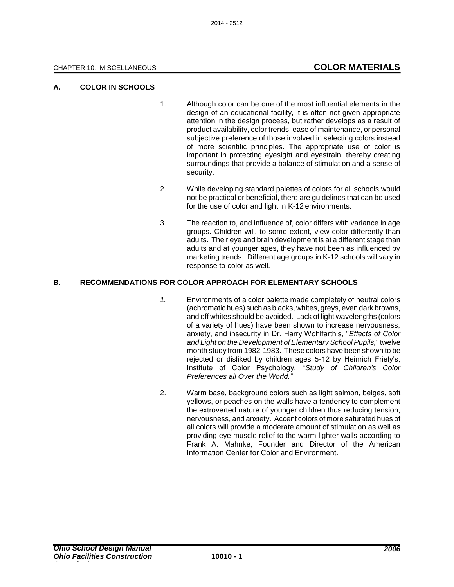## **A. COLOR IN SCHOOLS**

- 1. Although color can be one of the most influential elements in the design of an educational facility, it is often not given appropriate attention in the design process, but rather develops as a result of product availability, color trends, ease of maintenance, or personal subjective preference of those involved in selecting colors instead of more scientific principles. The appropriate use of color is important in protecting eyesight and eyestrain, thereby creating surroundings that provide a balance of stimulation and a sense of security.
- 2. While developing standard palettes of colors for all schools would not be practical or beneficial, there are guidelines that can be used for the use of color and light in K-12 environments.
- 3. The reaction to, and influence of, color differs with variance in age groups. Children will, to some extent, view color differently than adults. Their eye and brain development is at a different stage than adults and at younger ages, they have not been as influenced by marketing trends. Different age groups in K-12 schools will vary in response to color as well.

## **B. RECOMMENDATIONS FOR COLOR APPROACH FOR ELEMENTARY SCHOOLS**

- *1.* Environments of a color palette made completely of neutral colors (achromatic hues) such as blacks, whites, greys, even dark browns, and off whites should be avoided. Lack of light wavelengths (colors of a variety of hues) have been shown to increase nervousness, anxiety, and insecurity in Dr. Harry Wohlfarth's, "*Effects of Color and Light on the Development of Elementary SchoolPupils,*"twelve month study from 1982-1983. These colors have been shown to be rejected or disliked by children ages 5-12 by Heinrich Friely's, Institute of Color Psychology, "*Study of Children's Color Preferences all Over the World."*
- 2. Warm base, background colors such as light salmon, beiges, soft yellows, or peaches on the walls have a tendency to complement the extroverted nature of younger children thus reducing tension, nervousness, and anxiety. Accent colors of more saturated hues of all colors will provide a moderate amount of stimulation as well as providing eye muscle relief to the warm lighter walls according to Frank A. Mahnke, Founder and Director of the American Information Center for Color and Environment.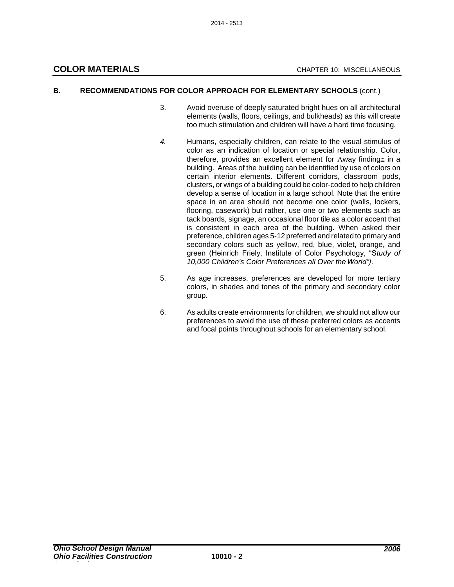## **B. RECOMMENDATIONS FOR COLOR APPROACH FOR ELEMENTARY SCHOOLS** (cont.)

- 3. Avoid overuse of deeply saturated bright hues on all architectural elements (walls, floors, ceilings, and bulkheads) as this will create too much stimulation and children will have a hard time focusing.
- *4.* Humans, especially children, can relate to the visual stimulus of color as an indication of location or special relationship. Color, therefore, provides an excellent element for Away finding $\equiv$  in a building. Areas of the building can be identified by use of colors on certain interior elements. Different corridors, classroom pods, clusters, or wings of a building could be color-coded to help children develop a sense of location in a large school. Note that the entire space in an area should not become one color (walls, lockers, flooring, casework) but rather, use one or two elements such as tack boards, signage, an occasional floor tile as a color accent that is consistent in each area of the building. When asked their preference, children ages 5-12 preferred and related to primary and secondary colors such as yellow, red, blue, violet, orange, and green (Heinrich Friely, Institute of Color Psychology, "S*tudy of 10,000 Children's Color Preferences all Over theWorld").*
- 5. As age increases, preferences are developed for more tertiary colors, in shades and tones of the primary and secondary color group.
- 6. As adults create environments for children, we should not allow our preferences to avoid the use of these preferred colors as accents and focal points throughout schools for an elementary school.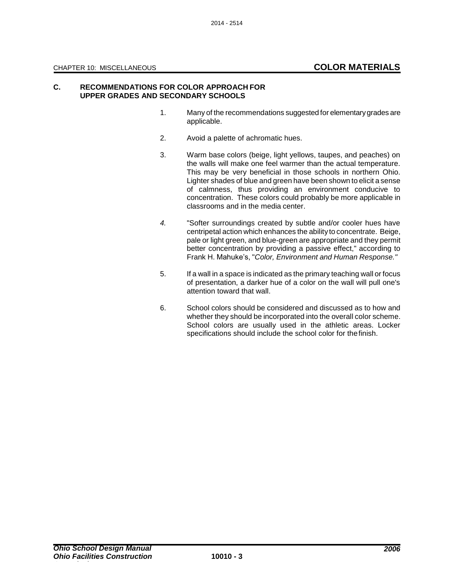#### **C. RECOMMENDATIONS FOR COLOR APPROACH FOR UPPER GRADES AND SECONDARY SCHOOLS**

- 1. Many of the recommendations suggested for elementarygrades are applicable.
- 2. Avoid a palette of achromatic hues.
- 3. Warm base colors (beige, light yellows, taupes, and peaches) on the walls will make one feel warmer than the actual temperature. This may be very beneficial in those schools in northern Ohio. Lighter shades of blue and green have been shown to elicit a sense of calmness, thus providing an environment conducive to concentration. These colors could probably be more applicable in classrooms and in the media center.
- *4.* "Softer surroundings created by subtle and/or cooler hues have centripetal action which enhances the ability to concentrate. Beige, pale or light green, and blue-green are appropriate and they permit better concentration by providing a passive effect," according to Frank H. Mahuke's, "*Color, Environment and Human Response."*
- 5. If a wall in a space is indicated as the primary teaching wall or focus of presentation, a darker hue of a color on the wall will pull one's attention toward that wall.
- 6. School colors should be considered and discussed as to how and whether they should be incorporated into the overall color scheme. School colors are usually used in the athletic areas. Locker specifications should include the school color for thefinish.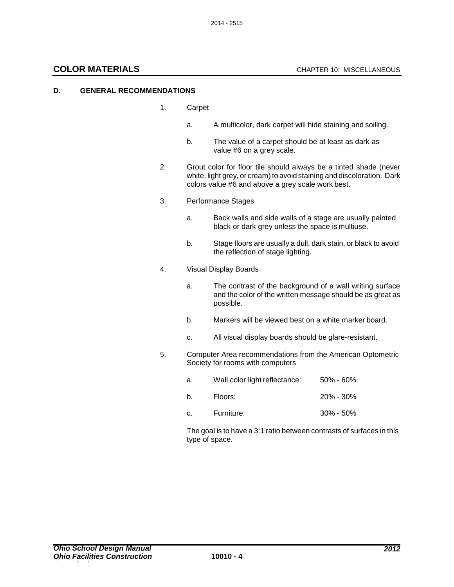## **D. GENERAL RECOMMENDATIONS**

- 1. Carpet
	- a. A multicolor, dark carpet will hide staining and soiling.
	- b. The value of a carpet should be at least as dark as value #6 on a grey scale.
- 2. Grout color for floor tile should always be a tinted shade (never white, light grey, or cream) to avoid staining and discoloration. Dark colors value #6 and above a grey scale work best.
- 3. Performance Stages
	- a. Back walls and side walls of a stage are usually painted black or dark grey unless the space is multiuse.
	- b. Stage floors are usually a dull, dark stain, or black to avoid the reflection of stage lighting.
- 4. Visual Display Boards
	- a. The contrast of the background of a wall writing surface and the color of the written message should be as great as possible.
	- b. Markers will be viewed best on a white marker board.
	- c. All visual display boards should be glare-resistant.
- 5. Computer Area recommendations from the American Optometric Society for rooms with computers

| а. | Wall color light reflectance: | $50\%$ - 60% |
|----|-------------------------------|--------------|
|    |                               |              |

- b. Floors: 20% 30%
- c. Furniture: 30% 50%

The goal is to have a 3:1 ratio between contrasts of surfaces in this type of space.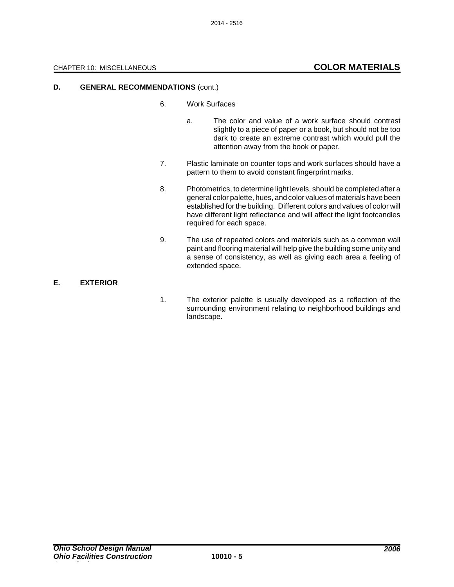#### **D. GENERAL RECOMMENDATIONS** (cont.)

- 6. Work Surfaces
	- a. The color and value of a work surface should contrast slightly to a piece of paper or a book, but should not be too dark to create an extreme contrast which would pull the attention away from the book or paper.
- 7. Plastic laminate on counter tops and work surfaces should have a pattern to them to avoid constant fingerprint marks.
- 8. Photometrics, to determine light levels, should be completed after a general color palette, hues, and color values of materials have been established for the building. Different colors and values of color will have different light reflectance and will affect the light footcandles required for each space.
- 9. The use of repeated colors and materials such as a common wall paint and flooring material will help give the building some unity and a sense of consistency, as well as giving each area a feeling of extended space.

## **E. EXTERIOR**

1. The exterior palette is usually developed as a reflection of the surrounding environment relating to neighborhood buildings and landscape.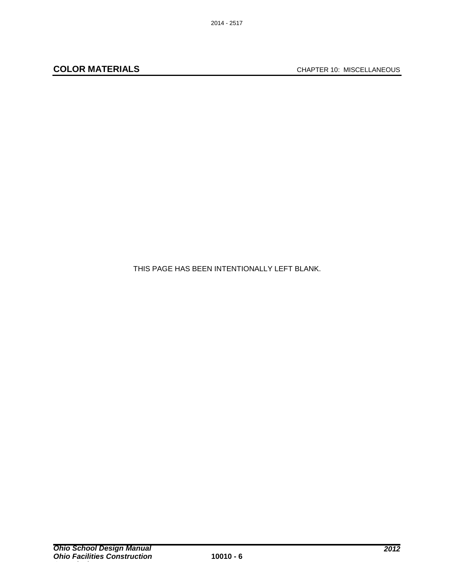THIS PAGE HAS BEEN INTENTIONALLY LEFT BLANK.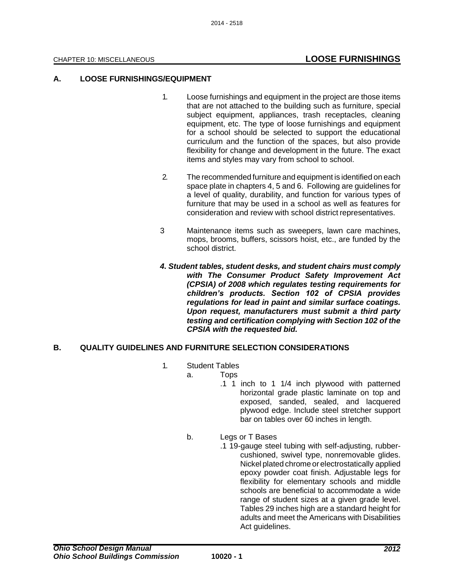## CHAPTER 10: MISCELLANEOUS **LOOSE FURNISHINGS**

#### **A. LOOSE FURNISHINGS/EQUIPMENT**

- 1. Loose furnishings and equipment in the project are those items that are not attached to the building such as furniture, special subject equipment, appliances, trash receptacles, cleaning equipment, etc. The type of loose furnishings and equipment for a school should be selected to support the educational curriculum and the function of the spaces, but also provide flexibility for change and development in the future. The exact items and styles may vary from school to school.
- 2. The recommended furniture and equipment is identified on each space plate in chapters 4, 5 and 6. Following are guidelines for a level of quality, durability, and function for various types of furniture that may be used in a school as well as features for consideration and review with school district representatives.
- 3 Maintenance items such as sweepers, lawn care machines, mops, brooms, buffers, scissors hoist, etc., are funded by the school district.
- *4. Student tables, student desks, and student chairs must comply with The Consumer Product Safety Improvement Act (CPSIA) of 2008 which regulates testing requirements for children's products. Section 102 of CPSIA provides regulations for lead in paint and similar surface coatings. Upon request, manufacturers must submit a third party testing and certification complying with Section 102 of the CPSIA with the requested bid.*

## **B. QUALITY GUIDELINES AND FURNITURE SELECTION CONSIDERATIONS**

- 1. Student Tables
	- a. Tops
		- .1 1 inch to 1 1/4 inch plywood with patterned horizontal grade plastic laminate on top and exposed, sanded, sealed, and lacquered plywood edge. Include steel stretcher support bar on tables over 60 inches in length.
	- b. Legs or T Bases
		- .1 19-gauge steel tubing with self-adjusting, rubbercushioned, swivel type, nonremovable glides. Nickel plated chrome or electrostatically applied epoxy powder coat finish. Adjustable legs for flexibility for elementary schools and middle schools are beneficial to accommodate a wide range of student sizes at a given grade level. Tables 29 inches high are a standard height for adults and meet the Americans with Disabilities Act guidelines.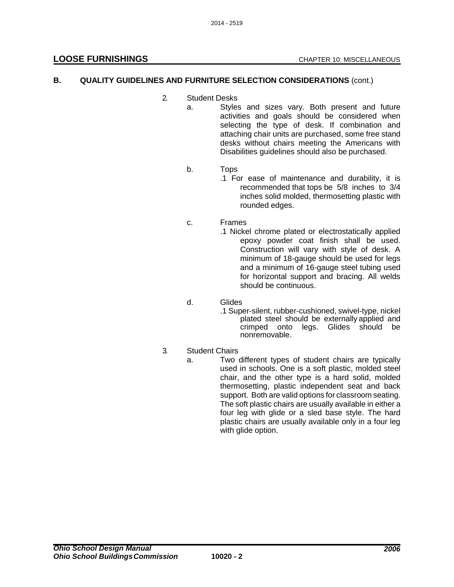#### **B. QUALITY GUIDELINES AND FURNITURE SELECTION CONSIDERATIONS** (cont.)

- 2. Student Desks
	- a. Styles and sizes vary. Both present and future activities and goals should be considered when selecting the type of desk. If combination and attaching chair units are purchased, some free stand desks without chairs meeting the Americans with Disabilities guidelines should also be purchased.
	- b. Tops
		- .1 For ease of maintenance and durability, it is recommended that tops be 5/8 inches to 3/4 inches solid molded, thermosetting plastic with rounded edges.
	- c. Frames
		- .1 Nickel chrome plated or electrostatically applied epoxy powder coat finish shall be used. Construction will vary with style of desk. A minimum of 18-gauge should be used for legs and a minimum of 16-gauge steel tubing used for horizontal support and bracing. All welds should be continuous.
	- d. Glides
		- .1 Super-silent, rubber-cushioned, swivel-type, nickel plated steel should be externally applied and crimped onto legs. Glides should be nonremovable.
- 3. Student Chairs

a. Two different types of student chairs are typically used in schools. One is a soft plastic, molded steel chair, and the other type is a hard solid, molded thermosetting, plastic independent seat and back support. Both are valid options for classroom seating. The soft plastic chairs are usually available in either a four leg with glide or a sled base style. The hard plastic chairs are usually available only in a four leg with glide option.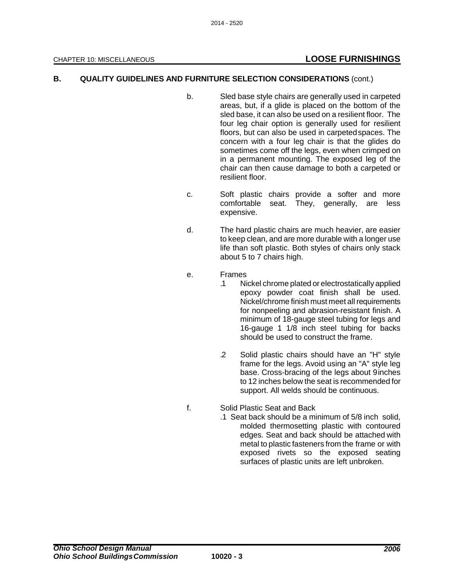#### **B. QUALITY GUIDELINES AND FURNITURE SELECTION CONSIDERATIONS** (cont.)

- b. Sled base style chairs are generally used in carpeted areas, but, if a glide is placed on the bottom of the sled base, it can also be used on a resilient floor. The four leg chair option is generally used for resilient floors, but can also be used in carpetedspaces. The concern with a four leg chair is that the glides do sometimes come off the legs, even when crimped on in a permanent mounting. The exposed leg of the chair can then cause damage to both a carpeted or resilient floor.
- c. Soft plastic chairs provide a softer and more comfortable seat. They, generally, are less expensive.
- d. The hard plastic chairs are much heavier, are easier to keep clean, and are more durable with a longer use life than soft plastic. Both styles of chairs only stack about 5 to 7 chairs high.
- e. Frames
	- .1 Nickel chrome plated or electrostatically applied epoxy powder coat finish shall be used. Nickel/chrome finish must meet all requirements for nonpeeling and abrasion-resistant finish. A minimum of 18-gauge steel tubing for legs and 16-gauge 1 1/8 inch steel tubing for backs should be used to construct the frame.
	- .2 Solid plastic chairs should have an "H" style frame for the legs. Avoid using an "A" style leg base. Cross-bracing of the legs about 9inches to 12 inches below the seat is recommended for support. All welds should be continuous.
- 
- f. Solid Plastic Seat and Back
	- .1 Seat back should be a minimum of 5/8 inch solid, molded thermosetting plastic with contoured edges. Seat and back should be attached with metal to plastic fasteners from the frame or with exposed rivets so the exposed seating surfaces of plastic units are left unbroken.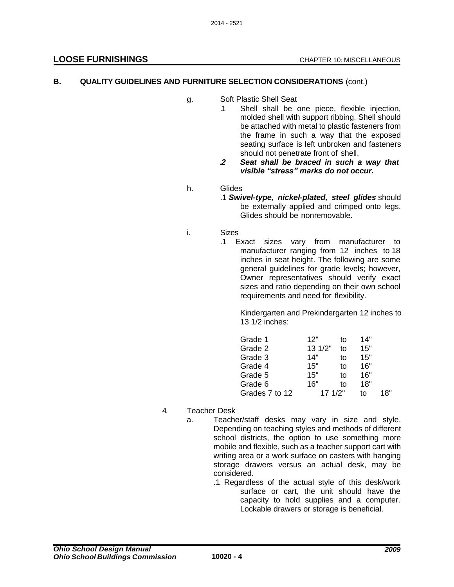#### **B. QUALITY GUIDELINES AND FURNITURE SELECTION CONSIDERATIONS** (cont.)

#### g. Soft Plastic Shell Seat

- .1 Shell shall be one piece, flexible injection, molded shell with support ribbing. Shell should be attached with metal to plastic fasteners from the frame in such a way that the exposed seating surface is left unbroken and fasteners should not penetrate front of shell.
- *.2 Seat shall be braced in such a way that visible "stress" marks do not occur.*

#### h. Glides

.1 *Swivel-type, nickel-plated, steel glides* should be externally applied and crimped onto legs. Glides should be nonremovable.

#### i. Sizes

.1 Exact sizes vary from manufacturer to manufacturer ranging from 12 inches to 18 inches in seat height. The following are some general guidelines for grade levels; however, Owner representatives should verify exact sizes and ratio depending on their own school requirements and need for flexibility.

> Kindergarten and Prekindergarten 12 inches to 13 1/2 inches:

| Grade 1        | 12"     | to | 14" |     |
|----------------|---------|----|-----|-----|
| Grade 2        | 13 1/2" | to | 15" |     |
| Grade 3        | 14"     | t٥ | 15" |     |
| Grade 4        | 15"     | t٥ | 16" |     |
| Grade 5        | 15"     | t٥ | 16" |     |
| Grade 6        | 16"     | t٥ | 18" |     |
| Grades 7 to 12 | 17 1/2" |    | t٥  | 18" |

- 4. Teacher Desk
	- a. Teacher/staff desks may vary in size and style. Depending on teaching styles and methods of different school districts, the option to use something more mobile and flexible, such as a teacher support cart with writing area or a work surface on casters with hanging storage drawers versus an actual desk, may be considered.
		- .1 Regardless of the actual style of this desk/work surface or cart, the unit should have the capacity to hold supplies and a computer. Lockable drawers or storage is beneficial.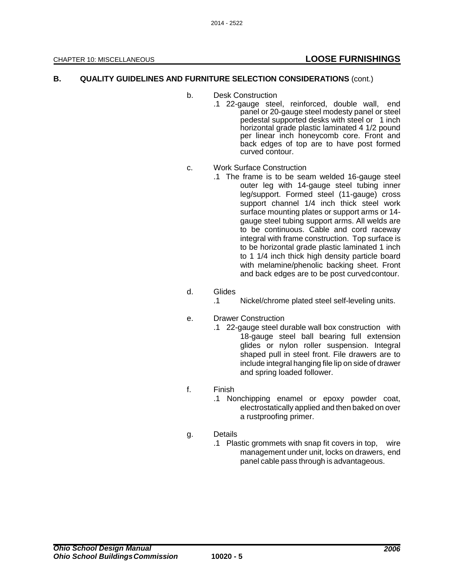- b. Desk Construction
	- .1 22-gauge steel, reinforced, double wall, end panel or 20-gauge steel modesty panel or steel pedestal supported desks with steel or 1 inch horizontal grade plastic laminated 4 1/2 pound per linear inch honeycomb core. Front and back edges of top are to have post formed curved contour.
- c. Work Surface Construction
	- .1 The frame is to be seam welded 16-gauge steel outer leg with 14-gauge steel tubing inner leg/support. Formed steel (11-gauge) cross support channel 1/4 inch thick steel work surface mounting plates or support arms or 14 gauge steel tubing support arms. All welds are to be continuous. Cable and cord raceway integral with frame construction. Top surface is to be horizontal grade plastic laminated 1 inch to 1 1/4 inch thick high density particle board with melamine/phenolic backing sheet. Front and back edges are to be post curvedcontour.
- d. Glides

.1 Nickel/chrome plated steel self-leveling units.

- e. Drawer Construction
	- .1 22-gauge steel durable wall box construction with 18-gauge steel ball bearing full extension glides or nylon roller suspension. Integral shaped pull in steel front. File drawers are to include integral hanging file lip on side of drawer and spring loaded follower.
- f. Finish
	- .1 Nonchipping enamel or epoxy powder coat, electrostatically applied and then baked on over a rustproofing primer.
- g. Details
	- .1 Plastic grommets with snap fit covers in top, wire management under unit, locks on drawers, end panel cable pass through is advantageous.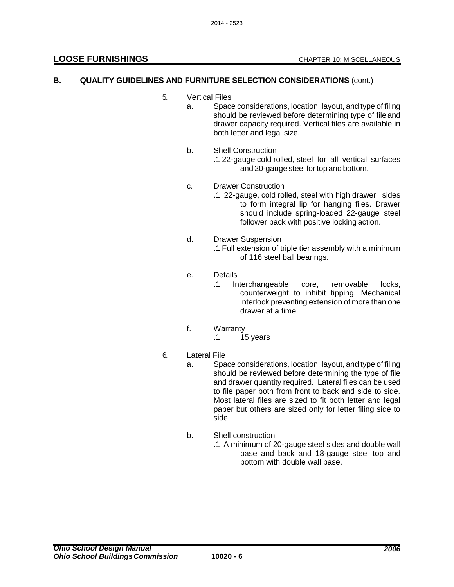- 5. Vertical Files
	- a. Space considerations, location, layout, and type of filing should be reviewed before determining type of file and drawer capacity required. Vertical files are available in both letter and legal size.
	- b. Shell Construction
		- .1 22-gauge cold rolled, steel for all vertical surfaces and 20-gauge steel fortop and bottom.
	- c. Drawer Construction
		- .1 22-gauge, cold rolled, steel with high drawer sides to form integral lip for hanging files. Drawer should include spring-loaded 22-gauge steel follower back with positive locking action.
	- d. Drawer Suspension
		- .1 Full extension of triple tier assembly with a minimum of 116 steel ball bearings.
	- e. Details
		- .1 Interchangeable core, removable locks, counterweight to inhibit tipping. Mechanical interlock preventing extension of more than one drawer at a time.
	- f. Warranty
		- .1 15 years
- 6. Lateral File
	- a. Space considerations, location, layout, and type of filing should be reviewed before determining the type of file and drawer quantity required. Lateral files can be used to file paper both from front to back and side to side. Most lateral files are sized to fit both letter and legal paper but others are sized only for letter filing side to side.
	- b. Shell construction
		- .1 A minimum of 20-gauge steel sides and double wall base and back and 18-gauge steel top and bottom with double wall base.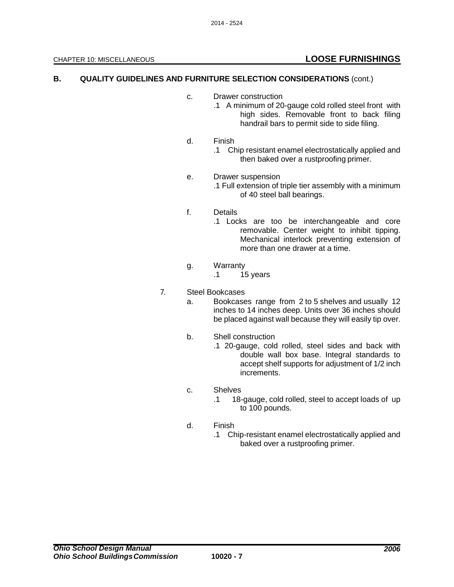- c. Drawer construction
	- .1 A minimum of 20-gauge cold rolled steel front with high sides. Removable front to back filing handrail bars to permit side to side filing.
- d. Finish
	- .1 Chip resistant enamel electrostatically applied and then baked over a rustproofing primer.
- e. Drawer suspension .1 Full extension of triple tier assembly with a minimum of 40 steel ball bearings.
- f. Details
	- .1 Locks are too be interchangeable and core removable. Center weight to inhibit tipping. Mechanical interlock preventing extension of more than one drawer at a time.
- g. Warranty
	- .1 15 years
- 7. Steel Bookcases
	- a. Bookcases range from 2 to 5 shelves and usually 12 inches to 14 inches deep. Units over 36 inches should be placed against wall because they will easily tip over.
	- b. Shell construction
		- .1 20-gauge, cold rolled, steel sides and back with double wall box base. Integral standards to accept shelf supports for adjustment of 1/2 inch increments.
	- c. Shelves
		- .1 18-gauge, cold rolled, steel to accept loads of up to 100 pounds.
	- d. Finish
		- .1 Chip-resistant enamel electrostatically applied and baked over a rustproofing primer.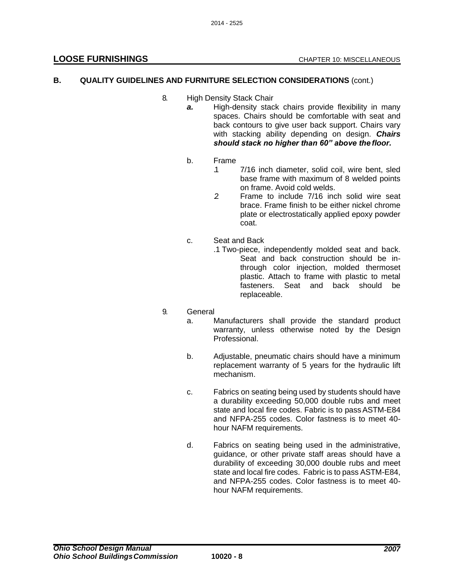- 8. High Density Stack Chair
	- *a.* High-density stack chairs provide flexibility in many spaces. Chairs should be comfortable with seat and back contours to give user back support. Chairs vary with stacking ability depending on design. *Chairs should stack no higher than 60" above the floor.*
	- b. Frame
		- .1 7/16 inch diameter, solid coil, wire bent, sled base frame with maximum of 8 welded points on frame. Avoid cold welds.
		- .2 Frame to include 7/16 inch solid wire seat brace. Frame finish to be either nickel chrome plate or electrostatically applied epoxy powder coat.
	- c. Seat and Back
		- .1 Two-piece, independently molded seat and back. Seat and back construction should be inthrough color injection, molded thermoset plastic. Attach to frame with plastic to metal fasteners. Seat and back should be replaceable.
- 9. General
	- a. Manufacturers shall provide the standard product warranty, unless otherwise noted by the Design Professional.
	- b. Adjustable, pneumatic chairs should have a minimum replacement warranty of 5 years for the hydraulic lift mechanism.
	- c. Fabrics on seating being used by students should have a durability exceeding 50,000 double rubs and meet state and local fire codes. Fabric is to pass ASTM-E84 and NFPA-255 codes. Color fastness is to meet 40 hour NAFM requirements.
	- d. Fabrics on seating being used in the administrative, guidance, or other private staff areas should have a durability of exceeding 30,000 double rubs and meet state and local fire codes. Fabric is to pass ASTM-E84, and NFPA-255 codes. Color fastness is to meet 40 hour NAFM requirements.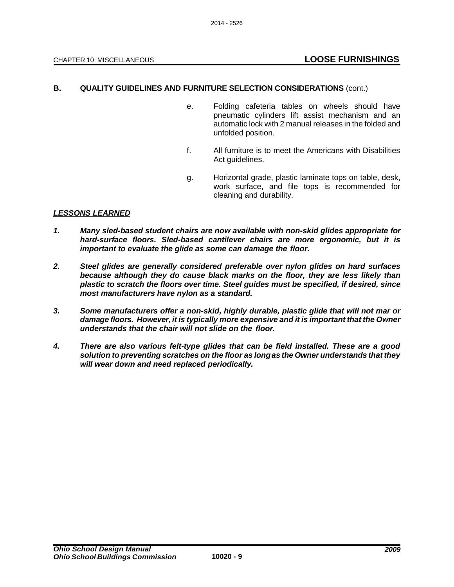- e. Folding cafeteria tables on wheels should have pneumatic cylinders lift assist mechanism and an automatic lock with 2 manual releases in the folded and unfolded position.
- f. All furniture is to meet the Americans with Disabilities Act guidelines.
- g. Horizontal grade, plastic laminate tops on table, desk, work surface, and file tops is recommended for cleaning and durability.

#### *LESSONS LEARNED*

- *1. Many sled-based student chairs are now available with non-skid glides appropriate for hard-surface floors. Sled-based cantilever chairs are more ergonomic, but it is important to evaluate the glide as some can damage the floor.*
- *2. Steel glides are generally considered preferable over nylon glides on hard surfaces because although they do cause black marks on the floor, they are less likely than plastic to scratch the floors over time. Steel guides must be specified, if desired, since most manufacturers have nylon as a standard.*
- *3. Some manufacturers offer a non-skid, highly durable, plastic glide that will not mar or damage floors. However, it is typically more expensive and it is important that the Owner understands that the chair will not slide on the floor.*
- *4. There are also various felt-type glides that can be field installed. These are a good solution to preventing scratches on the floor as longas the Owner understands that they will wear down and need replaced periodically.*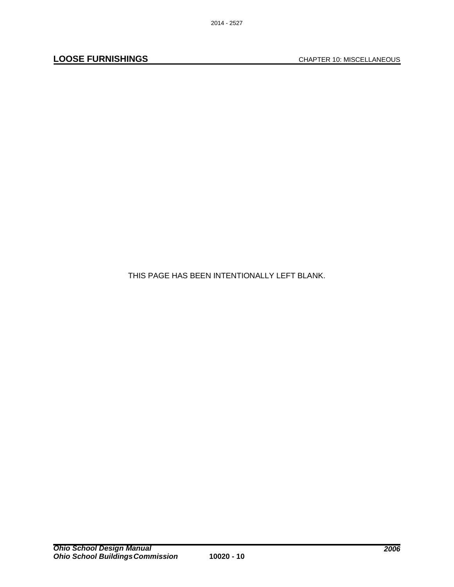# **LOOSE FURNISHINGS** CHAPTER 10: MISCELLANEOUS

THIS PAGE HAS BEEN INTENTIONALLY LEFT BLANK.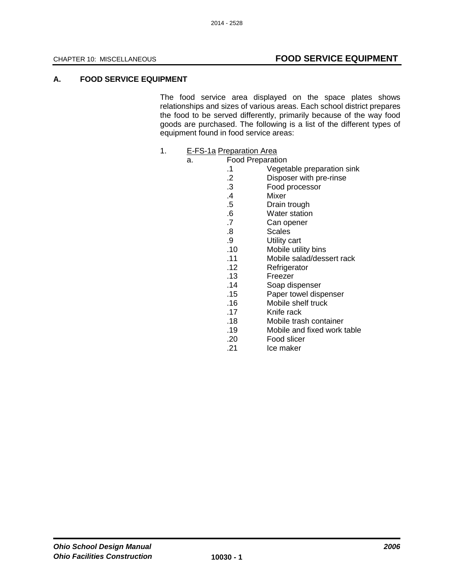## CHAPTER 10: MISCELLANEOUS **FOOD SERVICE EQUIPMENT**

#### **A. FOOD SERVICE EQUIPMENT**

The food service area displayed on the space plates shows relationships and sizes of various areas. Each school district prepares the food to be served differently, primarily because of the way food goods are purchased. The following is a list of the different types of equipment found in food service areas:

- 1. E-FS-1a Preparation Area
	- a. Food Preparation
		- .1 Vegetable preparation sink
		- Disposer with pre-rinse
		- .3 Food processor
		- .4 Mixer
		- .5 Drain trough
		- .6 Water station
		- .7 Can opener
		- .8 Scales
		- .9 Utility cart
		- .10 Mobile utility bins
		- .11 Mobile salad/dessert rack
		- .12 Refrigerator
		- .13 Freezer
		- .14 Soap dispenser
		- .15 Paper towel dispenser
		- .16 Mobile shelf truck
		- .17 Knife rack
		- .18 Mobile trash container
		- .19 Mobile and fixed work table
		- .20 Food slicer
		- .21 Ice maker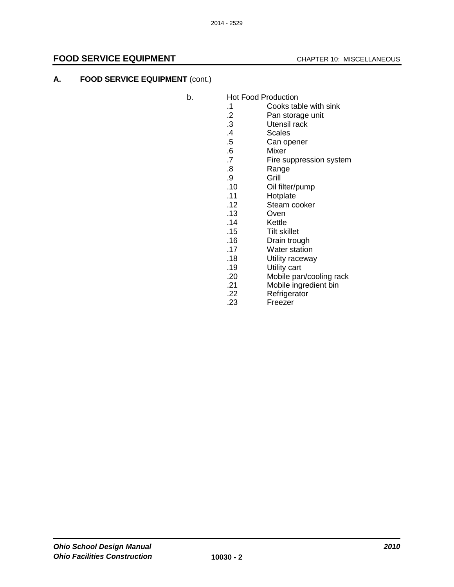| А. | <b>FOOD SERVICE EQUIPMENT (cont.)</b> |                                            |                                                                                                                                                                              |
|----|---------------------------------------|--------------------------------------------|------------------------------------------------------------------------------------------------------------------------------------------------------------------------------|
|    | b.                                    | .2<br>$.3\,$<br>.4<br>.5<br>.6<br>.8<br>.9 | <b>Hot Food Production</b><br>Cooks table with sink<br>Pan storage unit<br>Utensil rack<br><b>Scales</b><br>Can opener<br>Mixer<br>Fire suppression system<br>Range<br>Grill |

- .10 Oil filter/pump
- 
- 11 Hotplate<br>12 Steam co Steam cooker
- .13 Oven
- .14 Kettle
- .15 Tilt skillet
- .16 Drain trough
- .17 Water station
- Utility raceway
- .19 Utility cart
- .20 Mobile pan/cooling rack
- 21 Mobile ingredient bin<br>22 Refrigerator
- .22 Refrigerator
	- Freezer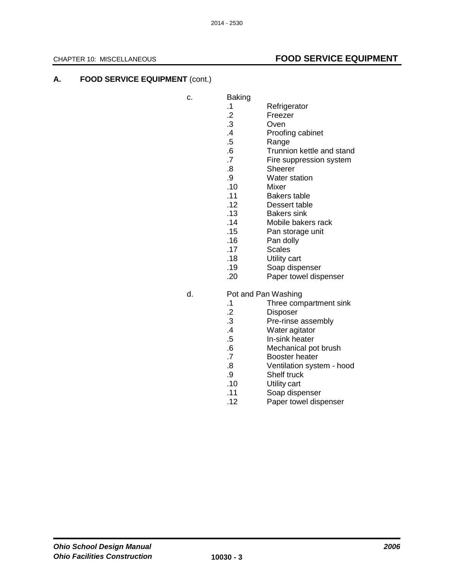## CHAPTER 10: MISCELLANEOUS **FOOD SERVICE EQUIPMENT**

#### **A. FOOD SERVICE EQUIPMENT** (cont.)

- c. Baking
	- .1 Refrigerator
	- Freezer
	- .3 Oven
	- .4 Proofing cabinet
	- .5 Range
	- .6 Trunnion kettle and stand
	- Fire suppression system
	- .8 Sheerer
	- .9 Water station
	- .10 Mixer
	- .11 Bakers table
	- .12 Dessert table
	- .13 Bakers sink
	- .14 Mobile bakers rack
	- .15 Pan storage unit
	- .16 Pan dolly
	- .17 Scales
	- .18 Utility cart
	- .19 Soap dispenser
	- .20 Paper towel dispenser

d. Pot and Pan Washing

- .1 Three compartment sink
- .2 Disposer
- .3 Pre-rinse assembly
- .4 Water agitator
- In-sink heater
- .6 Mechanical pot brush
- .7 Booster heater
- .8 Ventilation system hood
- .9 Shelf truck
- .10 Utility cart
- .11 Soap dispenser
- .12 Paper towel dispenser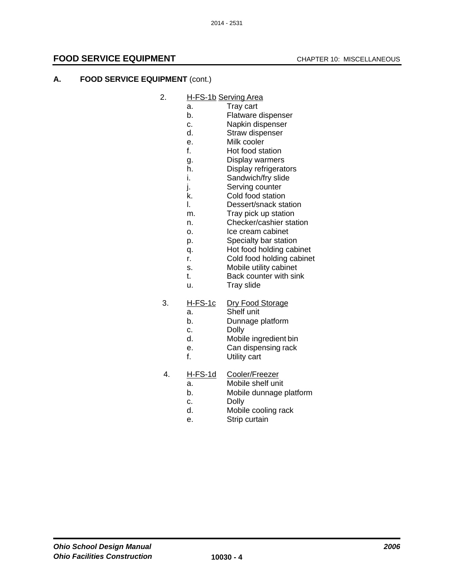## **FOOD SERVICE EQUIPMENT** CHAPTER 10: MISCELLANEOUS

## **A. FOOD SERVICE EQUIPMENT** (cont.) 2. H-FS-1b Serving Area a. Tray cart b. Flatware dispenser c. Napkin dispenser d. Straw dispenser e. Milk cooler f. Hot food station g. Display warmers h. Display refrigerators i. Sandwich/fry slide j. Serving counter k. Cold food station l. Dessert/snack station m. Tray pick up station n. Checker/cashier station o. Ice cream cabinet p. Specialty bar station q. Hot food holding cabinet r. Cold food holding cabinet s. Mobile utility cabinet t. Back counter with sink u. Tray slide 3. H-FS-1c Dry Food Storage a. Shelf unit b. Dunnage platform c. Dolly d. Mobile ingredient bin e. Can dispensing rack f. Utility cart 4. H-FS-1d Cooler/Freezer a. Mobile shelf unit b. Mobile dunnage platform c. Dolly d. Mobile cooling rack e. Strip curtain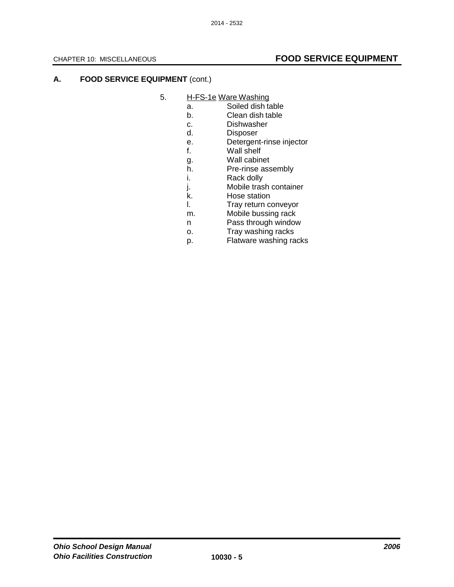## CHAPTER 10: MISCELLANEOUS **FOOD SERVICE EQUIPMENT**

## **A. FOOD SERVICE EQUIPMENT** (cont.)

### 5. H-FS-1e Ware Washing

- a. Soiled dish table
- b. Clean dish table
- c. Dishwasher
- d. Disposer
- e. Detergent-rinse injector
- f. Wall shelf
- g. Wall cabinet
- h. Pre-rinse assembly
- i. Rack dolly
- j. Mobile trash container
- k. Hose station
- l. Tray return conveyor
- m. Mobile bussing rack
- n Pass through window
- o. Tray washing racks
- p. Flatware washing racks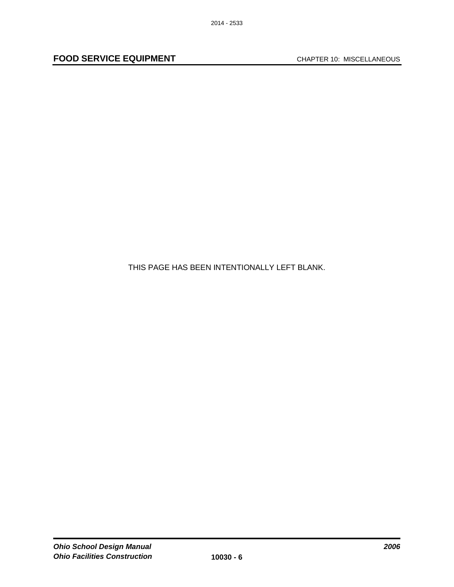THIS PAGE HAS BEEN INTENTIONALLY LEFT BLANK.